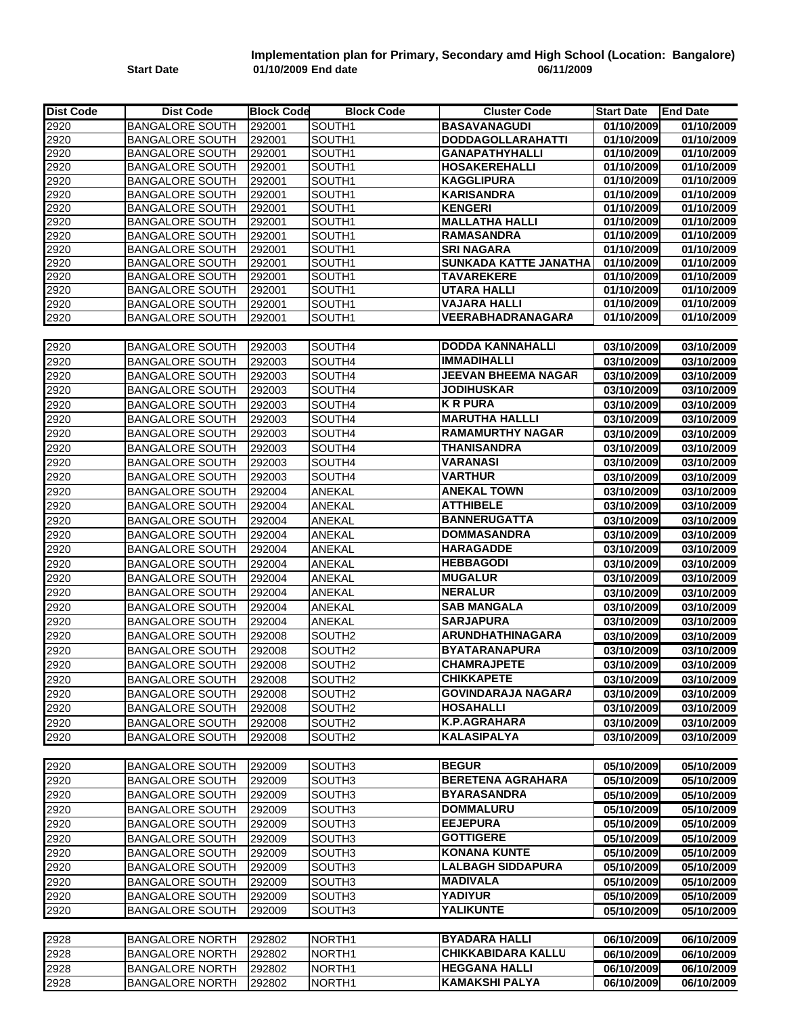## **Start Date 01/10/2009 End date 06/11/2009 Implementation plan for Primary, Secondary amd High School (Location: Bangalore)**

| <b>BASAVANAGUDI</b><br>01/10/2009<br><b>BANGALORE SOUTH</b><br>SOUTH1<br>01/10/2009<br>292001<br><b>BANGALORE SOUTH</b><br>292001<br>01/10/2009<br>01/10/2009<br>SOUTH <sub>1</sub><br><b>DODDAGOLLARAHATTI</b><br><b>GANAPATHYHALLI</b><br>01/10/2009<br>01/10/2009<br><b>BANGALORE SOUTH</b><br>292001<br>SOUTH1<br><b>BANGALORE SOUTH</b><br>292001<br>SOUTH <sub>1</sub><br><b>HOSAKEREHALLI</b><br>01/10/2009<br>01/10/2009<br>01/10/2009<br><b>BANGALORE SOUTH</b><br>292001<br>SOUTH1<br><b>KAGGLIPURA</b><br>01/10/2009<br><b>BANGALORE SOUTH</b><br>292001<br>SOUTH <sub>1</sub><br><b>KARISANDRA</b><br>01/10/2009<br>01/10/2009<br><b>KENGERI</b><br>01/10/2009<br><b>BANGALORE SOUTH</b><br>292001<br>SOUTH1<br>01/10/2009<br>01/10/2009<br>2920<br><b>BANGALORE SOUTH</b><br>292001<br>SOUTH <sub>1</sub><br><b>MALLATHA HALLI</b><br>01/10/2009<br>01/10/2009<br>01/10/2009<br><b>BANGALORE SOUTH</b><br>292001<br>SOUTH <sub>1</sub><br><b>RAMASANDRA</b><br><b>BANGALORE SOUTH</b><br>292001<br>SOUTH <sub>1</sub><br><b>SRI NAGARA</b><br>01/10/2009<br>01/10/2009<br>SUNKADA KATTE JANATHA<br>01/10/2009<br><b>BANGALORE SOUTH</b><br>292001<br>SOUTH <sub>1</sub><br>01/10/2009<br><b>BANGALORE SOUTH</b><br>292001<br>SOUTH1<br><b>TAVAREKERE</b><br>01/10/2009<br>01/10/2009<br><b>BANGALORE SOUTH</b><br>292001<br>SOUTH1<br><b>UTARA HALLI</b><br>01/10/2009<br>01/10/2009<br>SOUTH1<br><b>BANGALORE SOUTH</b><br>292001<br><b>VAJARA HALLI</b><br>01/10/2009<br>01/10/2009<br><b>VEERABHADRANAGARA</b><br>01/10/2009<br>01/10/2009<br><b>BANGALORE SOUTH</b><br>292001<br>SOUTH1<br>2920<br><b>BANGALORE SOUTH</b><br>SOUTH4<br><b>DODDA KANNAHALLI</b><br>292003<br>03/10/2009<br>03/10/2009<br><b>IMMADIHALLI</b><br>2920<br><b>BANGALORE SOUTH</b><br>292003<br>SOUTH4<br>03/10/2009<br>03/10/2009<br><b>JEEVAN BHEEMA NAGAR</b><br>292003<br>2920<br><b>BANGALORE SOUTH</b><br>SOUTH4<br>03/10/2009<br>03/10/2009<br><b>JODIHUSKAR</b><br>2920<br><b>BANGALORE SOUTH</b><br>292003<br>SOUTH4<br>03/10/2009<br>03/10/2009<br><b>K R PURA</b><br>2920<br><b>BANGALORE SOUTH</b><br>292003<br>SOUTH4<br>03/10/2009<br>03/10/2009<br><b>MARUTHA HALLLI</b><br>SOUTH4<br>2920<br><b>BANGALORE SOUTH</b><br>292003<br>03/10/2009<br>03/10/2009<br><b>RAMAMURTHY NAGAR</b><br>2920<br><b>BANGALORE SOUTH</b><br>292003<br>SOUTH4<br>03/10/2009<br>03/10/2009<br><b>THANISANDRA</b><br>2920<br><b>BANGALORE SOUTH</b><br>292003<br>SOUTH4<br>03/10/2009<br>03/10/2009<br><b>VARANASI</b><br><b>BANGALORE SOUTH</b><br>SOUTH4<br>03/10/2009<br>2920<br>292003<br>03/10/2009<br><b>VARTHUR</b><br>2920<br><b>BANGALORE SOUTH</b><br>292003<br>SOUTH4<br>03/10/2009<br>03/10/2009<br><b>ANEKAL TOWN</b><br><b>BANGALORE SOUTH</b><br>292004<br>ANEKAL<br>03/10/2009<br>03/10/2009<br><b>BANGALORE SOUTH</b><br>ANEKAL<br><b>ATTHIBELE</b><br>292004<br>03/10/2009<br>03/10/2009<br><b>BANNERUGATTA</b><br><b>BANGALORE SOUTH</b><br>292004<br>ANEKAL<br>03/10/2009<br>03/10/2009<br>ANEKAL<br><b>DOMMASANDRA</b><br><b>BANGALORE SOUTH</b><br>292004<br>03/10/2009<br>03/10/2009<br><b>ANEKAL</b><br><b>HARAGADDE</b><br><b>BANGALORE SOUTH</b><br>292004<br>03/10/2009<br>03/10/2009<br><b>BANGALORE SOUTH</b><br><b>HEBBAGODI</b><br>2920<br>292004<br><b>ANEKAL</b><br>03/10/2009<br>03/10/2009<br><b>MUGALUR</b><br><b>BANGALORE SOUTH</b><br>2920<br>292004<br>ANEKAL<br>03/10/2009<br>03/10/2009<br><b>NERALUR</b><br><b>BANGALORE SOUTH</b><br>ANEKAL<br>03/10/2009<br>2920<br>292004<br>03/10/2009<br><b>SAB MANGALA</b><br>2920<br><b>BANGALORE SOUTH</b><br>292004<br>ANEKAL<br>03/10/2009<br>03/10/2009<br><b>SARJAPURA</b><br>ANEKAL<br>2920<br><b>BANGALORE SOUTH</b><br>292004<br>03/10/2009<br>03/10/2009<br><b>ARUNDHATHINAGARA</b><br>2920<br><b>BANGALORE SOUTH</b><br>292008<br>SOUTH <sub>2</sub><br>03/10/2009<br>03/10/2009<br><b>BYATARANAPURA</b><br>SOUTH <sub>2</sub><br>2920<br><b>BANGALORE SOUTH</b><br>292008<br>03/10/2009<br>03/10/2009<br><b>CHAMRAJPETE</b><br><b>BANGALORE SOUTH</b><br>292008<br>SOUTH <sub>2</sub><br>03/10/2009<br>03/10/2009<br>2920<br><b>CHIKKAPETE</b><br>2920<br><b>BANGALORE SOUTH</b><br>292008<br>SOUTH <sub>2</sub><br>03/10/2009<br>03/10/2009<br>2920<br><b>GOVINDARAJA NAGARA</b><br><b>BANGALORE SOUTH</b><br>03/10/2009<br>03/10/2009<br>292008<br>SOUTH <sub>2</sub><br><b>BANGALORE SOUTH</b><br><b>HOSAHALLI</b><br>2920<br>292008<br>SOUTH <sub>2</sub><br>03/10/2009<br>03/10/2009<br>2920<br><b>BANGALORE SOUTH</b><br>292008<br>SOUTH <sub>2</sub><br>K.P.AGRAHARA<br>03/10/2009<br>03/10/2009<br><b>KALASIPALYA</b><br>2920<br>292008<br><b>BANGALORE SOUTH</b><br>SOUTH <sub>2</sub><br>03/10/2009<br>03/10/2009<br><b>BEGUR</b><br><b>BANGALORE SOUTH</b><br>292009<br>SOUTH <sub>3</sub><br>05/10/2009<br>05/10/2009<br><b>BERETENA AGRAHARA</b><br><b>BANGALORE SOUTH</b><br>292009<br>SOUTH <sub>3</sub><br>05/10/2009<br>05/10/2009<br><b>BYARASANDRA</b><br><b>BANGALORE SOUTH</b><br>292009<br>05/10/2009<br>05/10/2009<br>SOUTH <sub>3</sub><br><b>DOMMALURU</b><br><b>BANGALORE SOUTH</b><br>292009<br>05/10/2009<br>05/10/2009<br>SOUTH <sub>3</sub><br><b>EEJEPURA</b><br><b>BANGALORE SOUTH</b><br>2920<br>292009<br>SOUTH <sub>3</sub><br>05/10/2009<br>05/10/2009<br><b>GOTTIGERE</b><br>2920<br><b>BANGALORE SOUTH</b><br>SOUTH3<br>05/10/2009<br>292009<br>05/10/2009<br><b>KONANA KUNTE</b><br>2920<br>05/10/2009<br><b>BANGALORE SOUTH</b><br>292009<br>SOUTH <sub>3</sub><br>05/10/2009<br><b>LALBAGH SIDDAPURA</b><br>2920<br><b>BANGALORE SOUTH</b><br>292009<br>SOUTH3<br>05/10/2009<br>05/10/2009<br><b>MADIVALA</b><br>2920<br><b>BANGALORE SOUTH</b><br>292009<br>SOUTH <sub>3</sub><br>05/10/2009<br>05/10/2009<br><b>YADIYUR</b><br>2920<br><b>BANGALORE SOUTH</b><br>292009<br>SOUTH3<br>05/10/2009<br>05/10/2009<br><b>YALIKUNTE</b><br>2920<br><b>BANGALORE SOUTH</b><br>SOUTH3<br>292009<br>05/10/2009<br>05/10/2009<br>2928<br><b>BYADARA HALLI</b><br><b>BANGALORE NORTH</b><br>292802<br>NORTH <sub>1</sub><br>06/10/2009<br>06/10/2009<br><b>CHIKKABIDARA KALLU</b><br><b>BANGALORE NORTH</b><br>06/10/2009<br>2928<br>292802<br>NORTH <sub>1</sub><br>06/10/2009<br><b>HEGGANA HALLI</b><br>2928<br>292802<br><b>BANGALORE NORTH</b><br>NORTH <sub>1</sub><br>06/10/2009<br>06/10/2009<br><b>KAMAKSHI PALYA</b><br>2928<br><b>BANGALORE NORTH</b><br>292802<br>NORTH1<br>06/10/2009<br>06/10/2009 | Dist Code | <b>Dist Code</b> | <b>Block Code</b> | <b>Block Code</b> | <b>Cluster Code</b> | <b>Start Date</b> | <b>End Date</b> |
|-------------------------------------------------------------------------------------------------------------------------------------------------------------------------------------------------------------------------------------------------------------------------------------------------------------------------------------------------------------------------------------------------------------------------------------------------------------------------------------------------------------------------------------------------------------------------------------------------------------------------------------------------------------------------------------------------------------------------------------------------------------------------------------------------------------------------------------------------------------------------------------------------------------------------------------------------------------------------------------------------------------------------------------------------------------------------------------------------------------------------------------------------------------------------------------------------------------------------------------------------------------------------------------------------------------------------------------------------------------------------------------------------------------------------------------------------------------------------------------------------------------------------------------------------------------------------------------------------------------------------------------------------------------------------------------------------------------------------------------------------------------------------------------------------------------------------------------------------------------------------------------------------------------------------------------------------------------------------------------------------------------------------------------------------------------------------------------------------------------------------------------------------------------------------------------------------------------------------------------------------------------------------------------------------------------------------------------------------------------------------------------------------------------------------------------------------------------------------------------------------------------------------------------------------------------------------------------------------------------------------------------------------------------------------------------------------------------------------------------------------------------------------------------------------------------------------------------------------------------------------------------------------------------------------------------------------------------------------------------------------------------------------------------------------------------------------------------------------------------------------------------------------------------------------------------------------------------------------------------------------------------------------------------------------------------------------------------------------------------------------------------------------------------------------------------------------------------------------------------------------------------------------------------------------------------------------------------------------------------------------------------------------------------------------------------------------------------------------------------------------------------------------------------------------------------------------------------------------------------------------------------------------------------------------------------------------------------------------------------------------------------------------------------------------------------------------------------------------------------------------------------------------------------------------------------------------------------------------------------------------------------------------------------------------------------------------------------------------------------------------------------------------------------------------------------------------------------------------------------------------------------------------------------------------------------------------------------------------------------------------------------------------------------------------------------------------------------------------------------------------------------------------------------------------------------------------------------------------------------------------------------------------------------------------------------------------------------------------------------------------------------------------------------------------------------------------------------------------------------------------------------------------------------------------------------------------------------------------------------------------------------------------------------------------------------------------------------------------------------------------------------------------------------------------------------------------------------------------------------------------------------------------------------------------------------------------------------------------------------------------------------------------------------------------------------------------------------------------------------------------------------------------------------------------------------------------------------------------------------------------------------------------------------------------------------------------------------------------------------------------------------------------------------------------------------------------------------------------------------------------------------------------------------------------------------------------------------------------------------------------------------------------------------------------------------------------------------------------------------------------------------------------------------------------------------|-----------|------------------|-------------------|-------------------|---------------------|-------------------|-----------------|
|                                                                                                                                                                                                                                                                                                                                                                                                                                                                                                                                                                                                                                                                                                                                                                                                                                                                                                                                                                                                                                                                                                                                                                                                                                                                                                                                                                                                                                                                                                                                                                                                                                                                                                                                                                                                                                                                                                                                                                                                                                                                                                                                                                                                                                                                                                                                                                                                                                                                                                                                                                                                                                                                                                                                                                                                                                                                                                                                                                                                                                                                                                                                                                                                                                                                                                                                                                                                                                                                                                                                                                                                                                                                                                                                                                                                                                                                                                                                                                                                                                                                                                                                                                                                                                                                                                                                                                                                                                                                                                                                                                                                                                                                                                                                                                                                                                                                                                                                                                                                                                                                                                                                                                                                                                                                                                                                                                                                                                                                                                                                                                                                                                                                                                                                                                                                                                                                                                                                                                                                                                                                                                                                                                                                                                                                                                                                                                                                                                     | 2920      |                  |                   |                   |                     |                   |                 |
|                                                                                                                                                                                                                                                                                                                                                                                                                                                                                                                                                                                                                                                                                                                                                                                                                                                                                                                                                                                                                                                                                                                                                                                                                                                                                                                                                                                                                                                                                                                                                                                                                                                                                                                                                                                                                                                                                                                                                                                                                                                                                                                                                                                                                                                                                                                                                                                                                                                                                                                                                                                                                                                                                                                                                                                                                                                                                                                                                                                                                                                                                                                                                                                                                                                                                                                                                                                                                                                                                                                                                                                                                                                                                                                                                                                                                                                                                                                                                                                                                                                                                                                                                                                                                                                                                                                                                                                                                                                                                                                                                                                                                                                                                                                                                                                                                                                                                                                                                                                                                                                                                                                                                                                                                                                                                                                                                                                                                                                                                                                                                                                                                                                                                                                                                                                                                                                                                                                                                                                                                                                                                                                                                                                                                                                                                                                                                                                                                                     | 2920      |                  |                   |                   |                     |                   |                 |
|                                                                                                                                                                                                                                                                                                                                                                                                                                                                                                                                                                                                                                                                                                                                                                                                                                                                                                                                                                                                                                                                                                                                                                                                                                                                                                                                                                                                                                                                                                                                                                                                                                                                                                                                                                                                                                                                                                                                                                                                                                                                                                                                                                                                                                                                                                                                                                                                                                                                                                                                                                                                                                                                                                                                                                                                                                                                                                                                                                                                                                                                                                                                                                                                                                                                                                                                                                                                                                                                                                                                                                                                                                                                                                                                                                                                                                                                                                                                                                                                                                                                                                                                                                                                                                                                                                                                                                                                                                                                                                                                                                                                                                                                                                                                                                                                                                                                                                                                                                                                                                                                                                                                                                                                                                                                                                                                                                                                                                                                                                                                                                                                                                                                                                                                                                                                                                                                                                                                                                                                                                                                                                                                                                                                                                                                                                                                                                                                                                     | 2920      |                  |                   |                   |                     |                   |                 |
|                                                                                                                                                                                                                                                                                                                                                                                                                                                                                                                                                                                                                                                                                                                                                                                                                                                                                                                                                                                                                                                                                                                                                                                                                                                                                                                                                                                                                                                                                                                                                                                                                                                                                                                                                                                                                                                                                                                                                                                                                                                                                                                                                                                                                                                                                                                                                                                                                                                                                                                                                                                                                                                                                                                                                                                                                                                                                                                                                                                                                                                                                                                                                                                                                                                                                                                                                                                                                                                                                                                                                                                                                                                                                                                                                                                                                                                                                                                                                                                                                                                                                                                                                                                                                                                                                                                                                                                                                                                                                                                                                                                                                                                                                                                                                                                                                                                                                                                                                                                                                                                                                                                                                                                                                                                                                                                                                                                                                                                                                                                                                                                                                                                                                                                                                                                                                                                                                                                                                                                                                                                                                                                                                                                                                                                                                                                                                                                                                                     | 2920      |                  |                   |                   |                     |                   |                 |
|                                                                                                                                                                                                                                                                                                                                                                                                                                                                                                                                                                                                                                                                                                                                                                                                                                                                                                                                                                                                                                                                                                                                                                                                                                                                                                                                                                                                                                                                                                                                                                                                                                                                                                                                                                                                                                                                                                                                                                                                                                                                                                                                                                                                                                                                                                                                                                                                                                                                                                                                                                                                                                                                                                                                                                                                                                                                                                                                                                                                                                                                                                                                                                                                                                                                                                                                                                                                                                                                                                                                                                                                                                                                                                                                                                                                                                                                                                                                                                                                                                                                                                                                                                                                                                                                                                                                                                                                                                                                                                                                                                                                                                                                                                                                                                                                                                                                                                                                                                                                                                                                                                                                                                                                                                                                                                                                                                                                                                                                                                                                                                                                                                                                                                                                                                                                                                                                                                                                                                                                                                                                                                                                                                                                                                                                                                                                                                                                                                     | 2920      |                  |                   |                   |                     |                   |                 |
|                                                                                                                                                                                                                                                                                                                                                                                                                                                                                                                                                                                                                                                                                                                                                                                                                                                                                                                                                                                                                                                                                                                                                                                                                                                                                                                                                                                                                                                                                                                                                                                                                                                                                                                                                                                                                                                                                                                                                                                                                                                                                                                                                                                                                                                                                                                                                                                                                                                                                                                                                                                                                                                                                                                                                                                                                                                                                                                                                                                                                                                                                                                                                                                                                                                                                                                                                                                                                                                                                                                                                                                                                                                                                                                                                                                                                                                                                                                                                                                                                                                                                                                                                                                                                                                                                                                                                                                                                                                                                                                                                                                                                                                                                                                                                                                                                                                                                                                                                                                                                                                                                                                                                                                                                                                                                                                                                                                                                                                                                                                                                                                                                                                                                                                                                                                                                                                                                                                                                                                                                                                                                                                                                                                                                                                                                                                                                                                                                                     | 2920      |                  |                   |                   |                     |                   |                 |
|                                                                                                                                                                                                                                                                                                                                                                                                                                                                                                                                                                                                                                                                                                                                                                                                                                                                                                                                                                                                                                                                                                                                                                                                                                                                                                                                                                                                                                                                                                                                                                                                                                                                                                                                                                                                                                                                                                                                                                                                                                                                                                                                                                                                                                                                                                                                                                                                                                                                                                                                                                                                                                                                                                                                                                                                                                                                                                                                                                                                                                                                                                                                                                                                                                                                                                                                                                                                                                                                                                                                                                                                                                                                                                                                                                                                                                                                                                                                                                                                                                                                                                                                                                                                                                                                                                                                                                                                                                                                                                                                                                                                                                                                                                                                                                                                                                                                                                                                                                                                                                                                                                                                                                                                                                                                                                                                                                                                                                                                                                                                                                                                                                                                                                                                                                                                                                                                                                                                                                                                                                                                                                                                                                                                                                                                                                                                                                                                                                     | 2920      |                  |                   |                   |                     |                   |                 |
|                                                                                                                                                                                                                                                                                                                                                                                                                                                                                                                                                                                                                                                                                                                                                                                                                                                                                                                                                                                                                                                                                                                                                                                                                                                                                                                                                                                                                                                                                                                                                                                                                                                                                                                                                                                                                                                                                                                                                                                                                                                                                                                                                                                                                                                                                                                                                                                                                                                                                                                                                                                                                                                                                                                                                                                                                                                                                                                                                                                                                                                                                                                                                                                                                                                                                                                                                                                                                                                                                                                                                                                                                                                                                                                                                                                                                                                                                                                                                                                                                                                                                                                                                                                                                                                                                                                                                                                                                                                                                                                                                                                                                                                                                                                                                                                                                                                                                                                                                                                                                                                                                                                                                                                                                                                                                                                                                                                                                                                                                                                                                                                                                                                                                                                                                                                                                                                                                                                                                                                                                                                                                                                                                                                                                                                                                                                                                                                                                                     |           |                  |                   |                   |                     |                   |                 |
|                                                                                                                                                                                                                                                                                                                                                                                                                                                                                                                                                                                                                                                                                                                                                                                                                                                                                                                                                                                                                                                                                                                                                                                                                                                                                                                                                                                                                                                                                                                                                                                                                                                                                                                                                                                                                                                                                                                                                                                                                                                                                                                                                                                                                                                                                                                                                                                                                                                                                                                                                                                                                                                                                                                                                                                                                                                                                                                                                                                                                                                                                                                                                                                                                                                                                                                                                                                                                                                                                                                                                                                                                                                                                                                                                                                                                                                                                                                                                                                                                                                                                                                                                                                                                                                                                                                                                                                                                                                                                                                                                                                                                                                                                                                                                                                                                                                                                                                                                                                                                                                                                                                                                                                                                                                                                                                                                                                                                                                                                                                                                                                                                                                                                                                                                                                                                                                                                                                                                                                                                                                                                                                                                                                                                                                                                                                                                                                                                                     | 2920      |                  |                   |                   |                     |                   |                 |
|                                                                                                                                                                                                                                                                                                                                                                                                                                                                                                                                                                                                                                                                                                                                                                                                                                                                                                                                                                                                                                                                                                                                                                                                                                                                                                                                                                                                                                                                                                                                                                                                                                                                                                                                                                                                                                                                                                                                                                                                                                                                                                                                                                                                                                                                                                                                                                                                                                                                                                                                                                                                                                                                                                                                                                                                                                                                                                                                                                                                                                                                                                                                                                                                                                                                                                                                                                                                                                                                                                                                                                                                                                                                                                                                                                                                                                                                                                                                                                                                                                                                                                                                                                                                                                                                                                                                                                                                                                                                                                                                                                                                                                                                                                                                                                                                                                                                                                                                                                                                                                                                                                                                                                                                                                                                                                                                                                                                                                                                                                                                                                                                                                                                                                                                                                                                                                                                                                                                                                                                                                                                                                                                                                                                                                                                                                                                                                                                                                     | 2920      |                  |                   |                   |                     |                   |                 |
|                                                                                                                                                                                                                                                                                                                                                                                                                                                                                                                                                                                                                                                                                                                                                                                                                                                                                                                                                                                                                                                                                                                                                                                                                                                                                                                                                                                                                                                                                                                                                                                                                                                                                                                                                                                                                                                                                                                                                                                                                                                                                                                                                                                                                                                                                                                                                                                                                                                                                                                                                                                                                                                                                                                                                                                                                                                                                                                                                                                                                                                                                                                                                                                                                                                                                                                                                                                                                                                                                                                                                                                                                                                                                                                                                                                                                                                                                                                                                                                                                                                                                                                                                                                                                                                                                                                                                                                                                                                                                                                                                                                                                                                                                                                                                                                                                                                                                                                                                                                                                                                                                                                                                                                                                                                                                                                                                                                                                                                                                                                                                                                                                                                                                                                                                                                                                                                                                                                                                                                                                                                                                                                                                                                                                                                                                                                                                                                                                                     | 2920      |                  |                   |                   |                     |                   |                 |
|                                                                                                                                                                                                                                                                                                                                                                                                                                                                                                                                                                                                                                                                                                                                                                                                                                                                                                                                                                                                                                                                                                                                                                                                                                                                                                                                                                                                                                                                                                                                                                                                                                                                                                                                                                                                                                                                                                                                                                                                                                                                                                                                                                                                                                                                                                                                                                                                                                                                                                                                                                                                                                                                                                                                                                                                                                                                                                                                                                                                                                                                                                                                                                                                                                                                                                                                                                                                                                                                                                                                                                                                                                                                                                                                                                                                                                                                                                                                                                                                                                                                                                                                                                                                                                                                                                                                                                                                                                                                                                                                                                                                                                                                                                                                                                                                                                                                                                                                                                                                                                                                                                                                                                                                                                                                                                                                                                                                                                                                                                                                                                                                                                                                                                                                                                                                                                                                                                                                                                                                                                                                                                                                                                                                                                                                                                                                                                                                                                     | 2920      |                  |                   |                   |                     |                   |                 |
|                                                                                                                                                                                                                                                                                                                                                                                                                                                                                                                                                                                                                                                                                                                                                                                                                                                                                                                                                                                                                                                                                                                                                                                                                                                                                                                                                                                                                                                                                                                                                                                                                                                                                                                                                                                                                                                                                                                                                                                                                                                                                                                                                                                                                                                                                                                                                                                                                                                                                                                                                                                                                                                                                                                                                                                                                                                                                                                                                                                                                                                                                                                                                                                                                                                                                                                                                                                                                                                                                                                                                                                                                                                                                                                                                                                                                                                                                                                                                                                                                                                                                                                                                                                                                                                                                                                                                                                                                                                                                                                                                                                                                                                                                                                                                                                                                                                                                                                                                                                                                                                                                                                                                                                                                                                                                                                                                                                                                                                                                                                                                                                                                                                                                                                                                                                                                                                                                                                                                                                                                                                                                                                                                                                                                                                                                                                                                                                                                                     | 2920      |                  |                   |                   |                     |                   |                 |
|                                                                                                                                                                                                                                                                                                                                                                                                                                                                                                                                                                                                                                                                                                                                                                                                                                                                                                                                                                                                                                                                                                                                                                                                                                                                                                                                                                                                                                                                                                                                                                                                                                                                                                                                                                                                                                                                                                                                                                                                                                                                                                                                                                                                                                                                                                                                                                                                                                                                                                                                                                                                                                                                                                                                                                                                                                                                                                                                                                                                                                                                                                                                                                                                                                                                                                                                                                                                                                                                                                                                                                                                                                                                                                                                                                                                                                                                                                                                                                                                                                                                                                                                                                                                                                                                                                                                                                                                                                                                                                                                                                                                                                                                                                                                                                                                                                                                                                                                                                                                                                                                                                                                                                                                                                                                                                                                                                                                                                                                                                                                                                                                                                                                                                                                                                                                                                                                                                                                                                                                                                                                                                                                                                                                                                                                                                                                                                                                                                     | 2920      |                  |                   |                   |                     |                   |                 |
|                                                                                                                                                                                                                                                                                                                                                                                                                                                                                                                                                                                                                                                                                                                                                                                                                                                                                                                                                                                                                                                                                                                                                                                                                                                                                                                                                                                                                                                                                                                                                                                                                                                                                                                                                                                                                                                                                                                                                                                                                                                                                                                                                                                                                                                                                                                                                                                                                                                                                                                                                                                                                                                                                                                                                                                                                                                                                                                                                                                                                                                                                                                                                                                                                                                                                                                                                                                                                                                                                                                                                                                                                                                                                                                                                                                                                                                                                                                                                                                                                                                                                                                                                                                                                                                                                                                                                                                                                                                                                                                                                                                                                                                                                                                                                                                                                                                                                                                                                                                                                                                                                                                                                                                                                                                                                                                                                                                                                                                                                                                                                                                                                                                                                                                                                                                                                                                                                                                                                                                                                                                                                                                                                                                                                                                                                                                                                                                                                                     | 2920      |                  |                   |                   |                     |                   |                 |
|                                                                                                                                                                                                                                                                                                                                                                                                                                                                                                                                                                                                                                                                                                                                                                                                                                                                                                                                                                                                                                                                                                                                                                                                                                                                                                                                                                                                                                                                                                                                                                                                                                                                                                                                                                                                                                                                                                                                                                                                                                                                                                                                                                                                                                                                                                                                                                                                                                                                                                                                                                                                                                                                                                                                                                                                                                                                                                                                                                                                                                                                                                                                                                                                                                                                                                                                                                                                                                                                                                                                                                                                                                                                                                                                                                                                                                                                                                                                                                                                                                                                                                                                                                                                                                                                                                                                                                                                                                                                                                                                                                                                                                                                                                                                                                                                                                                                                                                                                                                                                                                                                                                                                                                                                                                                                                                                                                                                                                                                                                                                                                                                                                                                                                                                                                                                                                                                                                                                                                                                                                                                                                                                                                                                                                                                                                                                                                                                                                     |           |                  |                   |                   |                     |                   |                 |
|                                                                                                                                                                                                                                                                                                                                                                                                                                                                                                                                                                                                                                                                                                                                                                                                                                                                                                                                                                                                                                                                                                                                                                                                                                                                                                                                                                                                                                                                                                                                                                                                                                                                                                                                                                                                                                                                                                                                                                                                                                                                                                                                                                                                                                                                                                                                                                                                                                                                                                                                                                                                                                                                                                                                                                                                                                                                                                                                                                                                                                                                                                                                                                                                                                                                                                                                                                                                                                                                                                                                                                                                                                                                                                                                                                                                                                                                                                                                                                                                                                                                                                                                                                                                                                                                                                                                                                                                                                                                                                                                                                                                                                                                                                                                                                                                                                                                                                                                                                                                                                                                                                                                                                                                                                                                                                                                                                                                                                                                                                                                                                                                                                                                                                                                                                                                                                                                                                                                                                                                                                                                                                                                                                                                                                                                                                                                                                                                                                     |           |                  |                   |                   |                     |                   |                 |
|                                                                                                                                                                                                                                                                                                                                                                                                                                                                                                                                                                                                                                                                                                                                                                                                                                                                                                                                                                                                                                                                                                                                                                                                                                                                                                                                                                                                                                                                                                                                                                                                                                                                                                                                                                                                                                                                                                                                                                                                                                                                                                                                                                                                                                                                                                                                                                                                                                                                                                                                                                                                                                                                                                                                                                                                                                                                                                                                                                                                                                                                                                                                                                                                                                                                                                                                                                                                                                                                                                                                                                                                                                                                                                                                                                                                                                                                                                                                                                                                                                                                                                                                                                                                                                                                                                                                                                                                                                                                                                                                                                                                                                                                                                                                                                                                                                                                                                                                                                                                                                                                                                                                                                                                                                                                                                                                                                                                                                                                                                                                                                                                                                                                                                                                                                                                                                                                                                                                                                                                                                                                                                                                                                                                                                                                                                                                                                                                                                     |           |                  |                   |                   |                     |                   |                 |
|                                                                                                                                                                                                                                                                                                                                                                                                                                                                                                                                                                                                                                                                                                                                                                                                                                                                                                                                                                                                                                                                                                                                                                                                                                                                                                                                                                                                                                                                                                                                                                                                                                                                                                                                                                                                                                                                                                                                                                                                                                                                                                                                                                                                                                                                                                                                                                                                                                                                                                                                                                                                                                                                                                                                                                                                                                                                                                                                                                                                                                                                                                                                                                                                                                                                                                                                                                                                                                                                                                                                                                                                                                                                                                                                                                                                                                                                                                                                                                                                                                                                                                                                                                                                                                                                                                                                                                                                                                                                                                                                                                                                                                                                                                                                                                                                                                                                                                                                                                                                                                                                                                                                                                                                                                                                                                                                                                                                                                                                                                                                                                                                                                                                                                                                                                                                                                                                                                                                                                                                                                                                                                                                                                                                                                                                                                                                                                                                                                     |           |                  |                   |                   |                     |                   |                 |
|                                                                                                                                                                                                                                                                                                                                                                                                                                                                                                                                                                                                                                                                                                                                                                                                                                                                                                                                                                                                                                                                                                                                                                                                                                                                                                                                                                                                                                                                                                                                                                                                                                                                                                                                                                                                                                                                                                                                                                                                                                                                                                                                                                                                                                                                                                                                                                                                                                                                                                                                                                                                                                                                                                                                                                                                                                                                                                                                                                                                                                                                                                                                                                                                                                                                                                                                                                                                                                                                                                                                                                                                                                                                                                                                                                                                                                                                                                                                                                                                                                                                                                                                                                                                                                                                                                                                                                                                                                                                                                                                                                                                                                                                                                                                                                                                                                                                                                                                                                                                                                                                                                                                                                                                                                                                                                                                                                                                                                                                                                                                                                                                                                                                                                                                                                                                                                                                                                                                                                                                                                                                                                                                                                                                                                                                                                                                                                                                                                     |           |                  |                   |                   |                     |                   |                 |
|                                                                                                                                                                                                                                                                                                                                                                                                                                                                                                                                                                                                                                                                                                                                                                                                                                                                                                                                                                                                                                                                                                                                                                                                                                                                                                                                                                                                                                                                                                                                                                                                                                                                                                                                                                                                                                                                                                                                                                                                                                                                                                                                                                                                                                                                                                                                                                                                                                                                                                                                                                                                                                                                                                                                                                                                                                                                                                                                                                                                                                                                                                                                                                                                                                                                                                                                                                                                                                                                                                                                                                                                                                                                                                                                                                                                                                                                                                                                                                                                                                                                                                                                                                                                                                                                                                                                                                                                                                                                                                                                                                                                                                                                                                                                                                                                                                                                                                                                                                                                                                                                                                                                                                                                                                                                                                                                                                                                                                                                                                                                                                                                                                                                                                                                                                                                                                                                                                                                                                                                                                                                                                                                                                                                                                                                                                                                                                                                                                     |           |                  |                   |                   |                     |                   |                 |
|                                                                                                                                                                                                                                                                                                                                                                                                                                                                                                                                                                                                                                                                                                                                                                                                                                                                                                                                                                                                                                                                                                                                                                                                                                                                                                                                                                                                                                                                                                                                                                                                                                                                                                                                                                                                                                                                                                                                                                                                                                                                                                                                                                                                                                                                                                                                                                                                                                                                                                                                                                                                                                                                                                                                                                                                                                                                                                                                                                                                                                                                                                                                                                                                                                                                                                                                                                                                                                                                                                                                                                                                                                                                                                                                                                                                                                                                                                                                                                                                                                                                                                                                                                                                                                                                                                                                                                                                                                                                                                                                                                                                                                                                                                                                                                                                                                                                                                                                                                                                                                                                                                                                                                                                                                                                                                                                                                                                                                                                                                                                                                                                                                                                                                                                                                                                                                                                                                                                                                                                                                                                                                                                                                                                                                                                                                                                                                                                                                     |           |                  |                   |                   |                     |                   |                 |
|                                                                                                                                                                                                                                                                                                                                                                                                                                                                                                                                                                                                                                                                                                                                                                                                                                                                                                                                                                                                                                                                                                                                                                                                                                                                                                                                                                                                                                                                                                                                                                                                                                                                                                                                                                                                                                                                                                                                                                                                                                                                                                                                                                                                                                                                                                                                                                                                                                                                                                                                                                                                                                                                                                                                                                                                                                                                                                                                                                                                                                                                                                                                                                                                                                                                                                                                                                                                                                                                                                                                                                                                                                                                                                                                                                                                                                                                                                                                                                                                                                                                                                                                                                                                                                                                                                                                                                                                                                                                                                                                                                                                                                                                                                                                                                                                                                                                                                                                                                                                                                                                                                                                                                                                                                                                                                                                                                                                                                                                                                                                                                                                                                                                                                                                                                                                                                                                                                                                                                                                                                                                                                                                                                                                                                                                                                                                                                                                                                     |           |                  |                   |                   |                     |                   |                 |
|                                                                                                                                                                                                                                                                                                                                                                                                                                                                                                                                                                                                                                                                                                                                                                                                                                                                                                                                                                                                                                                                                                                                                                                                                                                                                                                                                                                                                                                                                                                                                                                                                                                                                                                                                                                                                                                                                                                                                                                                                                                                                                                                                                                                                                                                                                                                                                                                                                                                                                                                                                                                                                                                                                                                                                                                                                                                                                                                                                                                                                                                                                                                                                                                                                                                                                                                                                                                                                                                                                                                                                                                                                                                                                                                                                                                                                                                                                                                                                                                                                                                                                                                                                                                                                                                                                                                                                                                                                                                                                                                                                                                                                                                                                                                                                                                                                                                                                                                                                                                                                                                                                                                                                                                                                                                                                                                                                                                                                                                                                                                                                                                                                                                                                                                                                                                                                                                                                                                                                                                                                                                                                                                                                                                                                                                                                                                                                                                                                     |           |                  |                   |                   |                     |                   |                 |
|                                                                                                                                                                                                                                                                                                                                                                                                                                                                                                                                                                                                                                                                                                                                                                                                                                                                                                                                                                                                                                                                                                                                                                                                                                                                                                                                                                                                                                                                                                                                                                                                                                                                                                                                                                                                                                                                                                                                                                                                                                                                                                                                                                                                                                                                                                                                                                                                                                                                                                                                                                                                                                                                                                                                                                                                                                                                                                                                                                                                                                                                                                                                                                                                                                                                                                                                                                                                                                                                                                                                                                                                                                                                                                                                                                                                                                                                                                                                                                                                                                                                                                                                                                                                                                                                                                                                                                                                                                                                                                                                                                                                                                                                                                                                                                                                                                                                                                                                                                                                                                                                                                                                                                                                                                                                                                                                                                                                                                                                                                                                                                                                                                                                                                                                                                                                                                                                                                                                                                                                                                                                                                                                                                                                                                                                                                                                                                                                                                     |           |                  |                   |                   |                     |                   |                 |
|                                                                                                                                                                                                                                                                                                                                                                                                                                                                                                                                                                                                                                                                                                                                                                                                                                                                                                                                                                                                                                                                                                                                                                                                                                                                                                                                                                                                                                                                                                                                                                                                                                                                                                                                                                                                                                                                                                                                                                                                                                                                                                                                                                                                                                                                                                                                                                                                                                                                                                                                                                                                                                                                                                                                                                                                                                                                                                                                                                                                                                                                                                                                                                                                                                                                                                                                                                                                                                                                                                                                                                                                                                                                                                                                                                                                                                                                                                                                                                                                                                                                                                                                                                                                                                                                                                                                                                                                                                                                                                                                                                                                                                                                                                                                                                                                                                                                                                                                                                                                                                                                                                                                                                                                                                                                                                                                                                                                                                                                                                                                                                                                                                                                                                                                                                                                                                                                                                                                                                                                                                                                                                                                                                                                                                                                                                                                                                                                                                     |           |                  |                   |                   |                     |                   |                 |
|                                                                                                                                                                                                                                                                                                                                                                                                                                                                                                                                                                                                                                                                                                                                                                                                                                                                                                                                                                                                                                                                                                                                                                                                                                                                                                                                                                                                                                                                                                                                                                                                                                                                                                                                                                                                                                                                                                                                                                                                                                                                                                                                                                                                                                                                                                                                                                                                                                                                                                                                                                                                                                                                                                                                                                                                                                                                                                                                                                                                                                                                                                                                                                                                                                                                                                                                                                                                                                                                                                                                                                                                                                                                                                                                                                                                                                                                                                                                                                                                                                                                                                                                                                                                                                                                                                                                                                                                                                                                                                                                                                                                                                                                                                                                                                                                                                                                                                                                                                                                                                                                                                                                                                                                                                                                                                                                                                                                                                                                                                                                                                                                                                                                                                                                                                                                                                                                                                                                                                                                                                                                                                                                                                                                                                                                                                                                                                                                                                     |           |                  |                   |                   |                     |                   |                 |
|                                                                                                                                                                                                                                                                                                                                                                                                                                                                                                                                                                                                                                                                                                                                                                                                                                                                                                                                                                                                                                                                                                                                                                                                                                                                                                                                                                                                                                                                                                                                                                                                                                                                                                                                                                                                                                                                                                                                                                                                                                                                                                                                                                                                                                                                                                                                                                                                                                                                                                                                                                                                                                                                                                                                                                                                                                                                                                                                                                                                                                                                                                                                                                                                                                                                                                                                                                                                                                                                                                                                                                                                                                                                                                                                                                                                                                                                                                                                                                                                                                                                                                                                                                                                                                                                                                                                                                                                                                                                                                                                                                                                                                                                                                                                                                                                                                                                                                                                                                                                                                                                                                                                                                                                                                                                                                                                                                                                                                                                                                                                                                                                                                                                                                                                                                                                                                                                                                                                                                                                                                                                                                                                                                                                                                                                                                                                                                                                                                     | 2920      |                  |                   |                   |                     |                   |                 |
|                                                                                                                                                                                                                                                                                                                                                                                                                                                                                                                                                                                                                                                                                                                                                                                                                                                                                                                                                                                                                                                                                                                                                                                                                                                                                                                                                                                                                                                                                                                                                                                                                                                                                                                                                                                                                                                                                                                                                                                                                                                                                                                                                                                                                                                                                                                                                                                                                                                                                                                                                                                                                                                                                                                                                                                                                                                                                                                                                                                                                                                                                                                                                                                                                                                                                                                                                                                                                                                                                                                                                                                                                                                                                                                                                                                                                                                                                                                                                                                                                                                                                                                                                                                                                                                                                                                                                                                                                                                                                                                                                                                                                                                                                                                                                                                                                                                                                                                                                                                                                                                                                                                                                                                                                                                                                                                                                                                                                                                                                                                                                                                                                                                                                                                                                                                                                                                                                                                                                                                                                                                                                                                                                                                                                                                                                                                                                                                                                                     | 2920      |                  |                   |                   |                     |                   |                 |
|                                                                                                                                                                                                                                                                                                                                                                                                                                                                                                                                                                                                                                                                                                                                                                                                                                                                                                                                                                                                                                                                                                                                                                                                                                                                                                                                                                                                                                                                                                                                                                                                                                                                                                                                                                                                                                                                                                                                                                                                                                                                                                                                                                                                                                                                                                                                                                                                                                                                                                                                                                                                                                                                                                                                                                                                                                                                                                                                                                                                                                                                                                                                                                                                                                                                                                                                                                                                                                                                                                                                                                                                                                                                                                                                                                                                                                                                                                                                                                                                                                                                                                                                                                                                                                                                                                                                                                                                                                                                                                                                                                                                                                                                                                                                                                                                                                                                                                                                                                                                                                                                                                                                                                                                                                                                                                                                                                                                                                                                                                                                                                                                                                                                                                                                                                                                                                                                                                                                                                                                                                                                                                                                                                                                                                                                                                                                                                                                                                     | 2920      |                  |                   |                   |                     |                   |                 |
|                                                                                                                                                                                                                                                                                                                                                                                                                                                                                                                                                                                                                                                                                                                                                                                                                                                                                                                                                                                                                                                                                                                                                                                                                                                                                                                                                                                                                                                                                                                                                                                                                                                                                                                                                                                                                                                                                                                                                                                                                                                                                                                                                                                                                                                                                                                                                                                                                                                                                                                                                                                                                                                                                                                                                                                                                                                                                                                                                                                                                                                                                                                                                                                                                                                                                                                                                                                                                                                                                                                                                                                                                                                                                                                                                                                                                                                                                                                                                                                                                                                                                                                                                                                                                                                                                                                                                                                                                                                                                                                                                                                                                                                                                                                                                                                                                                                                                                                                                                                                                                                                                                                                                                                                                                                                                                                                                                                                                                                                                                                                                                                                                                                                                                                                                                                                                                                                                                                                                                                                                                                                                                                                                                                                                                                                                                                                                                                                                                     | 2920      |                  |                   |                   |                     |                   |                 |
|                                                                                                                                                                                                                                                                                                                                                                                                                                                                                                                                                                                                                                                                                                                                                                                                                                                                                                                                                                                                                                                                                                                                                                                                                                                                                                                                                                                                                                                                                                                                                                                                                                                                                                                                                                                                                                                                                                                                                                                                                                                                                                                                                                                                                                                                                                                                                                                                                                                                                                                                                                                                                                                                                                                                                                                                                                                                                                                                                                                                                                                                                                                                                                                                                                                                                                                                                                                                                                                                                                                                                                                                                                                                                                                                                                                                                                                                                                                                                                                                                                                                                                                                                                                                                                                                                                                                                                                                                                                                                                                                                                                                                                                                                                                                                                                                                                                                                                                                                                                                                                                                                                                                                                                                                                                                                                                                                                                                                                                                                                                                                                                                                                                                                                                                                                                                                                                                                                                                                                                                                                                                                                                                                                                                                                                                                                                                                                                                                                     | 2920      |                  |                   |                   |                     |                   |                 |
|                                                                                                                                                                                                                                                                                                                                                                                                                                                                                                                                                                                                                                                                                                                                                                                                                                                                                                                                                                                                                                                                                                                                                                                                                                                                                                                                                                                                                                                                                                                                                                                                                                                                                                                                                                                                                                                                                                                                                                                                                                                                                                                                                                                                                                                                                                                                                                                                                                                                                                                                                                                                                                                                                                                                                                                                                                                                                                                                                                                                                                                                                                                                                                                                                                                                                                                                                                                                                                                                                                                                                                                                                                                                                                                                                                                                                                                                                                                                                                                                                                                                                                                                                                                                                                                                                                                                                                                                                                                                                                                                                                                                                                                                                                                                                                                                                                                                                                                                                                                                                                                                                                                                                                                                                                                                                                                                                                                                                                                                                                                                                                                                                                                                                                                                                                                                                                                                                                                                                                                                                                                                                                                                                                                                                                                                                                                                                                                                                                     |           |                  |                   |                   |                     |                   |                 |
|                                                                                                                                                                                                                                                                                                                                                                                                                                                                                                                                                                                                                                                                                                                                                                                                                                                                                                                                                                                                                                                                                                                                                                                                                                                                                                                                                                                                                                                                                                                                                                                                                                                                                                                                                                                                                                                                                                                                                                                                                                                                                                                                                                                                                                                                                                                                                                                                                                                                                                                                                                                                                                                                                                                                                                                                                                                                                                                                                                                                                                                                                                                                                                                                                                                                                                                                                                                                                                                                                                                                                                                                                                                                                                                                                                                                                                                                                                                                                                                                                                                                                                                                                                                                                                                                                                                                                                                                                                                                                                                                                                                                                                                                                                                                                                                                                                                                                                                                                                                                                                                                                                                                                                                                                                                                                                                                                                                                                                                                                                                                                                                                                                                                                                                                                                                                                                                                                                                                                                                                                                                                                                                                                                                                                                                                                                                                                                                                                                     |           |                  |                   |                   |                     |                   |                 |
|                                                                                                                                                                                                                                                                                                                                                                                                                                                                                                                                                                                                                                                                                                                                                                                                                                                                                                                                                                                                                                                                                                                                                                                                                                                                                                                                                                                                                                                                                                                                                                                                                                                                                                                                                                                                                                                                                                                                                                                                                                                                                                                                                                                                                                                                                                                                                                                                                                                                                                                                                                                                                                                                                                                                                                                                                                                                                                                                                                                                                                                                                                                                                                                                                                                                                                                                                                                                                                                                                                                                                                                                                                                                                                                                                                                                                                                                                                                                                                                                                                                                                                                                                                                                                                                                                                                                                                                                                                                                                                                                                                                                                                                                                                                                                                                                                                                                                                                                                                                                                                                                                                                                                                                                                                                                                                                                                                                                                                                                                                                                                                                                                                                                                                                                                                                                                                                                                                                                                                                                                                                                                                                                                                                                                                                                                                                                                                                                                                     |           |                  |                   |                   |                     |                   |                 |
|                                                                                                                                                                                                                                                                                                                                                                                                                                                                                                                                                                                                                                                                                                                                                                                                                                                                                                                                                                                                                                                                                                                                                                                                                                                                                                                                                                                                                                                                                                                                                                                                                                                                                                                                                                                                                                                                                                                                                                                                                                                                                                                                                                                                                                                                                                                                                                                                                                                                                                                                                                                                                                                                                                                                                                                                                                                                                                                                                                                                                                                                                                                                                                                                                                                                                                                                                                                                                                                                                                                                                                                                                                                                                                                                                                                                                                                                                                                                                                                                                                                                                                                                                                                                                                                                                                                                                                                                                                                                                                                                                                                                                                                                                                                                                                                                                                                                                                                                                                                                                                                                                                                                                                                                                                                                                                                                                                                                                                                                                                                                                                                                                                                                                                                                                                                                                                                                                                                                                                                                                                                                                                                                                                                                                                                                                                                                                                                                                                     |           |                  |                   |                   |                     |                   |                 |
|                                                                                                                                                                                                                                                                                                                                                                                                                                                                                                                                                                                                                                                                                                                                                                                                                                                                                                                                                                                                                                                                                                                                                                                                                                                                                                                                                                                                                                                                                                                                                                                                                                                                                                                                                                                                                                                                                                                                                                                                                                                                                                                                                                                                                                                                                                                                                                                                                                                                                                                                                                                                                                                                                                                                                                                                                                                                                                                                                                                                                                                                                                                                                                                                                                                                                                                                                                                                                                                                                                                                                                                                                                                                                                                                                                                                                                                                                                                                                                                                                                                                                                                                                                                                                                                                                                                                                                                                                                                                                                                                                                                                                                                                                                                                                                                                                                                                                                                                                                                                                                                                                                                                                                                                                                                                                                                                                                                                                                                                                                                                                                                                                                                                                                                                                                                                                                                                                                                                                                                                                                                                                                                                                                                                                                                                                                                                                                                                                                     |           |                  |                   |                   |                     |                   |                 |
|                                                                                                                                                                                                                                                                                                                                                                                                                                                                                                                                                                                                                                                                                                                                                                                                                                                                                                                                                                                                                                                                                                                                                                                                                                                                                                                                                                                                                                                                                                                                                                                                                                                                                                                                                                                                                                                                                                                                                                                                                                                                                                                                                                                                                                                                                                                                                                                                                                                                                                                                                                                                                                                                                                                                                                                                                                                                                                                                                                                                                                                                                                                                                                                                                                                                                                                                                                                                                                                                                                                                                                                                                                                                                                                                                                                                                                                                                                                                                                                                                                                                                                                                                                                                                                                                                                                                                                                                                                                                                                                                                                                                                                                                                                                                                                                                                                                                                                                                                                                                                                                                                                                                                                                                                                                                                                                                                                                                                                                                                                                                                                                                                                                                                                                                                                                                                                                                                                                                                                                                                                                                                                                                                                                                                                                                                                                                                                                                                                     |           |                  |                   |                   |                     |                   |                 |
|                                                                                                                                                                                                                                                                                                                                                                                                                                                                                                                                                                                                                                                                                                                                                                                                                                                                                                                                                                                                                                                                                                                                                                                                                                                                                                                                                                                                                                                                                                                                                                                                                                                                                                                                                                                                                                                                                                                                                                                                                                                                                                                                                                                                                                                                                                                                                                                                                                                                                                                                                                                                                                                                                                                                                                                                                                                                                                                                                                                                                                                                                                                                                                                                                                                                                                                                                                                                                                                                                                                                                                                                                                                                                                                                                                                                                                                                                                                                                                                                                                                                                                                                                                                                                                                                                                                                                                                                                                                                                                                                                                                                                                                                                                                                                                                                                                                                                                                                                                                                                                                                                                                                                                                                                                                                                                                                                                                                                                                                                                                                                                                                                                                                                                                                                                                                                                                                                                                                                                                                                                                                                                                                                                                                                                                                                                                                                                                                                                     |           |                  |                   |                   |                     |                   |                 |
|                                                                                                                                                                                                                                                                                                                                                                                                                                                                                                                                                                                                                                                                                                                                                                                                                                                                                                                                                                                                                                                                                                                                                                                                                                                                                                                                                                                                                                                                                                                                                                                                                                                                                                                                                                                                                                                                                                                                                                                                                                                                                                                                                                                                                                                                                                                                                                                                                                                                                                                                                                                                                                                                                                                                                                                                                                                                                                                                                                                                                                                                                                                                                                                                                                                                                                                                                                                                                                                                                                                                                                                                                                                                                                                                                                                                                                                                                                                                                                                                                                                                                                                                                                                                                                                                                                                                                                                                                                                                                                                                                                                                                                                                                                                                                                                                                                                                                                                                                                                                                                                                                                                                                                                                                                                                                                                                                                                                                                                                                                                                                                                                                                                                                                                                                                                                                                                                                                                                                                                                                                                                                                                                                                                                                                                                                                                                                                                                                                     |           |                  |                   |                   |                     |                   |                 |
|                                                                                                                                                                                                                                                                                                                                                                                                                                                                                                                                                                                                                                                                                                                                                                                                                                                                                                                                                                                                                                                                                                                                                                                                                                                                                                                                                                                                                                                                                                                                                                                                                                                                                                                                                                                                                                                                                                                                                                                                                                                                                                                                                                                                                                                                                                                                                                                                                                                                                                                                                                                                                                                                                                                                                                                                                                                                                                                                                                                                                                                                                                                                                                                                                                                                                                                                                                                                                                                                                                                                                                                                                                                                                                                                                                                                                                                                                                                                                                                                                                                                                                                                                                                                                                                                                                                                                                                                                                                                                                                                                                                                                                                                                                                                                                                                                                                                                                                                                                                                                                                                                                                                                                                                                                                                                                                                                                                                                                                                                                                                                                                                                                                                                                                                                                                                                                                                                                                                                                                                                                                                                                                                                                                                                                                                                                                                                                                                                                     |           |                  |                   |                   |                     |                   |                 |
|                                                                                                                                                                                                                                                                                                                                                                                                                                                                                                                                                                                                                                                                                                                                                                                                                                                                                                                                                                                                                                                                                                                                                                                                                                                                                                                                                                                                                                                                                                                                                                                                                                                                                                                                                                                                                                                                                                                                                                                                                                                                                                                                                                                                                                                                                                                                                                                                                                                                                                                                                                                                                                                                                                                                                                                                                                                                                                                                                                                                                                                                                                                                                                                                                                                                                                                                                                                                                                                                                                                                                                                                                                                                                                                                                                                                                                                                                                                                                                                                                                                                                                                                                                                                                                                                                                                                                                                                                                                                                                                                                                                                                                                                                                                                                                                                                                                                                                                                                                                                                                                                                                                                                                                                                                                                                                                                                                                                                                                                                                                                                                                                                                                                                                                                                                                                                                                                                                                                                                                                                                                                                                                                                                                                                                                                                                                                                                                                                                     |           |                  |                   |                   |                     |                   |                 |
|                                                                                                                                                                                                                                                                                                                                                                                                                                                                                                                                                                                                                                                                                                                                                                                                                                                                                                                                                                                                                                                                                                                                                                                                                                                                                                                                                                                                                                                                                                                                                                                                                                                                                                                                                                                                                                                                                                                                                                                                                                                                                                                                                                                                                                                                                                                                                                                                                                                                                                                                                                                                                                                                                                                                                                                                                                                                                                                                                                                                                                                                                                                                                                                                                                                                                                                                                                                                                                                                                                                                                                                                                                                                                                                                                                                                                                                                                                                                                                                                                                                                                                                                                                                                                                                                                                                                                                                                                                                                                                                                                                                                                                                                                                                                                                                                                                                                                                                                                                                                                                                                                                                                                                                                                                                                                                                                                                                                                                                                                                                                                                                                                                                                                                                                                                                                                                                                                                                                                                                                                                                                                                                                                                                                                                                                                                                                                                                                                                     |           |                  |                   |                   |                     |                   |                 |
|                                                                                                                                                                                                                                                                                                                                                                                                                                                                                                                                                                                                                                                                                                                                                                                                                                                                                                                                                                                                                                                                                                                                                                                                                                                                                                                                                                                                                                                                                                                                                                                                                                                                                                                                                                                                                                                                                                                                                                                                                                                                                                                                                                                                                                                                                                                                                                                                                                                                                                                                                                                                                                                                                                                                                                                                                                                                                                                                                                                                                                                                                                                                                                                                                                                                                                                                                                                                                                                                                                                                                                                                                                                                                                                                                                                                                                                                                                                                                                                                                                                                                                                                                                                                                                                                                                                                                                                                                                                                                                                                                                                                                                                                                                                                                                                                                                                                                                                                                                                                                                                                                                                                                                                                                                                                                                                                                                                                                                                                                                                                                                                                                                                                                                                                                                                                                                                                                                                                                                                                                                                                                                                                                                                                                                                                                                                                                                                                                                     |           |                  |                   |                   |                     |                   |                 |
|                                                                                                                                                                                                                                                                                                                                                                                                                                                                                                                                                                                                                                                                                                                                                                                                                                                                                                                                                                                                                                                                                                                                                                                                                                                                                                                                                                                                                                                                                                                                                                                                                                                                                                                                                                                                                                                                                                                                                                                                                                                                                                                                                                                                                                                                                                                                                                                                                                                                                                                                                                                                                                                                                                                                                                                                                                                                                                                                                                                                                                                                                                                                                                                                                                                                                                                                                                                                                                                                                                                                                                                                                                                                                                                                                                                                                                                                                                                                                                                                                                                                                                                                                                                                                                                                                                                                                                                                                                                                                                                                                                                                                                                                                                                                                                                                                                                                                                                                                                                                                                                                                                                                                                                                                                                                                                                                                                                                                                                                                                                                                                                                                                                                                                                                                                                                                                                                                                                                                                                                                                                                                                                                                                                                                                                                                                                                                                                                                                     |           |                  |                   |                   |                     |                   |                 |
|                                                                                                                                                                                                                                                                                                                                                                                                                                                                                                                                                                                                                                                                                                                                                                                                                                                                                                                                                                                                                                                                                                                                                                                                                                                                                                                                                                                                                                                                                                                                                                                                                                                                                                                                                                                                                                                                                                                                                                                                                                                                                                                                                                                                                                                                                                                                                                                                                                                                                                                                                                                                                                                                                                                                                                                                                                                                                                                                                                                                                                                                                                                                                                                                                                                                                                                                                                                                                                                                                                                                                                                                                                                                                                                                                                                                                                                                                                                                                                                                                                                                                                                                                                                                                                                                                                                                                                                                                                                                                                                                                                                                                                                                                                                                                                                                                                                                                                                                                                                                                                                                                                                                                                                                                                                                                                                                                                                                                                                                                                                                                                                                                                                                                                                                                                                                                                                                                                                                                                                                                                                                                                                                                                                                                                                                                                                                                                                                                                     |           |                  |                   |                   |                     |                   |                 |
|                                                                                                                                                                                                                                                                                                                                                                                                                                                                                                                                                                                                                                                                                                                                                                                                                                                                                                                                                                                                                                                                                                                                                                                                                                                                                                                                                                                                                                                                                                                                                                                                                                                                                                                                                                                                                                                                                                                                                                                                                                                                                                                                                                                                                                                                                                                                                                                                                                                                                                                                                                                                                                                                                                                                                                                                                                                                                                                                                                                                                                                                                                                                                                                                                                                                                                                                                                                                                                                                                                                                                                                                                                                                                                                                                                                                                                                                                                                                                                                                                                                                                                                                                                                                                                                                                                                                                                                                                                                                                                                                                                                                                                                                                                                                                                                                                                                                                                                                                                                                                                                                                                                                                                                                                                                                                                                                                                                                                                                                                                                                                                                                                                                                                                                                                                                                                                                                                                                                                                                                                                                                                                                                                                                                                                                                                                                                                                                                                                     |           |                  |                   |                   |                     |                   |                 |
|                                                                                                                                                                                                                                                                                                                                                                                                                                                                                                                                                                                                                                                                                                                                                                                                                                                                                                                                                                                                                                                                                                                                                                                                                                                                                                                                                                                                                                                                                                                                                                                                                                                                                                                                                                                                                                                                                                                                                                                                                                                                                                                                                                                                                                                                                                                                                                                                                                                                                                                                                                                                                                                                                                                                                                                                                                                                                                                                                                                                                                                                                                                                                                                                                                                                                                                                                                                                                                                                                                                                                                                                                                                                                                                                                                                                                                                                                                                                                                                                                                                                                                                                                                                                                                                                                                                                                                                                                                                                                                                                                                                                                                                                                                                                                                                                                                                                                                                                                                                                                                                                                                                                                                                                                                                                                                                                                                                                                                                                                                                                                                                                                                                                                                                                                                                                                                                                                                                                                                                                                                                                                                                                                                                                                                                                                                                                                                                                                                     | 2920      |                  |                   |                   |                     |                   |                 |
|                                                                                                                                                                                                                                                                                                                                                                                                                                                                                                                                                                                                                                                                                                                                                                                                                                                                                                                                                                                                                                                                                                                                                                                                                                                                                                                                                                                                                                                                                                                                                                                                                                                                                                                                                                                                                                                                                                                                                                                                                                                                                                                                                                                                                                                                                                                                                                                                                                                                                                                                                                                                                                                                                                                                                                                                                                                                                                                                                                                                                                                                                                                                                                                                                                                                                                                                                                                                                                                                                                                                                                                                                                                                                                                                                                                                                                                                                                                                                                                                                                                                                                                                                                                                                                                                                                                                                                                                                                                                                                                                                                                                                                                                                                                                                                                                                                                                                                                                                                                                                                                                                                                                                                                                                                                                                                                                                                                                                                                                                                                                                                                                                                                                                                                                                                                                                                                                                                                                                                                                                                                                                                                                                                                                                                                                                                                                                                                                                                     | 2920      |                  |                   |                   |                     |                   |                 |
|                                                                                                                                                                                                                                                                                                                                                                                                                                                                                                                                                                                                                                                                                                                                                                                                                                                                                                                                                                                                                                                                                                                                                                                                                                                                                                                                                                                                                                                                                                                                                                                                                                                                                                                                                                                                                                                                                                                                                                                                                                                                                                                                                                                                                                                                                                                                                                                                                                                                                                                                                                                                                                                                                                                                                                                                                                                                                                                                                                                                                                                                                                                                                                                                                                                                                                                                                                                                                                                                                                                                                                                                                                                                                                                                                                                                                                                                                                                                                                                                                                                                                                                                                                                                                                                                                                                                                                                                                                                                                                                                                                                                                                                                                                                                                                                                                                                                                                                                                                                                                                                                                                                                                                                                                                                                                                                                                                                                                                                                                                                                                                                                                                                                                                                                                                                                                                                                                                                                                                                                                                                                                                                                                                                                                                                                                                                                                                                                                                     | 2920      |                  |                   |                   |                     |                   |                 |
|                                                                                                                                                                                                                                                                                                                                                                                                                                                                                                                                                                                                                                                                                                                                                                                                                                                                                                                                                                                                                                                                                                                                                                                                                                                                                                                                                                                                                                                                                                                                                                                                                                                                                                                                                                                                                                                                                                                                                                                                                                                                                                                                                                                                                                                                                                                                                                                                                                                                                                                                                                                                                                                                                                                                                                                                                                                                                                                                                                                                                                                                                                                                                                                                                                                                                                                                                                                                                                                                                                                                                                                                                                                                                                                                                                                                                                                                                                                                                                                                                                                                                                                                                                                                                                                                                                                                                                                                                                                                                                                                                                                                                                                                                                                                                                                                                                                                                                                                                                                                                                                                                                                                                                                                                                                                                                                                                                                                                                                                                                                                                                                                                                                                                                                                                                                                                                                                                                                                                                                                                                                                                                                                                                                                                                                                                                                                                                                                                                     | 2920      |                  |                   |                   |                     |                   |                 |
|                                                                                                                                                                                                                                                                                                                                                                                                                                                                                                                                                                                                                                                                                                                                                                                                                                                                                                                                                                                                                                                                                                                                                                                                                                                                                                                                                                                                                                                                                                                                                                                                                                                                                                                                                                                                                                                                                                                                                                                                                                                                                                                                                                                                                                                                                                                                                                                                                                                                                                                                                                                                                                                                                                                                                                                                                                                                                                                                                                                                                                                                                                                                                                                                                                                                                                                                                                                                                                                                                                                                                                                                                                                                                                                                                                                                                                                                                                                                                                                                                                                                                                                                                                                                                                                                                                                                                                                                                                                                                                                                                                                                                                                                                                                                                                                                                                                                                                                                                                                                                                                                                                                                                                                                                                                                                                                                                                                                                                                                                                                                                                                                                                                                                                                                                                                                                                                                                                                                                                                                                                                                                                                                                                                                                                                                                                                                                                                                                                     |           |                  |                   |                   |                     |                   |                 |
|                                                                                                                                                                                                                                                                                                                                                                                                                                                                                                                                                                                                                                                                                                                                                                                                                                                                                                                                                                                                                                                                                                                                                                                                                                                                                                                                                                                                                                                                                                                                                                                                                                                                                                                                                                                                                                                                                                                                                                                                                                                                                                                                                                                                                                                                                                                                                                                                                                                                                                                                                                                                                                                                                                                                                                                                                                                                                                                                                                                                                                                                                                                                                                                                                                                                                                                                                                                                                                                                                                                                                                                                                                                                                                                                                                                                                                                                                                                                                                                                                                                                                                                                                                                                                                                                                                                                                                                                                                                                                                                                                                                                                                                                                                                                                                                                                                                                                                                                                                                                                                                                                                                                                                                                                                                                                                                                                                                                                                                                                                                                                                                                                                                                                                                                                                                                                                                                                                                                                                                                                                                                                                                                                                                                                                                                                                                                                                                                                                     |           |                  |                   |                   |                     |                   |                 |
|                                                                                                                                                                                                                                                                                                                                                                                                                                                                                                                                                                                                                                                                                                                                                                                                                                                                                                                                                                                                                                                                                                                                                                                                                                                                                                                                                                                                                                                                                                                                                                                                                                                                                                                                                                                                                                                                                                                                                                                                                                                                                                                                                                                                                                                                                                                                                                                                                                                                                                                                                                                                                                                                                                                                                                                                                                                                                                                                                                                                                                                                                                                                                                                                                                                                                                                                                                                                                                                                                                                                                                                                                                                                                                                                                                                                                                                                                                                                                                                                                                                                                                                                                                                                                                                                                                                                                                                                                                                                                                                                                                                                                                                                                                                                                                                                                                                                                                                                                                                                                                                                                                                                                                                                                                                                                                                                                                                                                                                                                                                                                                                                                                                                                                                                                                                                                                                                                                                                                                                                                                                                                                                                                                                                                                                                                                                                                                                                                                     |           |                  |                   |                   |                     |                   |                 |
|                                                                                                                                                                                                                                                                                                                                                                                                                                                                                                                                                                                                                                                                                                                                                                                                                                                                                                                                                                                                                                                                                                                                                                                                                                                                                                                                                                                                                                                                                                                                                                                                                                                                                                                                                                                                                                                                                                                                                                                                                                                                                                                                                                                                                                                                                                                                                                                                                                                                                                                                                                                                                                                                                                                                                                                                                                                                                                                                                                                                                                                                                                                                                                                                                                                                                                                                                                                                                                                                                                                                                                                                                                                                                                                                                                                                                                                                                                                                                                                                                                                                                                                                                                                                                                                                                                                                                                                                                                                                                                                                                                                                                                                                                                                                                                                                                                                                                                                                                                                                                                                                                                                                                                                                                                                                                                                                                                                                                                                                                                                                                                                                                                                                                                                                                                                                                                                                                                                                                                                                                                                                                                                                                                                                                                                                                                                                                                                                                                     |           |                  |                   |                   |                     |                   |                 |
|                                                                                                                                                                                                                                                                                                                                                                                                                                                                                                                                                                                                                                                                                                                                                                                                                                                                                                                                                                                                                                                                                                                                                                                                                                                                                                                                                                                                                                                                                                                                                                                                                                                                                                                                                                                                                                                                                                                                                                                                                                                                                                                                                                                                                                                                                                                                                                                                                                                                                                                                                                                                                                                                                                                                                                                                                                                                                                                                                                                                                                                                                                                                                                                                                                                                                                                                                                                                                                                                                                                                                                                                                                                                                                                                                                                                                                                                                                                                                                                                                                                                                                                                                                                                                                                                                                                                                                                                                                                                                                                                                                                                                                                                                                                                                                                                                                                                                                                                                                                                                                                                                                                                                                                                                                                                                                                                                                                                                                                                                                                                                                                                                                                                                                                                                                                                                                                                                                                                                                                                                                                                                                                                                                                                                                                                                                                                                                                                                                     |           |                  |                   |                   |                     |                   |                 |
|                                                                                                                                                                                                                                                                                                                                                                                                                                                                                                                                                                                                                                                                                                                                                                                                                                                                                                                                                                                                                                                                                                                                                                                                                                                                                                                                                                                                                                                                                                                                                                                                                                                                                                                                                                                                                                                                                                                                                                                                                                                                                                                                                                                                                                                                                                                                                                                                                                                                                                                                                                                                                                                                                                                                                                                                                                                                                                                                                                                                                                                                                                                                                                                                                                                                                                                                                                                                                                                                                                                                                                                                                                                                                                                                                                                                                                                                                                                                                                                                                                                                                                                                                                                                                                                                                                                                                                                                                                                                                                                                                                                                                                                                                                                                                                                                                                                                                                                                                                                                                                                                                                                                                                                                                                                                                                                                                                                                                                                                                                                                                                                                                                                                                                                                                                                                                                                                                                                                                                                                                                                                                                                                                                                                                                                                                                                                                                                                                                     |           |                  |                   |                   |                     |                   |                 |
|                                                                                                                                                                                                                                                                                                                                                                                                                                                                                                                                                                                                                                                                                                                                                                                                                                                                                                                                                                                                                                                                                                                                                                                                                                                                                                                                                                                                                                                                                                                                                                                                                                                                                                                                                                                                                                                                                                                                                                                                                                                                                                                                                                                                                                                                                                                                                                                                                                                                                                                                                                                                                                                                                                                                                                                                                                                                                                                                                                                                                                                                                                                                                                                                                                                                                                                                                                                                                                                                                                                                                                                                                                                                                                                                                                                                                                                                                                                                                                                                                                                                                                                                                                                                                                                                                                                                                                                                                                                                                                                                                                                                                                                                                                                                                                                                                                                                                                                                                                                                                                                                                                                                                                                                                                                                                                                                                                                                                                                                                                                                                                                                                                                                                                                                                                                                                                                                                                                                                                                                                                                                                                                                                                                                                                                                                                                                                                                                                                     |           |                  |                   |                   |                     |                   |                 |
|                                                                                                                                                                                                                                                                                                                                                                                                                                                                                                                                                                                                                                                                                                                                                                                                                                                                                                                                                                                                                                                                                                                                                                                                                                                                                                                                                                                                                                                                                                                                                                                                                                                                                                                                                                                                                                                                                                                                                                                                                                                                                                                                                                                                                                                                                                                                                                                                                                                                                                                                                                                                                                                                                                                                                                                                                                                                                                                                                                                                                                                                                                                                                                                                                                                                                                                                                                                                                                                                                                                                                                                                                                                                                                                                                                                                                                                                                                                                                                                                                                                                                                                                                                                                                                                                                                                                                                                                                                                                                                                                                                                                                                                                                                                                                                                                                                                                                                                                                                                                                                                                                                                                                                                                                                                                                                                                                                                                                                                                                                                                                                                                                                                                                                                                                                                                                                                                                                                                                                                                                                                                                                                                                                                                                                                                                                                                                                                                                                     |           |                  |                   |                   |                     |                   |                 |
|                                                                                                                                                                                                                                                                                                                                                                                                                                                                                                                                                                                                                                                                                                                                                                                                                                                                                                                                                                                                                                                                                                                                                                                                                                                                                                                                                                                                                                                                                                                                                                                                                                                                                                                                                                                                                                                                                                                                                                                                                                                                                                                                                                                                                                                                                                                                                                                                                                                                                                                                                                                                                                                                                                                                                                                                                                                                                                                                                                                                                                                                                                                                                                                                                                                                                                                                                                                                                                                                                                                                                                                                                                                                                                                                                                                                                                                                                                                                                                                                                                                                                                                                                                                                                                                                                                                                                                                                                                                                                                                                                                                                                                                                                                                                                                                                                                                                                                                                                                                                                                                                                                                                                                                                                                                                                                                                                                                                                                                                                                                                                                                                                                                                                                                                                                                                                                                                                                                                                                                                                                                                                                                                                                                                                                                                                                                                                                                                                                     |           |                  |                   |                   |                     |                   |                 |
|                                                                                                                                                                                                                                                                                                                                                                                                                                                                                                                                                                                                                                                                                                                                                                                                                                                                                                                                                                                                                                                                                                                                                                                                                                                                                                                                                                                                                                                                                                                                                                                                                                                                                                                                                                                                                                                                                                                                                                                                                                                                                                                                                                                                                                                                                                                                                                                                                                                                                                                                                                                                                                                                                                                                                                                                                                                                                                                                                                                                                                                                                                                                                                                                                                                                                                                                                                                                                                                                                                                                                                                                                                                                                                                                                                                                                                                                                                                                                                                                                                                                                                                                                                                                                                                                                                                                                                                                                                                                                                                                                                                                                                                                                                                                                                                                                                                                                                                                                                                                                                                                                                                                                                                                                                                                                                                                                                                                                                                                                                                                                                                                                                                                                                                                                                                                                                                                                                                                                                                                                                                                                                                                                                                                                                                                                                                                                                                                                                     |           |                  |                   |                   |                     |                   |                 |
|                                                                                                                                                                                                                                                                                                                                                                                                                                                                                                                                                                                                                                                                                                                                                                                                                                                                                                                                                                                                                                                                                                                                                                                                                                                                                                                                                                                                                                                                                                                                                                                                                                                                                                                                                                                                                                                                                                                                                                                                                                                                                                                                                                                                                                                                                                                                                                                                                                                                                                                                                                                                                                                                                                                                                                                                                                                                                                                                                                                                                                                                                                                                                                                                                                                                                                                                                                                                                                                                                                                                                                                                                                                                                                                                                                                                                                                                                                                                                                                                                                                                                                                                                                                                                                                                                                                                                                                                                                                                                                                                                                                                                                                                                                                                                                                                                                                                                                                                                                                                                                                                                                                                                                                                                                                                                                                                                                                                                                                                                                                                                                                                                                                                                                                                                                                                                                                                                                                                                                                                                                                                                                                                                                                                                                                                                                                                                                                                                                     |           |                  |                   |                   |                     |                   |                 |
|                                                                                                                                                                                                                                                                                                                                                                                                                                                                                                                                                                                                                                                                                                                                                                                                                                                                                                                                                                                                                                                                                                                                                                                                                                                                                                                                                                                                                                                                                                                                                                                                                                                                                                                                                                                                                                                                                                                                                                                                                                                                                                                                                                                                                                                                                                                                                                                                                                                                                                                                                                                                                                                                                                                                                                                                                                                                                                                                                                                                                                                                                                                                                                                                                                                                                                                                                                                                                                                                                                                                                                                                                                                                                                                                                                                                                                                                                                                                                                                                                                                                                                                                                                                                                                                                                                                                                                                                                                                                                                                                                                                                                                                                                                                                                                                                                                                                                                                                                                                                                                                                                                                                                                                                                                                                                                                                                                                                                                                                                                                                                                                                                                                                                                                                                                                                                                                                                                                                                                                                                                                                                                                                                                                                                                                                                                                                                                                                                                     |           |                  |                   |                   |                     |                   |                 |
|                                                                                                                                                                                                                                                                                                                                                                                                                                                                                                                                                                                                                                                                                                                                                                                                                                                                                                                                                                                                                                                                                                                                                                                                                                                                                                                                                                                                                                                                                                                                                                                                                                                                                                                                                                                                                                                                                                                                                                                                                                                                                                                                                                                                                                                                                                                                                                                                                                                                                                                                                                                                                                                                                                                                                                                                                                                                                                                                                                                                                                                                                                                                                                                                                                                                                                                                                                                                                                                                                                                                                                                                                                                                                                                                                                                                                                                                                                                                                                                                                                                                                                                                                                                                                                                                                                                                                                                                                                                                                                                                                                                                                                                                                                                                                                                                                                                                                                                                                                                                                                                                                                                                                                                                                                                                                                                                                                                                                                                                                                                                                                                                                                                                                                                                                                                                                                                                                                                                                                                                                                                                                                                                                                                                                                                                                                                                                                                                                                     |           |                  |                   |                   |                     |                   |                 |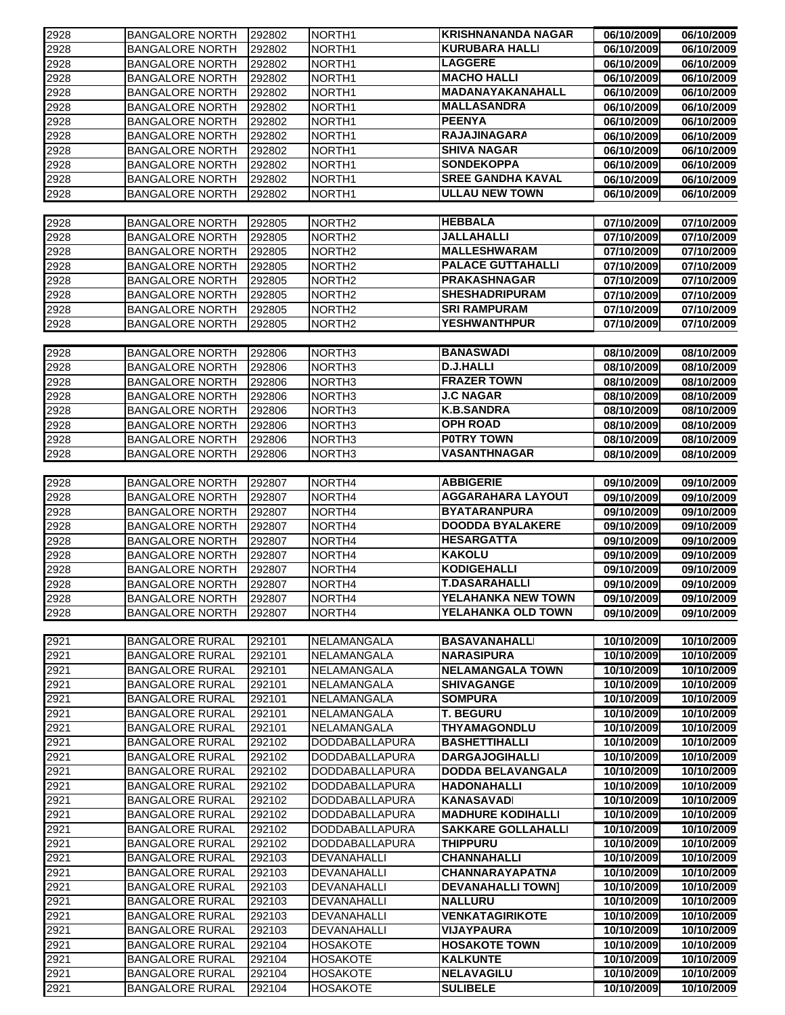| 2928 | <b>BANGALORE NORTH</b> | 292802 | NORTH <sub>1</sub> | <b>KRISHNANANDA NAGAR</b>                             | 06/10/2009               | 06/10/2009               |
|------|------------------------|--------|--------------------|-------------------------------------------------------|--------------------------|--------------------------|
| 2928 | <b>BANGALORE NORTH</b> | 292802 | NORTH <sub>1</sub> | <b>KURUBARA HALLI</b>                                 | 06/10/2009               | 06/10/2009               |
| 2928 | <b>BANGALORE NORTH</b> | 292802 | NORTH <sub>1</sub> | <b>LAGGERE</b>                                        | 06/10/2009               | 06/10/2009               |
| 2928 | <b>BANGALORE NORTH</b> | 292802 | NORTH <sub>1</sub> | <b>MACHO HALLI</b>                                    | 06/10/2009               | 06/10/2009               |
| 2928 | <b>BANGALORE NORTH</b> | 292802 | NORTH1             | MADANAYAKANAHALL                                      | 06/10/2009               | 06/10/2009               |
| 2928 | <b>BANGALORE NORTH</b> | 292802 | NORTH <sub>1</sub> | <b>MALLASANDRA</b>                                    | 06/10/2009               | 06/10/2009               |
| 2928 | <b>BANGALORE NORTH</b> | 292802 | NORTH <sub>1</sub> | <b>PEENYA</b>                                         | 06/10/2009               | 06/10/2009               |
| 2928 | <b>BANGALORE NORTH</b> | 292802 | NORTH <sub>1</sub> | <b>RAJAJINAGARA</b>                                   | 06/10/2009               | 06/10/2009               |
| 2928 | <b>BANGALORE NORTH</b> | 292802 | NORTH <sub>1</sub> | <b>SHIVA NAGAR</b>                                    | 06/10/2009               | 06/10/2009               |
| 2928 | <b>BANGALORE NORTH</b> | 292802 | NORTH <sub>1</sub> | <b>SONDEKOPPA</b>                                     | 06/10/2009               | 06/10/2009               |
| 2928 | <b>BANGALORE NORTH</b> | 292802 | NORTH <sub>1</sub> | <b>SREE GANDHA KAVAL</b>                              | 06/10/2009               | 06/10/2009               |
| 2928 | <b>BANGALORE NORTH</b> | 292802 | NORTH <sub>1</sub> | <b>ULLAU NEW TOWN</b>                                 | 06/10/2009               | 06/10/2009               |
|      |                        |        |                    |                                                       |                          |                          |
| 2928 |                        |        |                    | <b>HEBBALA</b>                                        | 07/10/2009               | 07/10/2009               |
|      | <b>BANGALORE NORTH</b> | 292805 | NORTH <sub>2</sub> | JALLAHALLI                                            |                          |                          |
| 2928 | <b>BANGALORE NORTH</b> | 292805 | NORTH <sub>2</sub> | <b>MALLESHWARAM</b>                                   | 07/10/2009               | 07/10/2009               |
| 2928 | <b>BANGALORE NORTH</b> | 292805 | NORTH <sub>2</sub> |                                                       | 07/10/2009               | 07/10/2009               |
| 2928 | <b>BANGALORE NORTH</b> | 292805 | NORTH <sub>2</sub> | <b>PALACE GUTTAHALLI</b>                              | 07/10/2009               | 07/10/2009               |
| 2928 | <b>BANGALORE NORTH</b> | 292805 | NORTH <sub>2</sub> | <b>PRAKASHNAGAR</b>                                   | 07/10/2009               | 07/10/2009               |
| 2928 | <b>BANGALORE NORTH</b> | 292805 | NORTH <sub>2</sub> | <b>SHESHADRIPURAM</b>                                 | 07/10/2009               | 07/10/2009               |
| 2928 | <b>BANGALORE NORTH</b> | 292805 | NORTH <sub>2</sub> | <b>SRI RAMPURAM</b>                                   | 07/10/2009               | 07/10/2009               |
| 2928 | <b>BANGALORE NORTH</b> | 292805 | NORTH <sub>2</sub> | <b>YESHWANTHPUR</b>                                   | 07/10/2009               | 07/10/2009               |
|      |                        |        |                    |                                                       |                          |                          |
| 2928 | <b>BANGALORE NORTH</b> | 292806 | NORTH <sub>3</sub> | <b>BANASWADI</b>                                      | 08/10/2009               | 08/10/2009               |
| 2928 | <b>BANGALORE NORTH</b> | 292806 | NORTH <sub>3</sub> | <b>D.J.HALLI</b>                                      | 08/10/2009               | 08/10/2009               |
| 2928 | <b>BANGALORE NORTH</b> | 292806 | NORTH <sub>3</sub> | <b>FRAZER TOWN</b>                                    | 08/10/2009               | 08/10/2009               |
| 2928 | <b>BANGALORE NORTH</b> | 292806 | NORTH <sub>3</sub> | <b>J.C NAGAR</b>                                      | 08/10/2009               | 08/10/2009               |
| 2928 | <b>BANGALORE NORTH</b> | 292806 | NORTH <sub>3</sub> | <b>K.B.SANDRA</b>                                     | 08/10/2009               | 08/10/2009               |
| 2928 | <b>BANGALORE NORTH</b> | 292806 | NORTH <sub>3</sub> | <b>OPH ROAD</b>                                       | 08/10/2009               | 08/10/2009               |
| 2928 | <b>BANGALORE NORTH</b> | 292806 | NORTH <sub>3</sub> | <b>POTRY TOWN</b>                                     | 08/10/2009               | 08/10/2009               |
| 2928 | <b>BANGALORE NORTH</b> | 292806 | NORTH <sub>3</sub> | VASANTHNAGAR                                          | 08/10/2009               | 08/10/2009               |
|      |                        |        |                    |                                                       |                          |                          |
| 2928 | <b>BANGALORE NORTH</b> | 292807 | NORTH <sub>4</sub> | <b>ABBIGERIE</b>                                      | 09/10/2009               | 09/10/2009               |
|      | <b>BANGALORE NORTH</b> | 292807 | NORTH4             | <b>AGGARAHARA LAYOUT</b>                              |                          |                          |
| 2928 |                        |        |                    | <b>BYATARANPURA</b>                                   | 09/10/2009               | 09/10/2009               |
| 2928 | <b>BANGALORE NORTH</b> | 292807 | NORTH4             | <b>DOODDA BYALAKERE</b>                               | 09/10/2009               | 09/10/2009               |
| 2928 | <b>BANGALORE NORTH</b> | 292807 | NORTH <sub>4</sub> |                                                       | 09/10/2009               | 09/10/2009               |
| 2928 | <b>BANGALORE NORTH</b> | 292807 | NORTH4             | <b>HESARGATTA</b>                                     | 09/10/2009               | 09/10/2009               |
| 2928 | <b>BANGALORE NORTH</b> | 292807 | NORTH <sub>4</sub> | <b>KAKOLU</b>                                         | 09/10/2009               | 09/10/2009               |
| 2928 | <b>BANGALORE NORTH</b> | 292807 | NORTH <sub>4</sub> | <b>KODIGEHALLI</b>                                    | 09/10/2009               | 09/10/2009               |
| 2928 | <b>BANGALORE NORTH</b> | 292807 | NORTH4             | <b>T.DASARAHALLI</b>                                  | 09/10/2009               | 09/10/2009               |
| 2928 | <b>BANGALORE NORTH</b> | 292807 | NORTH4             | YELAHANKA NEW TOWN                                    | 09/10/2009               | 09/10/2009               |
| 2928 | <b>BANGALORE NORTH</b> | 292807 | NORTH4             | YELAHANKA OLD TOWN                                    | 09/10/2009               | 09/10/2009               |
|      |                        |        |                    |                                                       |                          |                          |
| 2921 | <b>BANGALORE RURAL</b> | 292101 | NELAMANGALA        | <b>BASAVANAHALLI</b>                                  | 10/10/2009               | 10/10/2009               |
| 2921 | <b>BANGALORE RURAL</b> | 292101 | NELAMANGALA        | <b>NARASIPURA</b>                                     | 10/10/2009               | 10/10/2009               |
| 2921 | <b>BANGALORE RURAL</b> | 292101 | NELAMANGALA        | <b>NELAMANGALA TOWN</b>                               | 10/10/2009               | 10/10/2009               |
| 2921 | <b>BANGALORE RURAL</b> | 292101 | NELAMANGALA        | <b>SHIVAGANGE</b>                                     | 10/10/2009               | 10/10/2009               |
| 2921 | <b>BANGALORE RURAL</b> | 292101 | NELAMANGALA        | <b>SOMPURA</b>                                        | 10/10/2009               | 10/10/2009               |
| 2921 | <b>BANGALORE RURAL</b> | 292101 | NELAMANGALA        | <b>T. BEGURU</b>                                      | 10/10/2009               | 10/10/2009               |
| 2921 | <b>BANGALORE RURAL</b> | 292101 | NELAMANGALA        | THYAMAGONDLU                                          | 10/10/2009               | 10/10/2009               |
| 2921 | <b>BANGALORE RURAL</b> | 292102 | DODDABALLAPURA     | <b>BASHETTIHALLI</b>                                  | 10/10/2009               | 10/10/2009               |
| 2921 | <b>BANGALORE RURAL</b> | 292102 | DODDABALLAPURA     | <b>DARGAJOGIHALLI</b>                                 | 10/10/2009               | 10/10/2009               |
| 2921 | <b>BANGALORE RURAL</b> | 292102 | DODDABALLAPURA     | <b>DODDA BELAVANGALA</b>                              | 10/10/2009               | 10/10/2009               |
| 2921 | <b>BANGALORE RURAL</b> | 292102 | DODDABALLAPURA     | <b>HADONAHALLI</b>                                    | 10/10/2009               | 10/10/2009               |
| 2921 | <b>BANGALORE RURAL</b> | 292102 | DODDABALLAPURA     | <b>KANASAVADI</b>                                     | 10/10/2009               | 10/10/2009               |
|      |                        |        |                    |                                                       |                          |                          |
| 2921 | <b>BANGALORE RURAL</b> | 292102 | DODDABALLAPURA     | <b>MADHURE KODIHALLI</b><br><b>SAKKARE GOLLAHALLI</b> | 10/10/2009<br>10/10/2009 | 10/10/2009<br>10/10/2009 |
| 2921 | <b>BANGALORE RURAL</b> | 292102 | DODDABALLAPURA     |                                                       |                          |                          |
| 2921 | <b>BANGALORE RURAL</b> | 292102 | DODDABALLAPURA     | <b>THIPPURU</b>                                       | 10/10/2009               | 10/10/2009               |
| 2921 | <b>BANGALORE RURAL</b> | 292103 | DEVANAHALLI        | <b>CHANNAHALLI</b>                                    | 10/10/2009               | 10/10/2009               |
| 2921 | <b>BANGALORE RURAL</b> | 292103 | DEVANAHALLI        | <b>CHANNARAYAPATNA</b>                                | 10/10/2009               | 10/10/2009               |
| 2921 | <b>BANGALORE RURAL</b> | 292103 | DEVANAHALLI        | <b>DEVANAHALLI TOWN]</b>                              | 10/10/2009               | 10/10/2009               |
| 2921 | <b>BANGALORE RURAL</b> | 292103 | DEVANAHALLI        | <b>NALLURU</b>                                        | 10/10/2009               | 10/10/2009               |
| 2921 | <b>BANGALORE RURAL</b> | 292103 | DEVANAHALLI        | <b>VENKATAGIRIKOTE</b>                                | 10/10/2009               | 10/10/2009               |
| 2921 | <b>BANGALORE RURAL</b> | 292103 | DEVANAHALLI        | <b>VIJAYPAURA</b>                                     | 10/10/2009               | 10/10/2009               |
| 2921 | <b>BANGALORE RURAL</b> | 292104 | <b>HOSAKOTE</b>    | <b>HOSAKOTE TOWN</b>                                  | 10/10/2009               | 10/10/2009               |
| 2921 | <b>BANGALORE RURAL</b> | 292104 | <b>HOSAKOTE</b>    | <b>KALKUNTE</b>                                       | 10/10/2009               | 10/10/2009               |
| 2921 | <b>BANGALORE RURAL</b> | 292104 | <b>HOSAKOTE</b>    | <b>NELAVAGILU</b>                                     | 10/10/2009               | 10/10/2009               |
| 2921 | <b>BANGALORE RURAL</b> | 292104 | <b>HOSAKOTE</b>    | <b>SULIBELE</b>                                       | 10/10/2009               | 10/10/2009               |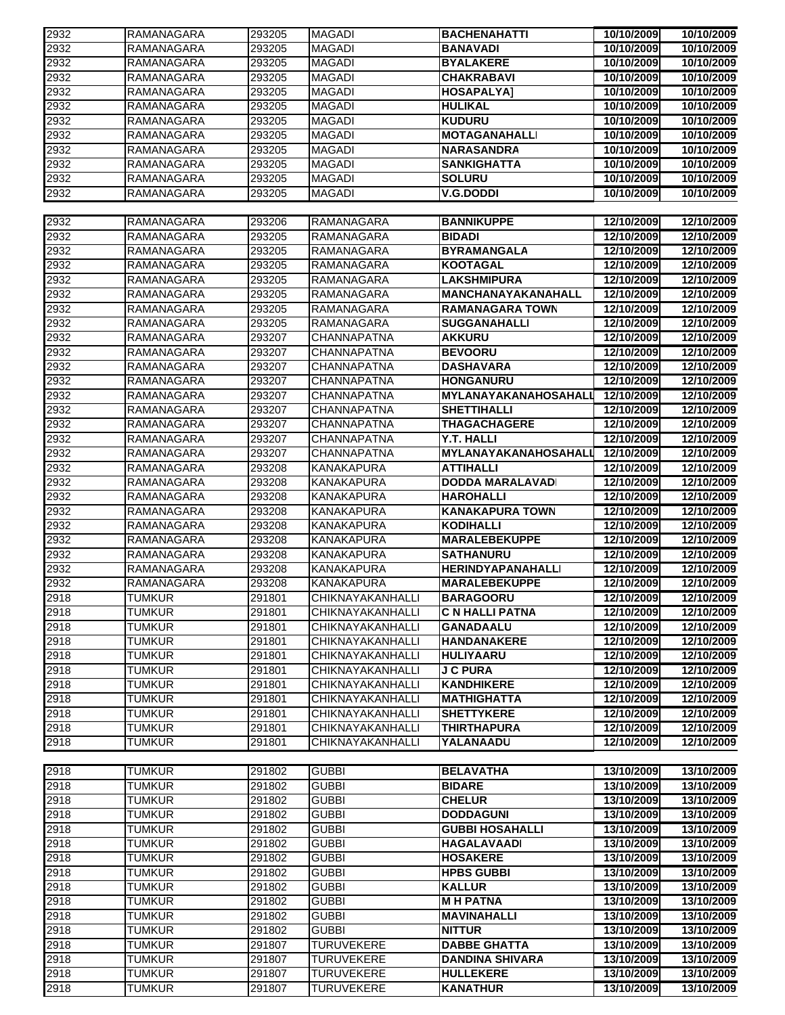| 2932 | RAMANAGARA        | 293205 | MAGADI             | <b>BACHENAHATTI</b>      | 10/10/2009 | 10/10/2009 |
|------|-------------------|--------|--------------------|--------------------------|------------|------------|
| 2932 | <b>RAMANAGARA</b> | 293205 | <b>MAGADI</b>      | <b>BANAVADI</b>          | 10/10/2009 | 10/10/2009 |
| 2932 | <b>RAMANAGARA</b> | 293205 | <b>MAGADI</b>      | <b>BYALAKERE</b>         | 10/10/2009 | 10/10/2009 |
| 2932 | RAMANAGARA        | 293205 | <b>MAGADI</b>      | <b>CHAKRABAVI</b>        | 10/10/2009 | 10/10/2009 |
| 2932 | RAMANAGARA        | 293205 | MAGADI             | <b>HOSAPALYA1</b>        | 10/10/2009 | 10/10/2009 |
| 2932 | RAMANAGARA        | 293205 | <b>MAGADI</b>      | <b>HULIKAL</b>           | 10/10/2009 | 10/10/2009 |
| 2932 | <b>RAMANAGARA</b> | 293205 | <b>MAGADI</b>      | <b>KUDURU</b>            | 10/10/2009 | 10/10/2009 |
| 2932 | <b>RAMANAGARA</b> | 293205 | <b>MAGADI</b>      | <b>MOTAGANAHALLI</b>     | 10/10/2009 | 10/10/2009 |
| 2932 | <b>RAMANAGARA</b> | 293205 | <b>MAGADI</b>      | <b>NARASANDRA</b>        | 10/10/2009 | 10/10/2009 |
| 2932 | RAMANAGARA        | 293205 | <b>MAGADI</b>      | <b>SANKIGHATTA</b>       | 10/10/2009 | 10/10/2009 |
| 2932 | <b>RAMANAGARA</b> | 293205 | <b>MAGADI</b>      | <b>SOLURU</b>            | 10/10/2009 | 10/10/2009 |
| 2932 | <b>RAMANAGARA</b> | 293205 | <b>MAGADI</b>      | <b>V.G.DODDI</b>         | 10/10/2009 | 10/10/2009 |
|      |                   |        |                    |                          |            |            |
| 2932 | <b>RAMANAGARA</b> | 293206 | <b>RAMANAGARA</b>  | <b>BANNIKUPPE</b>        | 12/10/2009 | 12/10/2009 |
| 2932 | <b>RAMANAGARA</b> | 293205 | RAMANAGARA         | <b>BIDADI</b>            | 12/10/2009 | 12/10/2009 |
| 2932 | <b>RAMANAGARA</b> | 293205 | RAMANAGARA         | <b>BYRAMANGALA</b>       | 12/10/2009 | 12/10/2009 |
| 2932 | <b>RAMANAGARA</b> | 293205 | RAMANAGARA         | <b>KOOTAGAL</b>          | 12/10/2009 | 12/10/2009 |
| 2932 | <b>RAMANAGARA</b> | 293205 | RAMANAGARA         | <b>LAKSHMIPURA</b>       | 12/10/2009 | 12/10/2009 |
| 2932 | RAMANAGARA        | 293205 | RAMANAGARA         | MANCHANAYAKANAHALL       | 12/10/2009 | 12/10/2009 |
| 2932 | <b>RAMANAGARA</b> | 293205 | RAMANAGARA         | <b>RAMANAGARA TOWN</b>   | 12/10/2009 | 12/10/2009 |
| 2932 | RAMANAGARA        | 293205 | RAMANAGARA         | <b>SUGGANAHALLI</b>      | 12/10/2009 | 12/10/2009 |
| 2932 | RAMANAGARA        | 293207 | <b>CHANNAPATNA</b> | AKKURU                   | 12/10/2009 | 12/10/2009 |
| 2932 | RAMANAGARA        | 293207 | <b>CHANNAPATNA</b> | <b>BEVOORU</b>           | 12/10/2009 | 12/10/2009 |
| 2932 | RAMANAGARA        | 293207 | CHANNAPATNA        | DASHAVARA                | 12/10/2009 | 12/10/2009 |
| 2932 | <b>RAMANAGARA</b> | 293207 | <b>CHANNAPATNA</b> | <b>HONGANURU</b>         | 12/10/2009 | 12/10/2009 |
| 2932 | RAMANAGARA        | 293207 | CHANNAPATNA        | MYLANAYAKANAHOSAHALL     | 12/10/2009 | 12/10/2009 |
| 2932 | RAMANAGARA        | 293207 | <b>CHANNAPATNA</b> | <b>SHETTIHALLI</b>       | 12/10/2009 | 12/10/2009 |
| 2932 | RAMANAGARA        | 293207 | CHANNAPATNA        | <b>THAGACHAGERE</b>      | 12/10/2009 | 12/10/2009 |
| 2932 | <b>RAMANAGARA</b> | 293207 | <b>CHANNAPATNA</b> | Y.T. HALLI               | 12/10/2009 | 12/10/2009 |
| 2932 | RAMANAGARA        | 293207 | <b>CHANNAPATNA</b> | MYLANAYAKANAHOSAHALI     | 12/10/2009 | 12/10/2009 |
| 2932 | RAMANAGARA        | 293208 | <b>KANAKAPURA</b>  | <b>ATTIHALLI</b>         | 12/10/2009 | 12/10/2009 |
| 2932 | <b>RAMANAGARA</b> | 293208 | <b>KANAKAPURA</b>  | <b>DODDA MARALAVADI</b>  | 12/10/2009 | 12/10/2009 |
| 2932 | <b>RAMANAGARA</b> | 293208 | <b>KANAKAPURA</b>  | <b>HAROHALLI</b>         | 12/10/2009 | 12/10/2009 |
| 2932 | <b>RAMANAGARA</b> | 293208 | <b>KANAKAPURA</b>  | <b>KANAKAPURA TOWN</b>   | 12/10/2009 | 12/10/2009 |
| 2932 | <b>RAMANAGARA</b> | 293208 | <b>KANAKAPURA</b>  | <b>KODIHALLI</b>         | 12/10/2009 | 12/10/2009 |
| 2932 | <b>RAMANAGARA</b> | 293208 | <b>KANAKAPURA</b>  | <b>MARALEBEKUPPE</b>     | 12/10/2009 | 12/10/2009 |
| 2932 | <b>RAMANAGARA</b> | 293208 | <b>KANAKAPURA</b>  | <b>SATHANURU</b>         | 12/10/2009 | 12/10/2009 |
| 2932 | <b>RAMANAGARA</b> | 293208 | <b>KANAKAPURA</b>  | <b>HERINDYAPANAHALLI</b> | 12/10/2009 | 12/10/2009 |
| 2932 | <b>RAMANAGARA</b> | 293208 | <b>KANAKAPURA</b>  | <b>MARALEBEKUPPE</b>     | 12/10/2009 | 12/10/2009 |
| 2918 | <b>TUMKUR</b>     | 291801 | CHIKNAYAKANHALLI   | <b>BARAGOORU</b>         | 12/10/2009 | 12/10/2009 |
| 2918 | <b>TUMKUR</b>     | 291801 | CHIKNAYAKANHALLI   | <b>C N HALLI PATNA</b>   | 12/10/2009 | 12/10/2009 |
| 2918 | <b>TUMKUR</b>     | 291801 | CHIKNAYAKANHALLI   | <b>GANADAALU</b>         | 12/10/2009 | 12/10/2009 |
| 2918 | <b>TUMKUR</b>     | 291801 | CHIKNAYAKANHALLI   | <b>HANDANAKERE</b>       | 12/10/2009 | 12/10/2009 |
| 2918 | <b>TUMKUR</b>     | 291801 | CHIKNAYAKANHALLI   | <b>HULIYAARU</b>         | 12/10/2009 | 12/10/2009 |
|      | <b>TUMKUR</b>     | 291801 | CHIKNAYAKANHALLI   | <b>J C PURA</b>          | 12/10/2009 | 12/10/2009 |
| 2918 |                   |        | CHIKNAYAKANHALLI   |                          | 12/10/2009 |            |
| 2918 | <b>TUMKUR</b>     | 291801 |                    | <b>KANDHIKERE</b>        |            | 12/10/2009 |
| 2918 | <b>TUMKUR</b>     | 291801 | CHIKNAYAKANHALLI   | <b>MATHIGHATTA</b>       | 12/10/2009 | 12/10/2009 |
| 2918 | <b>TUMKUR</b>     | 291801 | CHIKNAYAKANHALLI   | <b>SHETTYKERE</b>        | 12/10/2009 | 12/10/2009 |
| 2918 | <b>TUMKUR</b>     | 291801 | CHIKNAYAKANHALLI   | <b>THIRTHAPURA</b>       | 12/10/2009 | 12/10/2009 |
| 2918 | <b>TUMKUR</b>     | 291801 | CHIKNAYAKANHALLI   | YALANAADU                | 12/10/2009 | 12/10/2009 |
|      |                   |        |                    |                          |            |            |
| 2918 | <b>TUMKUR</b>     | 291802 | <b>GUBBI</b>       | <b>BELAVATHA</b>         | 13/10/2009 | 13/10/2009 |
| 2918 | <b>TUMKUR</b>     | 291802 | <b>GUBBI</b>       | <b>BIDARE</b>            | 13/10/2009 | 13/10/2009 |
| 2918 | <b>TUMKUR</b>     | 291802 | <b>GUBBI</b>       | <b>CHELUR</b>            | 13/10/2009 | 13/10/2009 |
| 2918 | <b>TUMKUR</b>     | 291802 | <b>GUBBI</b>       | <b>DODDAGUNI</b>         | 13/10/2009 | 13/10/2009 |
| 2918 | <b>TUMKUR</b>     | 291802 | <b>GUBBI</b>       | <b>GUBBI HOSAHALLI</b>   | 13/10/2009 | 13/10/2009 |
| 2918 | <b>TUMKUR</b>     | 291802 | <b>GUBBI</b>       | <b>HAGALAVAADI</b>       | 13/10/2009 | 13/10/2009 |
| 2918 | <b>TUMKUR</b>     | 291802 | <b>GUBBI</b>       | <b>HOSAKERE</b>          | 13/10/2009 | 13/10/2009 |
| 2918 | <b>TUMKUR</b>     | 291802 | <b>GUBBI</b>       | <b>HPBS GUBBI</b>        | 13/10/2009 | 13/10/2009 |
| 2918 | <b>TUMKUR</b>     | 291802 | <b>GUBBI</b>       | <b>KALLUR</b>            | 13/10/2009 | 13/10/2009 |
| 2918 | <b>TUMKUR</b>     | 291802 | <b>GUBBI</b>       | <b>MH PATNA</b>          | 13/10/2009 | 13/10/2009 |
| 2918 | <b>TUMKUR</b>     | 291802 | <b>GUBBI</b>       | <b>MAVINAHALLI</b>       | 13/10/2009 | 13/10/2009 |
| 2918 | <b>TUMKUR</b>     | 291802 | <b>GUBBI</b>       | <b>NITTUR</b>            | 13/10/2009 | 13/10/2009 |
| 2918 | <b>TUMKUR</b>     | 291807 | <b>TURUVEKERE</b>  | <b>DABBE GHATTA</b>      | 13/10/2009 | 13/10/2009 |
| 2918 | <b>TUMKUR</b>     | 291807 | <b>TURUVEKERE</b>  | <b>DANDINA SHIVARA</b>   | 13/10/2009 | 13/10/2009 |
| 2918 | <b>TUMKUR</b>     | 291807 | <b>TURUVEKERE</b>  | <b>HULLEKERE</b>         | 13/10/2009 | 13/10/2009 |
| 2918 | <b>TUMKUR</b>     | 291807 | TURUVEKERE         | <b>KANATHUR</b>          | 13/10/2009 | 13/10/2009 |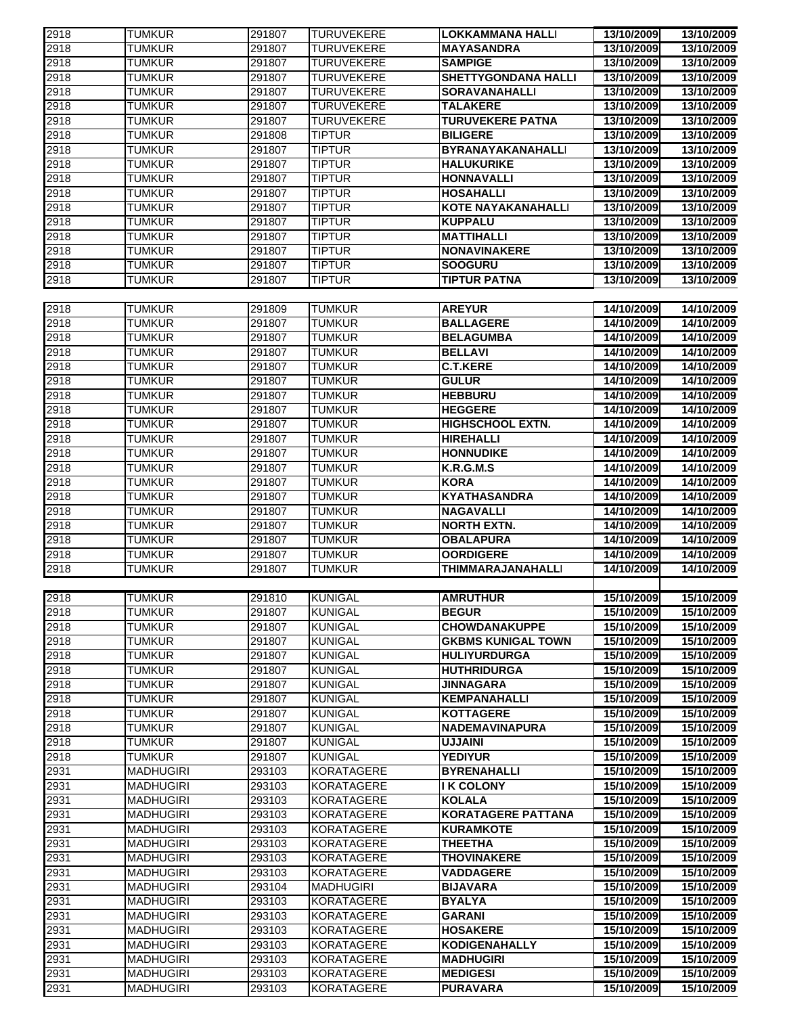| 2918 | <b>TUMKUR</b>    | 291807 | <b>TURUVEKERE</b> | <b>LOKKAMMANA HALLI</b>    | 13/10/2009 | 13/10/2009 |
|------|------------------|--------|-------------------|----------------------------|------------|------------|
| 2918 | <b>TUMKUR</b>    | 291807 | <b>TURUVEKERE</b> | <b>MAYASANDRA</b>          | 13/10/2009 | 13/10/2009 |
| 2918 | <b>TUMKUR</b>    | 291807 | <b>TURUVEKERE</b> | <b>SAMPIGE</b>             | 13/10/2009 | 13/10/2009 |
| 2918 | <b>TUMKUR</b>    | 291807 | <b>TURUVEKERE</b> | <b>SHETTYGONDANA HALLI</b> | 13/10/2009 | 13/10/2009 |
| 2918 | <b>TUMKUR</b>    | 291807 | <b>TURUVEKERE</b> | <b>SORAVANAHALLI</b>       | 13/10/2009 | 13/10/2009 |
| 2918 | <b>TUMKUR</b>    | 291807 | <b>TURUVEKERE</b> | <b>TALAKERE</b>            | 13/10/2009 | 13/10/2009 |
| 2918 | <b>TUMKUR</b>    | 291807 | <b>TURUVEKERE</b> | <b>TURUVEKERE PATNA</b>    | 13/10/2009 | 13/10/2009 |
| 2918 | <b>TUMKUR</b>    | 291808 | <b>TIPTUR</b>     | <b>BILIGERE</b>            | 13/10/2009 | 13/10/2009 |
| 2918 | <b>TUMKUR</b>    | 291807 | <b>TIPTUR</b>     | BYRANAYAKANAHALLI          | 13/10/2009 | 13/10/2009 |
| 2918 | <b>TUMKUR</b>    | 291807 | <b>TIPTUR</b>     | <b>HALUKURIKE</b>          | 13/10/2009 | 13/10/2009 |
| 2918 | <b>TUMKUR</b>    | 291807 | <b>TIPTUR</b>     | <b>HONNAVALLI</b>          | 13/10/2009 | 13/10/2009 |
| 2918 | <b>TUMKUR</b>    | 291807 | <b>TIPTUR</b>     | <b>HOSAHALLI</b>           | 13/10/2009 | 13/10/2009 |
| 2918 | <b>TUMKUR</b>    | 291807 | <b>TIPTUR</b>     | <b>KOTE NAYAKANAHALLI</b>  | 13/10/2009 | 13/10/2009 |
| 2918 | <b>TUMKUR</b>    | 291807 | <b>TIPTUR</b>     | <b>KUPPALU</b>             | 13/10/2009 | 13/10/2009 |
| 2918 | <b>TUMKUR</b>    | 291807 | <b>TIPTUR</b>     | <b>MATTIHALLI</b>          | 13/10/2009 | 13/10/2009 |
| 2918 | <b>TUMKUR</b>    | 291807 | <b>TIPTUR</b>     | <b>NONAVINAKERE</b>        | 13/10/2009 | 13/10/2009 |
| 2918 | <b>TUMKUR</b>    | 291807 | <b>TIPTUR</b>     | <b>SOOGURU</b>             | 13/10/2009 | 13/10/2009 |
| 2918 | <b>TUMKUR</b>    | 291807 | <b>TIPTUR</b>     | <b>TIPTUR PATNA</b>        | 13/10/2009 | 13/10/2009 |
|      |                  |        |                   |                            |            |            |
| 2918 | <b>TUMKUR</b>    | 291809 | <b>TUMKUR</b>     | <b>AREYUR</b>              | 14/10/2009 | 14/10/2009 |
| 2918 | <b>TUMKUR</b>    | 291807 | <b>TUMKUR</b>     | <b>BALLAGERE</b>           | 14/10/2009 | 14/10/2009 |
| 2918 | <b>TUMKUR</b>    | 291807 | <b>TUMKUR</b>     | <b>BELAGUMBA</b>           | 14/10/2009 | 14/10/2009 |
| 2918 | <b>TUMKUR</b>    | 291807 | <b>TUMKUR</b>     | <b>BELLAVI</b>             | 14/10/2009 | 14/10/2009 |
| 2918 | <b>TUMKUR</b>    | 291807 | <b>TUMKUR</b>     | <b>C.T.KERE</b>            | 14/10/2009 | 14/10/2009 |
| 2918 | <b>TUMKUR</b>    | 291807 | <b>TUMKUR</b>     | <b>GULUR</b>               | 14/10/2009 | 14/10/2009 |
| 2918 | <b>TUMKUR</b>    | 291807 | <b>TUMKUR</b>     | <b>HEBBURU</b>             | 14/10/2009 | 14/10/2009 |
| 2918 | <b>TUMKUR</b>    | 291807 | <b>TUMKUR</b>     | <b>HEGGERE</b>             | 14/10/2009 | 14/10/2009 |
| 2918 | <b>TUMKUR</b>    | 291807 | <b>TUMKUR</b>     | <b>HIGHSCHOOL EXTN.</b>    | 14/10/2009 | 14/10/2009 |
| 2918 | <b>TUMKUR</b>    | 291807 | <b>TUMKUR</b>     | <b>HIREHALLI</b>           | 14/10/2009 | 14/10/2009 |
| 2918 | <b>TUMKUR</b>    | 291807 | <b>TUMKUR</b>     | <b>HONNUDIKE</b>           | 14/10/2009 | 14/10/2009 |
| 2918 | <b>TUMKUR</b>    | 291807 | <b>TUMKUR</b>     | K.R.G.M.S                  | 14/10/2009 | 14/10/2009 |
| 2918 | <b>TUMKUR</b>    | 291807 | <b>TUMKUR</b>     | <b>KORA</b>                | 14/10/2009 | 14/10/2009 |
| 2918 | <b>TUMKUR</b>    | 291807 | <b>TUMKUR</b>     | <b>KYATHASANDRA</b>        | 14/10/2009 | 14/10/2009 |
| 2918 | <b>TUMKUR</b>    | 291807 | <b>TUMKUR</b>     | <b>NAGAVALLI</b>           | 14/10/2009 | 14/10/2009 |
| 2918 | <b>TUMKUR</b>    | 291807 | <b>TUMKUR</b>     | <b>NORTH EXTN.</b>         | 14/10/2009 | 14/10/2009 |
| 2918 | <b>TUMKUR</b>    | 291807 | <b>TUMKUR</b>     | <b>OBALAPURA</b>           | 14/10/2009 | 14/10/2009 |
| 2918 | <b>TUMKUR</b>    | 291807 | <b>TUMKUR</b>     | <b>OORDIGERE</b>           | 14/10/2009 | 14/10/2009 |
| 2918 | <b>TUMKUR</b>    | 291807 | <b>TUMKUR</b>     | <b>THIMMARAJANAHALLI</b>   | 14/10/2009 | 14/10/2009 |
|      |                  |        |                   |                            |            |            |
| 2918 | <b>TUMKUR</b>    | 291810 | <b>KUNIGAL</b>    | <b>AMRUTHUR</b>            | 15/10/2009 | 15/10/2009 |
| 2918 | <b>TUMKUR</b>    | 291807 | <b>KUNIGAL</b>    | <b>BEGUR</b>               | 15/10/2009 | 15/10/2009 |
| 2918 | <b>TUMKUR</b>    | 291807 | <b>KUNIGAL</b>    | <b>CHOWDANAKUPPE</b>       | 15/10/2009 | 15/10/2009 |
| 2918 | <b>TUMKUR</b>    | 291807 | <b>KUNIGAL</b>    | <b>GKBMS KUNIGAL TOWN</b>  | 15/10/2009 | 15/10/2009 |
| 2918 | <b>TUMKUR</b>    | 291807 | <b>KUNIGAL</b>    | <b>HULIYURDURGA</b>        | 15/10/2009 | 15/10/2009 |
| 2918 | <b>TUMKUR</b>    | 291807 | <b>KUNIGAL</b>    | <b>HUTHRIDURGA</b>         | 15/10/2009 | 15/10/2009 |
| 2918 | <b>TUMKUR</b>    | 291807 | <b>KUNIGAL</b>    | <b>JINNAGARA</b>           | 15/10/2009 | 15/10/2009 |
| 2918 | <b>TUMKUR</b>    | 291807 | <b>KUNIGAL</b>    | <b>KEMPANAHALLI</b>        | 15/10/2009 | 15/10/2009 |
| 2918 | <b>TUMKUR</b>    | 291807 | <b>KUNIGAL</b>    | <b>KOTTAGERE</b>           | 15/10/2009 | 15/10/2009 |
| 2918 | <b>TUMKUR</b>    | 291807 | <b>KUNIGAL</b>    | NADEMAVINAPURA             | 15/10/2009 | 15/10/2009 |
| 2918 | <b>TUMKUR</b>    | 291807 | <b>KUNIGAL</b>    | <b>UJJAINI</b>             | 15/10/2009 | 15/10/2009 |
| 2918 | <b>TUMKUR</b>    | 291807 | <b>KUNIGAL</b>    | <b>YEDIYUR</b>             | 15/10/2009 | 15/10/2009 |
| 2931 | <b>MADHUGIRI</b> | 293103 | <b>KORATAGERE</b> | <b>BYRENAHALLI</b>         | 15/10/2009 | 15/10/2009 |
| 2931 | <b>MADHUGIRI</b> | 293103 | <b>KORATAGERE</b> | <b>IK COLONY</b>           | 15/10/2009 | 15/10/2009 |
| 2931 | <b>MADHUGIRI</b> | 293103 | <b>KORATAGERE</b> | <b>KOLALA</b>              | 15/10/2009 | 15/10/2009 |
| 2931 | <b>MADHUGIRI</b> | 293103 | <b>KORATAGERE</b> | <b>KORATAGERE PATTANA</b>  | 15/10/2009 | 15/10/2009 |
| 2931 | <b>MADHUGIRI</b> | 293103 | <b>KORATAGERE</b> | <b>KURAMKOTE</b>           | 15/10/2009 | 15/10/2009 |
| 2931 | <b>MADHUGIRI</b> | 293103 | <b>KORATAGERE</b> | <b>THEETHA</b>             | 15/10/2009 | 15/10/2009 |
| 2931 | <b>MADHUGIRI</b> | 293103 | <b>KORATAGERE</b> | <b>THOVINAKERE</b>         | 15/10/2009 | 15/10/2009 |
| 2931 | <b>MADHUGIRI</b> | 293103 | <b>KORATAGERE</b> | <b>VADDAGERE</b>           | 15/10/2009 | 15/10/2009 |
| 2931 | <b>MADHUGIRI</b> | 293104 | <b>MADHUGIRI</b>  | <b>BIJAVARA</b>            | 15/10/2009 | 15/10/2009 |
| 2931 | <b>MADHUGIRI</b> | 293103 | <b>KORATAGERE</b> | <b>BYALYA</b>              | 15/10/2009 | 15/10/2009 |
| 2931 | <b>MADHUGIRI</b> | 293103 | <b>KORATAGERE</b> | <b>GARANI</b>              | 15/10/2009 | 15/10/2009 |
| 2931 | <b>MADHUGIRI</b> | 293103 | <b>KORATAGERE</b> | <b>HOSAKERE</b>            | 15/10/2009 | 15/10/2009 |
| 2931 | <b>MADHUGIRI</b> | 293103 | <b>KORATAGERE</b> | <b>KODIGENAHALLY</b>       | 15/10/2009 | 15/10/2009 |
| 2931 | <b>MADHUGIRI</b> | 293103 | <b>KORATAGERE</b> | <b>MADHUGIRI</b>           | 15/10/2009 | 15/10/2009 |
| 2931 | <b>MADHUGIRI</b> | 293103 | <b>KORATAGERE</b> | <b>MEDIGESI</b>            | 15/10/2009 | 15/10/2009 |
| 2931 | <b>MADHUGIRI</b> | 293103 | <b>KORATAGERE</b> | <b>PURAVARA</b>            | 15/10/2009 | 15/10/2009 |
|      |                  |        |                   |                            |            |            |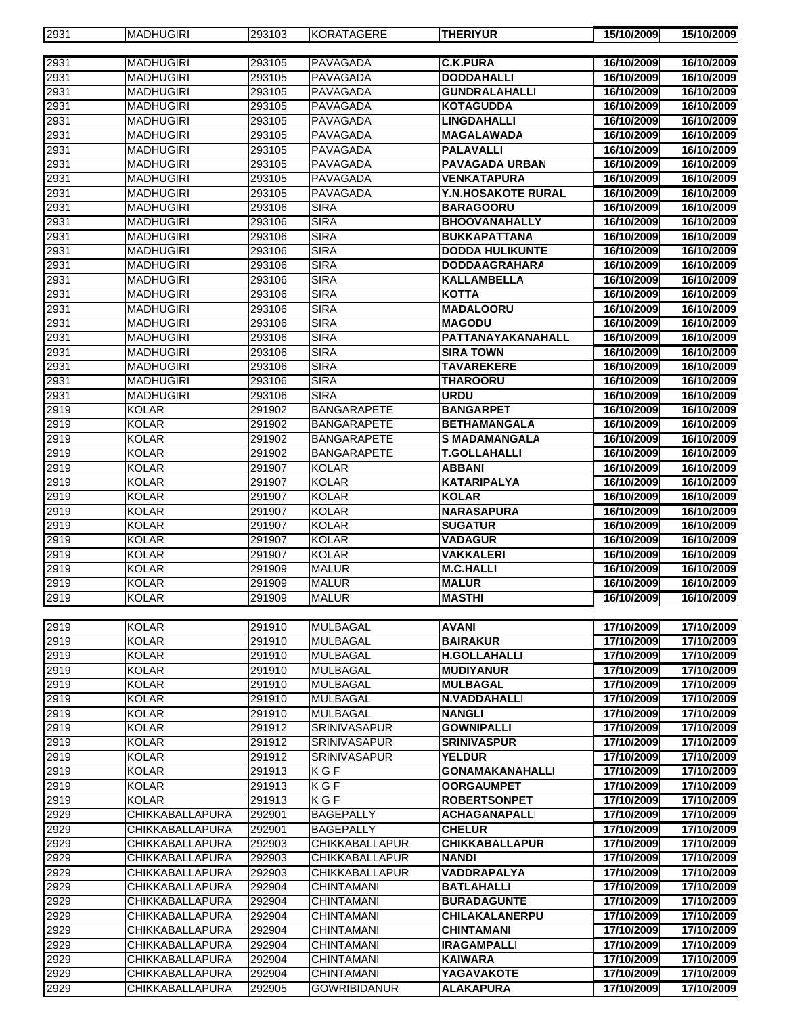| 2931 | <b>MADHUGIRI</b>       | 293103 | <b>KORATAGERE</b>     | <b>THERIYUR</b>           | 15/10/2009 | 15/10/2009 |
|------|------------------------|--------|-----------------------|---------------------------|------------|------------|
|      |                        |        |                       |                           |            |            |
| 2931 | <b>MADHUGIRI</b>       | 293105 | <b>PAVAGADA</b>       | <b>C.K.PURA</b>           | 16/10/2009 | 16/10/2009 |
| 2931 | <b>MADHUGIRI</b>       | 293105 | PAVAGADA              | <b>DODDAHALLI</b>         | 16/10/2009 | 16/10/2009 |
| 2931 | <b>MADHUGIRI</b>       | 293105 | <b>PAVAGADA</b>       | <b>GUNDRALAHALLI</b>      | 16/10/2009 | 16/10/2009 |
| 2931 | <b>MADHUGIRI</b>       | 293105 | <b>PAVAGADA</b>       | <b>KOTAGUDDA</b>          | 16/10/2009 | 16/10/2009 |
| 2931 | <b>MADHUGIRI</b>       | 293105 | <b>PAVAGADA</b>       | <b>LINGDAHALLI</b>        | 16/10/2009 | 16/10/2009 |
| 2931 | <b>MADHUGIRI</b>       | 293105 | PAVAGADA              | <b>MAGALAWADA</b>         | 16/10/2009 | 16/10/2009 |
| 2931 | <b>MADHUGIRI</b>       | 293105 | PAVAGADA              | <b>PALAVALLI</b>          | 16/10/2009 | 16/10/2009 |
| 2931 | <b>MADHUGIRI</b>       | 293105 | PAVAGADA              | <b>PAVAGADA URBAN</b>     | 16/10/2009 | 16/10/2009 |
| 2931 | <b>MADHUGIRI</b>       | 293105 | <b>PAVAGADA</b>       | <b>VENKATAPURA</b>        | 16/10/2009 | 16/10/2009 |
| 2931 | <b>MADHUGIRI</b>       | 293105 | PAVAGADA              | <b>Y.N.HOSAKOTE RURAL</b> | 16/10/2009 | 16/10/2009 |
| 2931 | <b>MADHUGIRI</b>       | 293106 | <b>SIRA</b>           | <b>BARAGOORU</b>          | 16/10/2009 | 16/10/2009 |
| 2931 | <b>MADHUGIRI</b>       | 293106 | <b>SIRA</b>           | <b>BHOOVANAHALLY</b>      | 16/10/2009 | 16/10/2009 |
| 2931 | <b>MADHUGIRI</b>       | 293106 | <b>SIRA</b>           | <b>BUKKAPATTANA</b>       | 16/10/2009 | 16/10/2009 |
| 2931 | <b>MADHUGIRI</b>       | 293106 | <b>SIRA</b>           | <b>DODDA HULIKUNTE</b>    | 16/10/2009 | 16/10/2009 |
| 2931 | <b>MADHUGIRI</b>       | 293106 | <b>SIRA</b>           | <b>DODDAAGRAHARA</b>      | 16/10/2009 | 16/10/2009 |
| 2931 | <b>MADHUGIRI</b>       | 293106 | <b>SIRA</b>           | <b>KALLAMBELLA</b>        | 16/10/2009 | 16/10/2009 |
| 2931 | <b>MADHUGIRI</b>       | 293106 | <b>SIRA</b>           | <b>KOTTA</b>              | 16/10/2009 | 16/10/2009 |
| 2931 | <b>MADHUGIRI</b>       | 293106 | <b>SIRA</b>           | <b>MADALOORU</b>          | 16/10/2009 | 16/10/2009 |
| 2931 | <b>MADHUGIRI</b>       | 293106 | <b>SIRA</b>           | <b>MAGODU</b>             | 16/10/2009 | 16/10/2009 |
| 2931 | <b>MADHUGIRI</b>       | 293106 | <b>SIRA</b>           | PATTANAYAKANAHALL         | 16/10/2009 | 16/10/2009 |
| 2931 | <b>MADHUGIRI</b>       | 293106 | <b>SIRA</b>           | <b>SIRA TOWN</b>          | 16/10/2009 | 16/10/2009 |
| 2931 | <b>MADHUGIRI</b>       | 293106 | <b>SIRA</b>           | <b>TAVAREKERE</b>         | 16/10/2009 | 16/10/2009 |
| 2931 | <b>MADHUGIRI</b>       | 293106 | <b>SIRA</b>           | <b>THAROORU</b>           | 16/10/2009 | 16/10/2009 |
| 2931 | <b>MADHUGIRI</b>       | 293106 | <b>SIRA</b>           | <b>URDU</b>               | 16/10/2009 | 16/10/2009 |
| 2919 | <b>KOLAR</b>           | 291902 | <b>BANGARAPETE</b>    | <b>BANGARPET</b>          | 16/10/2009 | 16/10/2009 |
| 2919 | <b>KOLAR</b>           | 291902 | <b>BANGARAPETE</b>    | <b>BETHAMANGALA</b>       | 16/10/2009 | 16/10/2009 |
| 2919 | <b>KOLAR</b>           | 291902 | <b>BANGARAPETE</b>    | <b>S MADAMANGALA</b>      | 16/10/2009 | 16/10/2009 |
| 2919 | <b>KOLAR</b>           | 291902 | <b>BANGARAPETE</b>    | <b>T.GOLLAHALLI</b>       | 16/10/2009 | 16/10/2009 |
| 2919 | <b>KOLAR</b>           | 291907 | <b>KOLAR</b>          | <b>ABBANI</b>             | 16/10/2009 | 16/10/2009 |
| 2919 | <b>KOLAR</b>           | 291907 | <b>KOLAR</b>          | <b>KATARIPALYA</b>        | 16/10/2009 | 16/10/2009 |
| 2919 | <b>KOLAR</b>           | 291907 | <b>KOLAR</b>          | KOLAR                     | 16/10/2009 | 16/10/2009 |
| 2919 | <b>KOLAR</b>           | 291907 | <b>KOLAR</b>          | <b>NARASAPURA</b>         | 16/10/2009 | 16/10/2009 |
| 2919 | <b>KOLAR</b>           | 291907 | <b>KOLAR</b>          | <b>SUGATUR</b>            | 16/10/2009 | 16/10/2009 |
| 2919 | <b>KOLAR</b>           | 291907 | <b>KOLAR</b>          | <b>VADAGUR</b>            | 16/10/2009 | 16/10/2009 |
| 2919 | <b>KOLAR</b>           | 291907 | <b>KOLAR</b>          | VAKKALERI                 | 16/10/2009 | 16/10/2009 |
| 2919 | <b>KOLAR</b>           | 291909 | <b>MALUR</b>          | <b>M.C.HALLI</b>          | 16/10/2009 | 16/10/2009 |
| 2919 | <b>KOLAR</b>           | 291909 | <b>MALUR</b>          | <b>MALUR</b>              | 16/10/2009 | 16/10/2009 |
| 2919 | <b>KOLAR</b>           | 291909 | <b>MALUR</b>          | <b>MASTHI</b>             | 16/10/2009 | 16/10/2009 |
|      |                        |        |                       |                           |            |            |
| 2919 | <b>KOLAR</b>           | 291910 | <b>MULBAGAL</b>       | <b>AVANI</b>              | 17/10/2009 | 17/10/2009 |
| 2919 | <b>KOLAR</b>           | 291910 | <b>MULBAGAL</b>       | <b>BAIRAKUR</b>           | 17/10/2009 | 17/10/2009 |
| 2919 | <b>KOLAR</b>           | 291910 | <b>MULBAGAL</b>       | <b>H.GOLLAHALLI</b>       | 17/10/2009 | 17/10/2009 |
| 2919 | <b>KOLAR</b>           | 291910 | <b>MULBAGAL</b>       | <b>MUDIYANUR</b>          | 17/10/2009 | 17/10/2009 |
| 2919 | <b>KOLAR</b>           | 291910 | <b>MULBAGAL</b>       | <b>MULBAGAL</b>           | 17/10/2009 | 17/10/2009 |
| 2919 | <b>KOLAR</b>           | 291910 | <b>MULBAGAL</b>       | <b>N.VADDAHALLI</b>       | 17/10/2009 | 17/10/2009 |
| 2919 | <b>KOLAR</b>           | 291910 | <b>MULBAGAL</b>       | <b>NANGLI</b>             | 17/10/2009 | 17/10/2009 |
| 2919 | <b>KOLAR</b>           | 291912 | <b>SRINIVASAPUR</b>   | <b>GOWNIPALLI</b>         | 17/10/2009 | 17/10/2009 |
| 2919 | <b>KOLAR</b>           | 291912 | <b>SRINIVASAPUR</b>   | <b>SRINIVASPUR</b>        | 17/10/2009 | 17/10/2009 |
| 2919 | <b>KOLAR</b>           | 291912 | <b>SRINIVASAPUR</b>   | <b>YELDUR</b>             | 17/10/2009 | 17/10/2009 |
| 2919 | <b>KOLAR</b>           | 291913 | KGF                   | <b>GONAMAKANAHALLI</b>    | 17/10/2009 | 17/10/2009 |
| 2919 | <b>KOLAR</b>           | 291913 | KGF                   | <b>OORGAUMPET</b>         | 17/10/2009 | 17/10/2009 |
|      | <b>KOLAR</b>           |        | KGF                   | <b>ROBERTSONPET</b>       | 17/10/2009 | 17/10/2009 |
| 2919 |                        | 291913 |                       |                           |            |            |
| 2929 | <b>CHIKKABALLAPURA</b> | 292901 | <b>BAGEPALLY</b>      | <b>ACHAGANAPALLI</b>      | 17/10/2009 | 17/10/2009 |
| 2929 | CHIKKABALLAPURA        | 292901 | <b>BAGEPALLY</b>      | <b>CHELUR</b>             | 17/10/2009 | 17/10/2009 |
| 2929 | CHIKKABALLAPURA        | 292903 | <b>CHIKKABALLAPUR</b> | <b>CHIKKABALLAPUR</b>     | 17/10/2009 | 17/10/2009 |
| 2929 | CHIKKABALLAPURA        | 292903 | <b>CHIKKABALLAPUR</b> | NANDI                     | 17/10/2009 | 17/10/2009 |
| 2929 | CHIKKABALLAPURA        | 292903 | CHIKKABALLAPUR        | VADDRAPALYA               | 17/10/2009 | 17/10/2009 |
| 2929 | CHIKKABALLAPURA        | 292904 | <b>CHINTAMANI</b>     | <b>BATLAHALLI</b>         | 17/10/2009 | 17/10/2009 |
| 2929 | CHIKKABALLAPURA        | 292904 | <b>CHINTAMANI</b>     | <b>BURADAGUNTE</b>        | 17/10/2009 | 17/10/2009 |
| 2929 | CHIKKABALLAPURA        | 292904 | <b>CHINTAMANI</b>     | <b>CHILAKALANERPU</b>     | 17/10/2009 | 17/10/2009 |
| 2929 | <b>CHIKKABALLAPURA</b> | 292904 | <b>CHINTAMANI</b>     | <b>CHINTAMANI</b>         | 17/10/2009 | 17/10/2009 |
| 2929 | CHIKKABALLAPURA        | 292904 | <b>CHINTAMANI</b>     | <b>IRAGAMPALLI</b>        | 17/10/2009 | 17/10/2009 |
| 2929 | CHIKKABALLAPURA        | 292904 | <b>CHINTAMANI</b>     | <b>KAIWARA</b>            | 17/10/2009 | 17/10/2009 |
| 2929 | CHIKKABALLAPURA        | 292904 | <b>CHINTAMANI</b>     | YAGAVAKOTE                | 17/10/2009 | 17/10/2009 |
| 2929 | CHIKKABALLAPURA        | 292905 | <b>GOWRIBIDANUR</b>   | <b>ALAKAPURA</b>          | 17/10/2009 | 17/10/2009 |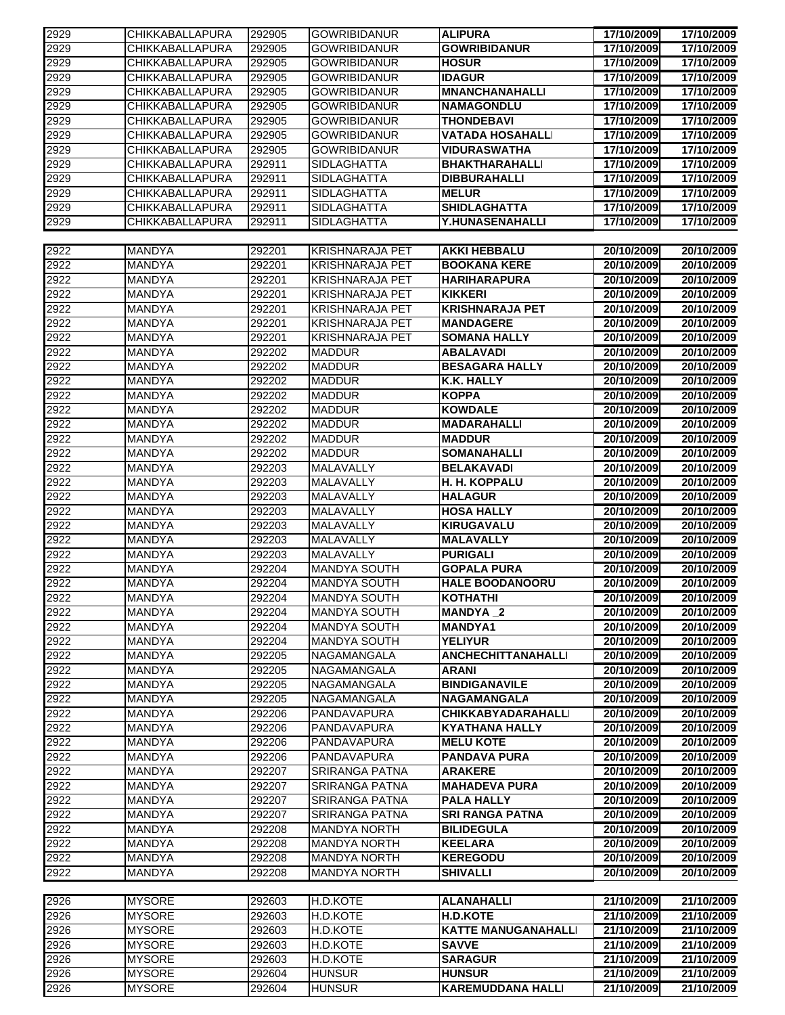| 2929 | CHIKKABALLAPURA        | 292905 | <b>GOWRIBIDANUR</b>    | <b>ALIPURA</b>             | 17/10/2009 | 17/10/2009 |
|------|------------------------|--------|------------------------|----------------------------|------------|------------|
| 2929 | <b>CHIKKABALLAPURA</b> | 292905 | <b>GOWRIBIDANUR</b>    | <b>GOWRIBIDANUR</b>        | 17/10/2009 | 17/10/2009 |
| 2929 | <b>CHIKKABALLAPURA</b> | 292905 | <b>GOWRIBIDANUR</b>    | <b>HOSUR</b>               | 17/10/2009 | 17/10/2009 |
| 2929 | CHIKKABALLAPURA        | 292905 | <b>GOWRIBIDANUR</b>    | <b>IDAGUR</b>              | 17/10/2009 | 17/10/2009 |
| 2929 | CHIKKABALLAPURA        | 292905 | <b>GOWRIBIDANUR</b>    | <b>MNANCHANAHALLI</b>      | 17/10/2009 | 17/10/2009 |
| 2929 | CHIKKABALLAPURA        | 292905 | <b>GOWRIBIDANUR</b>    | <b>NAMAGONDLU</b>          | 17/10/2009 | 17/10/2009 |
| 2929 | CHIKKABALLAPURA        | 292905 | <b>GOWRIBIDANUR</b>    | <b>THONDEBAVI</b>          | 17/10/2009 | 17/10/2009 |
| 2929 | CHIKKABALLAPURA        | 292905 | <b>GOWRIBIDANUR</b>    | <b>VATADA HOSAHALLI</b>    | 17/10/2009 | 17/10/2009 |
|      |                        |        |                        |                            |            |            |
| 2929 | <b>CHIKKABALLAPURA</b> | 292905 | <b>GOWRIBIDANUR</b>    | <b>VIDURASWATHA</b>        | 17/10/2009 | 17/10/2009 |
| 2929 | <b>CHIKKABALLAPURA</b> | 292911 | <b>SIDLAGHATTA</b>     | <b>BHAKTHARAHALLI</b>      | 17/10/2009 | 17/10/2009 |
| 2929 | <b>CHIKKABALLAPURA</b> | 292911 | <b>SIDLAGHATTA</b>     | <b>DIBBURAHALLI</b>        | 17/10/2009 | 17/10/2009 |
| 2929 | <b>CHIKKABALLAPURA</b> | 292911 | <b>SIDLAGHATTA</b>     | <b>MELUR</b>               | 17/10/2009 | 17/10/2009 |
| 2929 | <b>CHIKKABALLAPURA</b> | 292911 | <b>SIDLAGHATTA</b>     | <b>SHIDLAGHATTA</b>        | 17/10/2009 | 17/10/2009 |
| 2929 | CHIKKABALLAPURA        | 292911 | <b>SIDLAGHATTA</b>     | Y.HUNASENAHALLI            | 17/10/2009 | 17/10/2009 |
|      |                        |        |                        |                            |            |            |
| 2922 | <b>MANDYA</b>          | 292201 | <b>KRISHNARAJA PET</b> | <b>AKKI HEBBALU</b>        | 20/10/2009 | 20/10/2009 |
| 2922 | <b>MANDYA</b>          | 292201 | <b>KRISHNARAJA PET</b> | <b>BOOKANA KERE</b>        | 20/10/2009 | 20/10/2009 |
| 2922 | <b>MANDYA</b>          | 292201 | <b>KRISHNARAJA PET</b> | <b>HARIHARAPURA</b>        | 20/10/2009 | 20/10/2009 |
| 2922 | <b>MANDYA</b>          | 292201 | <b>KRISHNARAJA PET</b> | <b>KIKKERI</b>             | 20/10/2009 | 20/10/2009 |
|      |                        |        |                        |                            |            |            |
| 2922 | <b>MANDYA</b>          | 292201 | <b>KRISHNARAJA PET</b> | <b>KRISHNARAJA PET</b>     | 20/10/2009 | 20/10/2009 |
| 2922 | MANDYA                 | 292201 | <b>KRISHNARAJA PET</b> | <b>MANDAGERE</b>           | 20/10/2009 | 20/10/2009 |
| 2922 | <b>MANDYA</b>          | 292201 | <b>KRISHNARAJA PET</b> | <b>SOMANA HALLY</b>        | 20/10/2009 | 20/10/2009 |
| 2922 | MANDYA                 | 292202 | <b>MADDUR</b>          | <b>ABALAVADI</b>           | 20/10/2009 | 20/10/2009 |
| 2922 | <b>MANDYA</b>          | 292202 | <b>MADDUR</b>          | <b>BESAGARA HALLY</b>      | 20/10/2009 | 20/10/2009 |
| 2922 | <b>MANDYA</b>          | 292202 | <b>MADDUR</b>          | <b>K.K. HALLY</b>          | 20/10/2009 | 20/10/2009 |
| 2922 | <b>MANDYA</b>          | 292202 | <b>MADDUR</b>          | <b>KOPPA</b>               | 20/10/2009 | 20/10/2009 |
| 2922 | <b>MANDYA</b>          | 292202 | <b>MADDUR</b>          | <b>KOWDALE</b>             | 20/10/2009 | 20/10/2009 |
| 2922 | <b>MANDYA</b>          | 292202 | <b>MADDUR</b>          | <b>MADARAHALLI</b>         | 20/10/2009 | 20/10/2009 |
| 2922 | MANDYA                 | 292202 | <b>MADDUR</b>          | <b>MADDUR</b>              | 20/10/2009 | 20/10/2009 |
|      |                        |        |                        |                            |            |            |
| 2922 | <b>MANDYA</b>          | 292202 | <b>MADDUR</b>          | <b>SOMANAHALLI</b>         | 20/10/2009 | 20/10/2009 |
| 2922 | MANDYA                 | 292203 | MALAVALLY              | <b>BELAKAVADI</b>          | 20/10/2009 | 20/10/2009 |
| 2922 | <b>MANDYA</b>          | 292203 | <b>MALAVALLY</b>       | H. H. KOPPALU              | 20/10/2009 | 20/10/2009 |
| 2922 | <b>MANDYA</b>          | 292203 | <b>MALAVALLY</b>       | <b>HALAGUR</b>             | 20/10/2009 | 20/10/2009 |
| 2922 | <b>MANDYA</b>          | 292203 | <b>MALAVALLY</b>       | <b>HOSA HALLY</b>          | 20/10/2009 | 20/10/2009 |
| 2922 | <b>MANDYA</b>          | 292203 | <b>MALAVALLY</b>       | <b>KIRUGAVALU</b>          | 20/10/2009 | 20/10/2009 |
| 2922 | <b>MANDYA</b>          | 292203 | <b>MALAVALLY</b>       | <b>MALAVALLY</b>           | 20/10/2009 | 20/10/2009 |
| 2922 | <b>MANDYA</b>          | 292203 | <b>MALAVALLY</b>       | <b>PURIGALI</b>            | 20/10/2009 | 20/10/2009 |
| 2922 | <b>MANDYA</b>          | 292204 | <b>MANDYA SOUTH</b>    | <b>GOPALA PURA</b>         | 20/10/2009 | 20/10/2009 |
| 2922 | <b>MANDYA</b>          | 292204 | <b>MANDYA SOUTH</b>    | <b>HALE BOODANOORU</b>     | 20/10/2009 | 20/10/2009 |
| 2922 | <b>MANDYA</b>          | 292204 | <b>MANDYA SOUTH</b>    | <b>KOTHATHI</b>            | 20/10/2009 | 20/10/2009 |
| 2922 |                        | 292204 |                        | <b>MANDYA_2</b>            |            | 20/10/2009 |
|      | <b>MANDYA</b>          |        | <b>MANDYA SOUTH</b>    |                            | 20/10/2009 |            |
| 2922 | <b>MANDYA</b>          | 292204 | <b>MANDYA SOUTH</b>    | <b>MANDYA1</b>             | 20/10/2009 | 20/10/2009 |
| 2922 | <b>MANDYA</b>          | 292204 | <b>MANDYA SOUTH</b>    | <b>YELIYUR</b>             | 20/10/2009 | 20/10/2009 |
| 2922 | <b>MANDYA</b>          | 292205 | NAGAMANGALA            | <b>ANCHECHITTANAHALLI</b>  | 20/10/2009 | 20/10/2009 |
| 2922 | <b>MANDYA</b>          | 292205 | NAGAMANGALA            | <b>ARANI</b>               | 20/10/2009 | 20/10/2009 |
| 2922 | <b>MANDYA</b>          | 292205 | <b>NAGAMANGALA</b>     | <b>BINDIGANAVILE</b>       | 20/10/2009 | 20/10/2009 |
| 2922 | <b>MANDYA</b>          | 292205 | NAGAMANGALA            | <b>NAGAMANGALA</b>         | 20/10/2009 | 20/10/2009 |
| 2922 | <b>MANDYA</b>          | 292206 | PANDAVAPURA            | <b>CHIKKABYADARAHALLI</b>  | 20/10/2009 | 20/10/2009 |
| 2922 | <b>MANDYA</b>          | 292206 | PANDAVAPURA            | <b>KYATHANA HALLY</b>      | 20/10/2009 | 20/10/2009 |
| 2922 | <b>MANDYA</b>          | 292206 | PANDAVAPURA            | <b>MELU KOTE</b>           | 20/10/2009 | 20/10/2009 |
| 2922 | <b>MANDYA</b>          | 292206 | PANDAVAPURA            | <b>PANDAVA PURA</b>        | 20/10/2009 | 20/10/2009 |
|      |                        |        | <b>SRIRANGA PATNA</b>  |                            |            |            |
| 2922 | <b>MANDYA</b>          | 292207 |                        | <b>ARAKERE</b>             | 20/10/2009 | 20/10/2009 |
| 2922 | <b>MANDYA</b>          | 292207 | <b>SRIRANGA PATNA</b>  | <b>MAHADEVA PURA</b>       | 20/10/2009 | 20/10/2009 |
| 2922 | <b>MANDYA</b>          | 292207 | <b>SRIRANGA PATNA</b>  | <b>PALA HALLY</b>          | 20/10/2009 | 20/10/2009 |
| 2922 | <b>MANDYA</b>          | 292207 | <b>SRIRANGA PATNA</b>  | <b>SRI RANGA PATNA</b>     | 20/10/2009 | 20/10/2009 |
| 2922 | <b>MANDYA</b>          | 292208 | <b>MANDYA NORTH</b>    | <b>BILIDEGULA</b>          | 20/10/2009 | 20/10/2009 |
| 2922 | <b>MANDYA</b>          | 292208 | <b>MANDYA NORTH</b>    | <b>KEELARA</b>             | 20/10/2009 | 20/10/2009 |
| 2922 | <b>MANDYA</b>          | 292208 | <b>MANDYA NORTH</b>    | <b>KEREGODU</b>            | 20/10/2009 | 20/10/2009 |
| 2922 | <b>MANDYA</b>          | 292208 | <b>MANDYA NORTH</b>    | <b>SHIVALLI</b>            | 20/10/2009 | 20/10/2009 |
|      |                        |        |                        |                            |            |            |
| 2926 | <b>MYSORE</b>          | 292603 | H.D.KOTE               | <b>ALANAHALLI</b>          | 21/10/2009 | 21/10/2009 |
| 2926 | <b>MYSORE</b>          | 292603 | H.D.KOTE               | <b>H.D.KOTE</b>            | 21/10/2009 | 21/10/2009 |
|      |                        |        |                        |                            |            |            |
| 2926 | <b>MYSORE</b>          | 292603 | H.D.KOTE               | <b>KATTE MANUGANAHALLI</b> | 21/10/2009 | 21/10/2009 |
| 2926 | <b>MYSORE</b>          | 292603 | H.D.KOTE               | <b>SAVVE</b>               | 21/10/2009 | 21/10/2009 |
| 2926 | <b>MYSORE</b>          | 292603 | H.D.KOTE               | <b>SARAGUR</b>             | 21/10/2009 | 21/10/2009 |
| 2926 | <b>MYSORE</b>          | 292604 | <b>HUNSUR</b>          | <b>HUNSUR</b>              | 21/10/2009 | 21/10/2009 |
| 2926 | <b>MYSORE</b>          | 292604 | <b>HUNSUR</b>          | <b>KAREMUDDANA HALLI</b>   | 21/10/2009 | 21/10/2009 |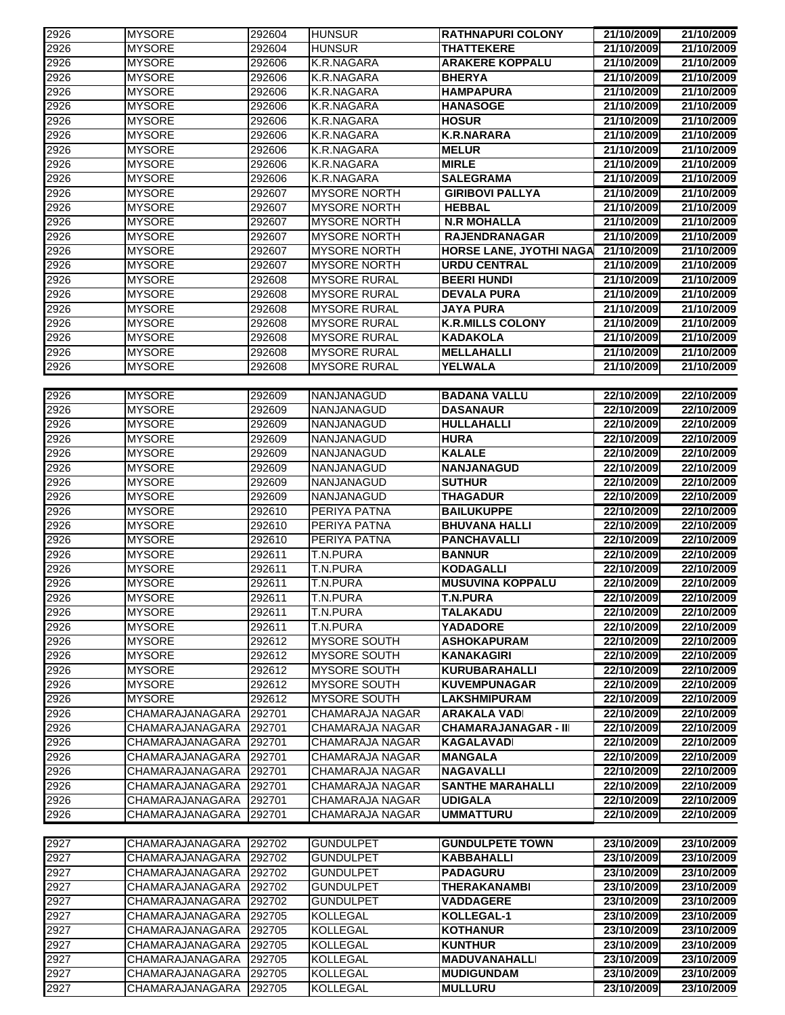| 2926         | <b>MYSORE</b>                      | 292604           | <b>HUNSUR</b>                      | <b>RATHNAPURI COLONY</b>          | 21/10/2009               | 21/10/2009               |  |  |
|--------------|------------------------------------|------------------|------------------------------------|-----------------------------------|--------------------------|--------------------------|--|--|
| 2926         | <b>MYSORE</b>                      | 292604           | <b>HUNSUR</b>                      | <b>THATTEKERE</b>                 | 21/10/2009               | 21/10/2009               |  |  |
| 2926         | <b>MYSORE</b>                      | 292606           | K.R.NAGARA                         | <b>ARAKERE KOPPALU</b>            | 21/10/2009               | 21/10/2009               |  |  |
| 2926         | <b>MYSORE</b>                      | 292606           | K.R.NAGARA                         | <b>BHERYA</b>                     | 21/10/2009               | 21/10/2009               |  |  |
| 2926         | <b>MYSORE</b>                      | 292606           | K.R.NAGARA                         | <b>HAMPAPURA</b>                  | 21/10/2009               | 21/10/2009               |  |  |
| 2926         | <b>MYSORE</b>                      | 292606           | K.R.NAGARA                         | <b>HANASOGE</b>                   | 21/10/2009               | 21/10/2009               |  |  |
| 2926         | <b>MYSORE</b>                      | 292606           | K.R.NAGARA                         | <b>HOSUR</b>                      | 21/10/2009               | 21/10/2009               |  |  |
| 2926         | <b>MYSORE</b>                      | 292606           | K.R.NAGARA                         | <b>K.R.NARARA</b>                 | 21/10/2009               | 21/10/2009               |  |  |
| 2926         | <b>MYSORE</b>                      | 292606           | K.R.NAGARA                         | <b>MELUR</b>                      | 21/10/2009               | 21/10/2009               |  |  |
| 2926         | <b>MYSORE</b>                      | 292606           | K.R.NAGARA                         | <b>MIRLE</b>                      | 21/10/2009               | 21/10/2009               |  |  |
| 2926         | <b>MYSORE</b>                      | 292606           | K.R.NAGARA                         | <b>SALEGRAMA</b>                  | 21/10/2009               | 21/10/2009               |  |  |
| 2926         | <b>MYSORE</b>                      | 292607           | <b>MYSORE NORTH</b>                | <b>GIRIBOVI PALLYA</b>            | 21/10/2009               | 21/10/2009               |  |  |
| 2926         | <b>MYSORE</b>                      | 292607           | <b>MYSORE NORTH</b>                | <b>HEBBAL</b>                     | 21/10/2009               | 21/10/2009               |  |  |
| 2926         | <b>MYSORE</b>                      | 292607           | <b>MYSORE NORTH</b>                | <b>N.R MOHALLA</b>                | 21/10/2009               | 21/10/2009               |  |  |
| 2926         | <b>MYSORE</b>                      | 292607           | <b>MYSORE NORTH</b>                | <b>RAJENDRANAGAR</b>              | 21/10/2009               | 21/10/2009               |  |  |
| 2926         | <b>MYSORE</b>                      | 292607           | <b>MYSORE NORTH</b>                | <b>HORSE LANE, JYOTHI NAGA</b>    | 21/10/2009               | 21/10/2009               |  |  |
| 2926         | <b>MYSORE</b>                      | 292607           | <b>MYSORE NORTH</b>                | <b>URDU CENTRAL</b>               | 21/10/2009               | 21/10/2009               |  |  |
| 2926         | <b>MYSORE</b>                      | 292608           | <b>MYSORE RURAL</b>                | <b>BEERI HUNDI</b>                | 21/10/2009               | 21/10/2009               |  |  |
| 2926         | <b>MYSORE</b>                      | 292608           | <b>MYSORE RURAL</b>                | <b>DEVALA PURA</b>                | 21/10/2009               | 21/10/2009               |  |  |
| 2926         | <b>MYSORE</b>                      | 292608           | <b>MYSORE RURAL</b>                | <b>JAYA PURA</b>                  | 21/10/2009               | 21/10/2009               |  |  |
| 2926         | <b>MYSORE</b>                      | 292608           | <b>MYSORE RURAL</b>                | <b>K.R.MILLS COLONY</b>           | 21/10/2009               | 21/10/2009               |  |  |
| 2926         | <b>MYSORE</b>                      | 292608           | <b>MYSORE RURAL</b>                | <b>KADAKOLA</b>                   | 21/10/2009               | 21/10/2009               |  |  |
| 2926         | <b>MYSORE</b>                      | 292608           | <b>MYSORE RURAL</b>                | <b>MELLAHALLI</b>                 | 21/10/2009               | 21/10/2009               |  |  |
|              | <b>MYSORE</b>                      |                  | <b>MYSORE RURAL</b>                | YELWALA                           |                          | 21/10/2009               |  |  |
| 2926         |                                    | 292608           |                                    |                                   | 21/10/2009               |                          |  |  |
| 2926         | <b>MYSORE</b>                      | 292609           | <b>NANJANAGUD</b>                  | <b>BADANA VALLU</b>               | 22/10/2009               | 22/10/2009               |  |  |
| 2926         | <b>MYSORE</b>                      | 292609           | <b>NANJANAGUD</b>                  | <b>DASANAUR</b>                   | 22/10/2009               | 22/10/2009               |  |  |
|              | <b>MYSORE</b>                      | 292609           | <b>NANJANAGUD</b>                  |                                   | 22/10/2009               | 22/10/2009               |  |  |
| 2926         |                                    |                  |                                    | HULLAHALLI                        |                          |                          |  |  |
| 2926         | <b>MYSORE</b>                      | 292609           | <b>NANJANAGUD</b>                  | <b>HURA</b><br><b>KALALE</b>      | 22/10/2009               | 22/10/2009               |  |  |
| 2926         | <b>MYSORE</b>                      | 292609           | <b>NANJANAGUD</b>                  |                                   | 22/10/2009               | 22/10/2009               |  |  |
| 2926         | <b>MYSORE</b>                      | 292609           | <b>NANJANAGUD</b>                  | <b>NANJANAGUD</b>                 | 22/10/2009               | 22/10/2009               |  |  |
| 2926         | <b>MYSORE</b>                      | 292609           | NANJANAGUD                         | <b>SUTHUR</b>                     | 22/10/2009               | 22/10/2009               |  |  |
| 2926         | <b>MYSORE</b>                      | 292609           | <b>NANJANAGUD</b>                  | <b>THAGADUR</b>                   | 22/10/2009               | 22/10/2009               |  |  |
| 2926         | <b>MYSORE</b>                      | 292610           | PERIYA PATNA                       | <b>BAILUKUPPE</b>                 | 22/10/2009               | 22/10/2009               |  |  |
| 2926         | <b>MYSORE</b>                      | 292610           | PERIYA PATNA                       | <b>BHUVANA HALLI</b>              | 22/10/2009               | 22/10/2009               |  |  |
| 2926         | <b>MYSORE</b>                      | 292610           | PERIYA PATNA                       | <b>PANCHAVALLI</b>                | 22/10/2009               | 22/10/2009               |  |  |
| 2926         | <b>MYSORE</b>                      | 292611           | <b>T.N.PURA</b>                    | <b>BANNUR</b>                     | 22/10/2009               | 22/10/2009               |  |  |
| 2926         | <b>MYSORE</b>                      | 292611           | <b>T.N.PURA</b>                    | <b>KODAGALLI</b>                  | 22/10/2009               | 22/10/2009               |  |  |
| 2926         | <b>MYSORE</b>                      | 292611           | T.N.PURA                           | <b>MUSUVINA KOPPALU</b>           | 22/10/2009               | 22/10/2009               |  |  |
| 2926         | <b>MYSORE</b>                      | 292611           | T.N.PURA                           | <b>T.N.PURA</b>                   | 22/10/2009               | 22/10/2009               |  |  |
| 2926         | <b>MYSORE</b>                      | 292611           | <b>T.N.PURA</b>                    | <b>TALAKADU</b>                   | 22/10/2009               | 22/10/2009               |  |  |
| 2926         | <b>MYSORE</b>                      | 292611           | T.N.PURA                           | <b>YADADORE</b>                   | 22/10/2009               | 22/10/2009               |  |  |
| 2926         | <b>MYSORE</b>                      | 292612           | <b>MYSORE SOUTH</b>                | <b>ASHOKAPURAM</b>                | 22/10/2009               | 22/10/2009               |  |  |
| 2926         | <b>MYSORE</b>                      | 292612           | <b>MYSORE SOUTH</b>                | <b>KANAKAGIRI</b>                 | 22/10/2009               | 22/10/2009               |  |  |
| 2926         | <b>MYSORE</b>                      | 292612           | <b>MYSORE SOUTH</b>                | <b>KURUBARAHALLI</b>              | 22/10/2009               | 22/10/2009               |  |  |
| 2926         | <b>MYSORE</b>                      | 292612           | <b>MYSORE SOUTH</b>                | <b>KUVEMPUNAGAR</b>               | 22/10/2009               | 22/10/2009               |  |  |
| 2926         | <b>MYSORE</b>                      | 292612           | <b>MYSORE SOUTH</b>                | <b>LAKSHMIPURAM</b>               | 22/10/2009               | 22/10/2009               |  |  |
| 2926         | CHAMARAJANAGARA                    | 292701           | CHAMARAJA NAGAR                    | <b>ARAKALA VADI</b>               | 22/10/2009               | 22/10/2009               |  |  |
| 2926         | CHAMARAJANAGARA                    | 292701           | CHAMARAJA NAGAR                    | <b>CHAMARAJANAGAR - III</b>       | 22/10/2009               | 22/10/2009               |  |  |
| 2926         | CHAMARAJANAGARA                    | 292701           | CHAMARAJA NAGAR                    | KAGALAVADI                        | 22/10/2009               | 22/10/2009               |  |  |
| 2926         | CHAMARAJANAGARA                    | 292701           | CHAMARAJA NAGAR                    | <b>MANGALA</b>                    | 22/10/2009               | 22/10/2009               |  |  |
| 2926         | CHAMARAJANAGARA                    | 292701           | CHAMARAJA NAGAR                    | <b>NAGAVALLI</b>                  | 22/10/2009               | 22/10/2009               |  |  |
| 2926         | CHAMARAJANAGARA                    | 292701           | CHAMARAJA NAGAR                    | <b>SANTHE MARAHALLI</b>           | 22/10/2009               | 22/10/2009               |  |  |
| 2926         | CHAMARAJANAGARA                    | 292701           | CHAMARAJA NAGAR                    | <b>UDIGALA</b>                    | 22/10/2009               | 22/10/2009               |  |  |
| 2926         |                                    |                  | CHAMARAJA NAGAR                    | <b>UMMATTURU</b>                  | 22/10/2009               | 22/10/2009               |  |  |
|              |                                    |                  |                                    |                                   |                          |                          |  |  |
|              | CHAMARAJANAGARA                    | 292701           |                                    |                                   |                          |                          |  |  |
| 2927         | CHAMARAJANAGARA                    | 292702           | <b>GUNDULPET</b>                   | <b>GUNDULPETE TOWN</b>            | 23/10/2009               | 23/10/2009               |  |  |
| 2927         | CHAMARAJANAGARA                    | 292702           | <b>GUNDULPET</b>                   | <b>KABBAHALLI</b>                 | 23/10/2009               | 23/10/2009               |  |  |
| 2927         | CHAMARAJANAGARA                    | 292702           | <b>GUNDULPET</b>                   | <b>PADAGURU</b>                   | 23/10/2009               | 23/10/2009               |  |  |
| 2927         | CHAMARAJANAGARA                    | 292702           | GUNDULPET                          | <b>THERAKANAMBI</b>               | 23/10/2009               | 23/10/2009               |  |  |
|              | CHAMARAJANAGARA                    | 292702           | <b>GUNDULPET</b>                   | <b>VADDAGERE</b>                  | 23/10/2009               | 23/10/2009               |  |  |
| 2927         | CHAMARAJANAGARA                    |                  | <b>KOLLEGAL</b>                    | <b>KOLLEGAL-1</b>                 |                          |                          |  |  |
| 2927         |                                    | 292705           |                                    |                                   | 23/10/2009<br>23/10/2009 | 23/10/2009               |  |  |
| 2927         | CHAMARAJANAGARA                    | 292705           | <b>KOLLEGAL</b>                    | <b>KOTHANUR</b><br><b>KUNTHUR</b> |                          | 23/10/2009<br>23/10/2009 |  |  |
| 2927         | CHAMARAJANAGARA                    | 292705           | <b>KOLLEGAL</b><br><b>KOLLEGAL</b> | MADUVANAHALLI                     | 23/10/2009<br>23/10/2009 | 23/10/2009               |  |  |
| 2927<br>2927 | CHAMARAJANAGARA<br>CHAMARAJANAGARA | 292705<br>292705 | <b>KOLLEGAL</b>                    | <b>MUDIGUNDAM</b>                 | 23/10/2009               | 23/10/2009               |  |  |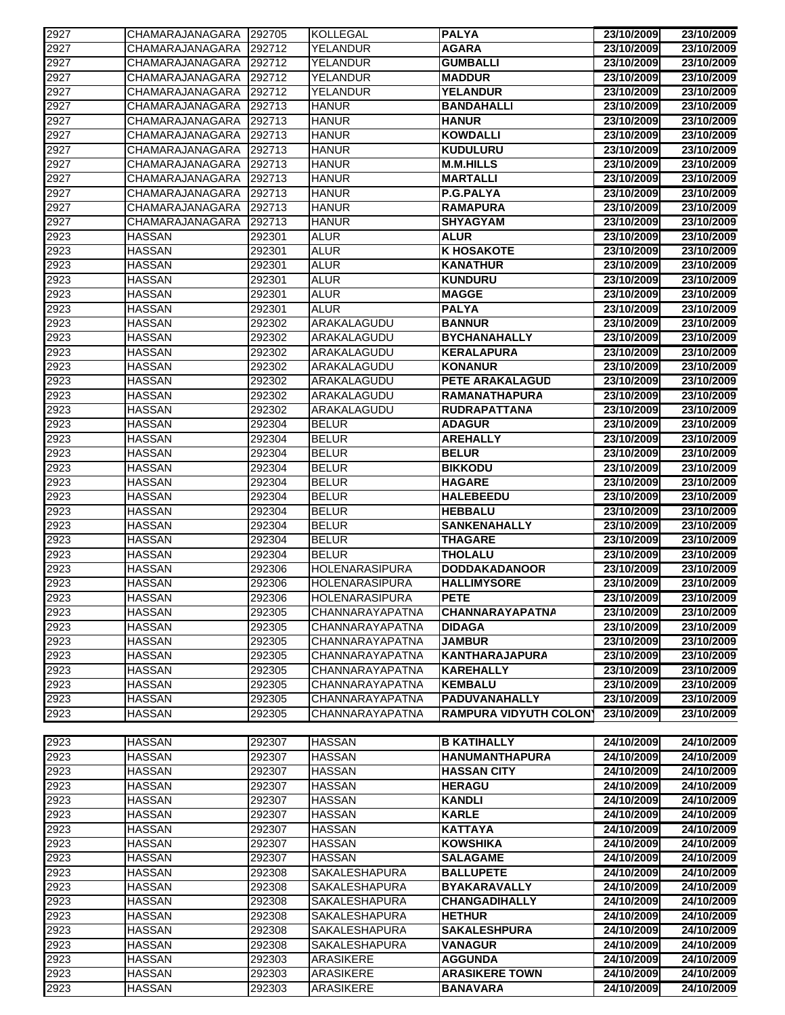| 2927 | CHAMARAJANAGARA | 292705 | <b>KOLLEGAL</b>       | <b>PALYA</b>                 | 23/10/2009               | 23/10/2009 |
|------|-----------------|--------|-----------------------|------------------------------|--------------------------|------------|
| 2927 | CHAMARAJANAGARA | 292712 | YELANDUR              | <b>AGARA</b>                 | 23/10/2009               | 23/10/2009 |
| 2927 | CHAMARAJANAGARA | 292712 | <b>YELANDUR</b>       | <b>GUMBALLI</b>              | 23/10/2009               | 23/10/2009 |
| 2927 | CHAMARAJANAGARA | 292712 | <b>YELANDUR</b>       | <b>MADDUR</b>                | 23/10/2009               | 23/10/2009 |
| 2927 | CHAMARAJANAGARA | 292712 | <b>YELANDUR</b>       | <b>YELANDUR</b>              | 23/10/2009               | 23/10/2009 |
| 2927 | CHAMARAJANAGARA | 292713 | <b>HANUR</b>          | <b>BANDAHALLI</b>            | 23/10/2009               | 23/10/2009 |
| 2927 | CHAMARAJANAGARA | 292713 | <b>HANUR</b>          | <b>HANUR</b>                 | 23/10/2009               | 23/10/2009 |
| 2927 | CHAMARAJANAGARA | 292713 | <b>HANUR</b>          | <b>KOWDALLI</b>              | 23/10/2009               | 23/10/2009 |
| 2927 | CHAMARAJANAGARA | 292713 | <b>HANUR</b>          | <b>KUDULURU</b>              | 23/10/2009               | 23/10/2009 |
| 2927 | CHAMARAJANAGARA | 292713 | <b>HANUR</b>          | <b>M.M.HILLS</b>             | 23/10/2009               | 23/10/2009 |
| 2927 | CHAMARAJANAGARA | 292713 | <b>HANUR</b>          | <b>MARTALLI</b>              | 23/10/2009               | 23/10/2009 |
| 2927 | CHAMARAJANAGARA | 292713 | <b>HANUR</b>          | <b>P.G.PALYA</b>             | 23/10/2009               | 23/10/2009 |
| 2927 | CHAMARAJANAGARA | 292713 | <b>HANUR</b>          | <b>RAMAPURA</b>              | 23/10/2009               | 23/10/2009 |
| 2927 | CHAMARAJANAGARA | 292713 | <b>HANUR</b>          | <b>SHYAGYAM</b>              | 23/10/2009               | 23/10/2009 |
| 2923 | HASSAN          | 292301 | ALUR                  | ALUR                         | 23/10/2009               | 23/10/2009 |
| 2923 | <b>HASSAN</b>   | 292301 | <b>ALUR</b>           | <b>K HOSAKOTE</b>            | 23/10/2009               | 23/10/2009 |
| 2923 | <b>HASSAN</b>   | 292301 | <b>ALUR</b>           | <b>KANATHUR</b>              | 23/10/2009               | 23/10/2009 |
| 2923 | <b>HASSAN</b>   | 292301 | <b>ALUR</b>           | <b>KUNDURU</b>               | 23/10/2009               | 23/10/2009 |
| 2923 | <b>HASSAN</b>   | 292301 | <b>ALUR</b>           | <b>MAGGE</b>                 | 23/10/2009               | 23/10/2009 |
|      |                 |        | <b>ALUR</b>           |                              |                          | 23/10/2009 |
| 2923 | <b>HASSAN</b>   | 292301 | ARAKALAGUDU           | <b>PALYA</b>                 | 23/10/2009<br>23/10/2009 | 23/10/2009 |
| 2923 | <b>HASSAN</b>   | 292302 |                       | <b>BANNUR</b>                |                          |            |
| 2923 | <b>HASSAN</b>   | 292302 | ARAKALAGUDU           | <b>BYCHANAHALLY</b>          | 23/10/2009               | 23/10/2009 |
| 2923 | <b>HASSAN</b>   | 292302 | ARAKALAGUDU           | <b>KERALAPURA</b>            | 23/10/2009               | 23/10/2009 |
| 2923 | <b>HASSAN</b>   | 292302 | ARAKALAGUDU           | <b>KONANUR</b>               | 23/10/2009               | 23/10/2009 |
| 2923 | <b>HASSAN</b>   | 292302 | ARAKALAGUDU           | <b>PETE ARAKALAGUD</b>       | 23/10/2009               | 23/10/2009 |
| 2923 | <b>HASSAN</b>   | 292302 | ARAKALAGUDU           | <b>RAMANATHAPURA</b>         | 23/10/2009               | 23/10/2009 |
| 2923 | <b>HASSAN</b>   | 292302 | ARAKALAGUDU           | <b>RUDRAPATTANA</b>          | 23/10/2009               | 23/10/2009 |
| 2923 | <b>HASSAN</b>   | 292304 | <b>BELUR</b>          | <b>ADAGUR</b>                | 23/10/2009               | 23/10/2009 |
| 2923 | <b>HASSAN</b>   | 292304 | <b>BELUR</b>          | <b>AREHALLY</b>              | 23/10/2009               | 23/10/2009 |
| 2923 | <b>HASSAN</b>   | 292304 | <b>BELUR</b>          | <b>BELUR</b>                 | 23/10/2009               | 23/10/2009 |
| 2923 | <b>HASSAN</b>   | 292304 | <b>BELUR</b>          | <b>BIKKODU</b>               | 23/10/2009               | 23/10/2009 |
| 2923 | HASSAN          | 292304 | <b>BELUR</b>          | <b>HAGARE</b>                | 23/10/2009               | 23/10/2009 |
| 2923 | <b>HASSAN</b>   | 292304 | <b>BELUR</b>          | <b>HALEBEEDU</b>             | 23/10/2009               | 23/10/2009 |
| 2923 | <b>HASSAN</b>   | 292304 | <b>BELUR</b>          | <b>HEBBALU</b>               | 23/10/2009               | 23/10/2009 |
| 2923 | <b>HASSAN</b>   | 292304 | <b>BELUR</b>          | <b>SANKENAHALLY</b>          | 23/10/2009               | 23/10/2009 |
| 2923 | <b>HASSAN</b>   | 292304 | <b>BELUR</b>          | THAGARE                      | 23/10/2009               | 23/10/2009 |
| 2923 | <b>HASSAN</b>   | 292304 | <b>BELUR</b>          | <b>THOLALU</b>               | 23/10/2009               | 23/10/2009 |
| 2923 | <b>HASSAN</b>   | 292306 | <b>HOLENARASIPURA</b> | <b>DODDAKADANOOR</b>         | 23/10/2009               | 23/10/2009 |
| 2923 | <b>HASSAN</b>   | 292306 | <b>HOLENARASIPURA</b> | <b>HALLIMYSORE</b>           | 23/10/2009               | 23/10/2009 |
| 2923 | <b>HASSAN</b>   | 292306 | HOLENARASIPURA        | <b>PETE</b>                  | 23/10/2009               | 23/10/2009 |
| 2923 | <b>HASSAN</b>   | 292305 | CHANNARAYAPATNA       | <b>CHANNARAYAPATNA</b>       | 23/10/2009               | 23/10/2009 |
| 2923 | <b>HASSAN</b>   | 292305 | CHANNARAYAPATNA       | <b>DIDAGA</b>                | 23/10/2009               | 23/10/2009 |
| 2923 | <b>HASSAN</b>   | 292305 | CHANNARAYAPATNA       | <b>JAMBUR</b>                | 23/10/2009               | 23/10/2009 |
| 2923 | <b>HASSAN</b>   | 292305 | CHANNARAYAPATNA       | <b>KANTHARAJAPURA</b>        | 23/10/2009               | 23/10/2009 |
| 2923 | <b>HASSAN</b>   | 292305 | CHANNARAYAPATNA       | <b>KAREHALLY</b>             | 23/10/2009               | 23/10/2009 |
| 2923 |                 | 292305 | CHANNARAYAPATNA       | <b>KEMBALU</b>               | 23/10/2009               | 23/10/2009 |
|      | <b>HASSAN</b>   |        |                       |                              |                          |            |
| 2923 | <b>HASSAN</b>   | 292305 | CHANNARAYAPATNA       | <b>PADUVANAHALLY</b>         | 23/10/2009               | 23/10/2009 |
| 2923 | <b>HASSAN</b>   | 292305 | CHANNARAYAPATNA       | <b>RAMPURA VIDYUTH COLON</b> | 23/10/2009               | 23/10/2009 |
|      |                 |        |                       |                              |                          |            |
| 2923 | <b>HASSAN</b>   | 292307 | <b>HASSAN</b>         | <b>B KATIHALLY</b>           | 24/10/2009               | 24/10/2009 |
| 2923 | <b>HASSAN</b>   | 292307 | <b>HASSAN</b>         | <b>HANUMANTHAPURA</b>        | 24/10/2009               | 24/10/2009 |
| 2923 | <b>HASSAN</b>   | 292307 | <b>HASSAN</b>         | <b>HASSAN CITY</b>           | 24/10/2009               | 24/10/2009 |
| 2923 | <b>HASSAN</b>   | 292307 | <b>HASSAN</b>         | <b>HERAGU</b>                | 24/10/2009               | 24/10/2009 |
| 2923 | <b>HASSAN</b>   | 292307 | <b>HASSAN</b>         | <b>KANDLI</b>                | 24/10/2009               | 24/10/2009 |
| 2923 | <b>HASSAN</b>   | 292307 | <b>HASSAN</b>         | <b>KARLE</b>                 | 24/10/2009               | 24/10/2009 |
| 2923 | <b>HASSAN</b>   | 292307 | <b>HASSAN</b>         | <b>KATTAYA</b>               | 24/10/2009               | 24/10/2009 |
| 2923 | <b>HASSAN</b>   | 292307 | <b>HASSAN</b>         | <b>KOWSHIKA</b>              | 24/10/2009               | 24/10/2009 |
| 2923 | <b>HASSAN</b>   | 292307 | <b>HASSAN</b>         | <b>SALAGAME</b>              | 24/10/2009               | 24/10/2009 |
| 2923 | <b>HASSAN</b>   | 292308 | SAKALESHAPURA         | <b>BALLUPETE</b>             | 24/10/2009               | 24/10/2009 |
| 2923 | <b>HASSAN</b>   | 292308 | <b>SAKALESHAPURA</b>  | <b>BYAKARAVALLY</b>          | 24/10/2009               | 24/10/2009 |
| 2923 | HASSAN          | 292308 | <b>SAKALESHAPURA</b>  | <b>CHANGADIHALLY</b>         | 24/10/2009               | 24/10/2009 |
| 2923 | <b>HASSAN</b>   | 292308 | <b>SAKALESHAPURA</b>  | <b>HETHUR</b>                | 24/10/2009               | 24/10/2009 |
| 2923 | <b>HASSAN</b>   | 292308 | <b>SAKALESHAPURA</b>  | <b>SAKALESHPURA</b>          | 24/10/2009               | 24/10/2009 |
| 2923 | <b>HASSAN</b>   | 292308 | <b>SAKALESHAPURA</b>  | <b>VANAGUR</b>               | 24/10/2009               | 24/10/2009 |
| 2923 | <b>HASSAN</b>   | 292303 | <b>ARASIKERE</b>      | <b>AGGUNDA</b>               | 24/10/2009               | 24/10/2009 |
| 2923 | <b>HASSAN</b>   | 292303 | ARASIKERE             | <b>ARASIKERE TOWN</b>        | 24/10/2009               | 24/10/2009 |
| 2923 | <b>HASSAN</b>   | 292303 | ARASIKERE             | <b>BANAVARA</b>              | 24/10/2009               | 24/10/2009 |
|      |                 |        |                       |                              |                          |            |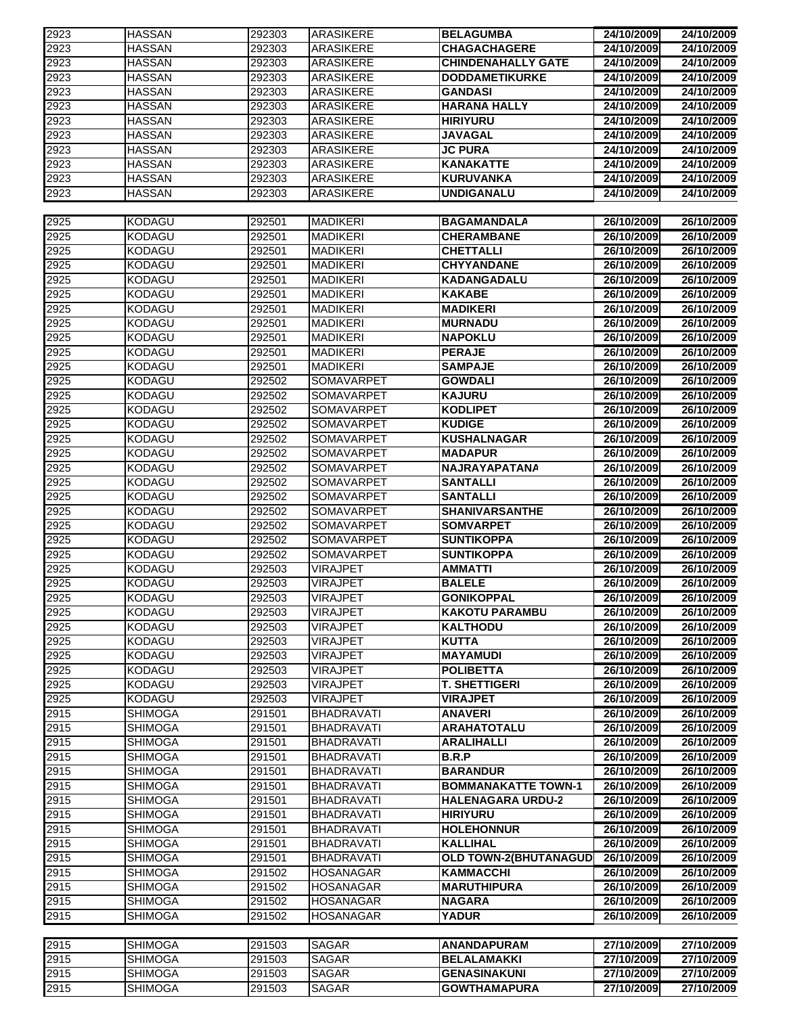| 2923 | <b>HASSAN</b>  | 292303 | <b>ARASIKERE</b>  | <b>BELAGUMBA</b>           | 24/10/2009 | 24/10/2009 |
|------|----------------|--------|-------------------|----------------------------|------------|------------|
| 2923 | <b>HASSAN</b>  | 292303 | <b>ARASIKERE</b>  | <b>CHAGACHAGERE</b>        | 24/10/2009 | 24/10/2009 |
| 2923 | <b>HASSAN</b>  | 292303 | <b>ARASIKERE</b>  | <b>CHINDENAHALLY GATE</b>  | 24/10/2009 | 24/10/2009 |
| 2923 | <b>HASSAN</b>  | 292303 | ARASIKERE         | <b>DODDAMETIKURKE</b>      | 24/10/2009 | 24/10/2009 |
| 2923 | <b>HASSAN</b>  | 292303 | <b>ARASIKERE</b>  | <b>GANDASI</b>             | 24/10/2009 | 24/10/2009 |
|      |                |        |                   |                            |            |            |
| 2923 | <b>HASSAN</b>  | 292303 | <b>ARASIKERE</b>  | <b>HARANA HALLY</b>        | 24/10/2009 | 24/10/2009 |
| 2923 | <b>HASSAN</b>  | 292303 | <b>ARASIKERE</b>  | <b>HIRIYURU</b>            | 24/10/2009 | 24/10/2009 |
| 2923 | <b>HASSAN</b>  | 292303 | <b>ARASIKERE</b>  | JAVAGAL                    | 24/10/2009 | 24/10/2009 |
| 2923 | <b>HASSAN</b>  | 292303 | <b>ARASIKERE</b>  | <b>JC PURA</b>             | 24/10/2009 | 24/10/2009 |
| 2923 | <b>HASSAN</b>  | 292303 | <b>ARASIKERE</b>  | <b>KANAKATTE</b>           | 24/10/2009 | 24/10/2009 |
| 2923 | <b>HASSAN</b>  | 292303 | <b>ARASIKERE</b>  | <b>KURUVANKA</b>           | 24/10/2009 | 24/10/2009 |
| 2923 | HASSAN         | 292303 | <b>ARASIKERE</b>  | UNDIGANALU                 | 24/10/2009 | 24/10/2009 |
|      |                |        |                   |                            |            |            |
|      |                |        |                   |                            |            |            |
| 2925 | <b>KODAGU</b>  | 292501 | <b>MADIKERI</b>   | <b>BAGAMANDALA</b>         | 26/10/2009 | 26/10/2009 |
| 2925 | <b>KODAGU</b>  | 292501 | <b>MADIKERI</b>   | <b>CHERAMBANE</b>          | 26/10/2009 | 26/10/2009 |
| 2925 | <b>KODAGU</b>  | 292501 | <b>MADIKERI</b>   | <b>CHETTALLI</b>           | 26/10/2009 | 26/10/2009 |
| 2925 | <b>KODAGU</b>  | 292501 | <b>MADIKERI</b>   | <b>CHYYANDANE</b>          | 26/10/2009 | 26/10/2009 |
| 2925 | <b>KODAGU</b>  | 292501 | <b>MADIKERI</b>   | <b>KADANGADALU</b>         | 26/10/2009 | 26/10/2009 |
| 2925 | <b>KODAGU</b>  | 292501 | <b>MADIKERI</b>   | <b>KAKABE</b>              | 26/10/2009 | 26/10/2009 |
|      | <b>KODAGU</b>  | 292501 | <b>MADIKERI</b>   | <b>MADIKERI</b>            | 26/10/2009 | 26/10/2009 |
| 2925 |                |        |                   |                            |            |            |
| 2925 | KODAGU         | 292501 | <b>MADIKERI</b>   | <b>MURNADU</b>             | 26/10/2009 | 26/10/2009 |
| 2925 | <b>KODAGU</b>  | 292501 | <b>MADIKERI</b>   | <b>NAPOKLU</b>             | 26/10/2009 | 26/10/2009 |
| 2925 | <b>KODAGU</b>  | 292501 | <b>MADIKERI</b>   | <b>PERAJE</b>              | 26/10/2009 | 26/10/2009 |
| 2925 | <b>KODAGU</b>  | 292501 | <b>MADIKERI</b>   | <b>SAMPAJE</b>             | 26/10/2009 | 26/10/2009 |
| 2925 | <b>KODAGU</b>  | 292502 | <b>SOMAVARPET</b> | <b>GOWDALI</b>             | 26/10/2009 | 26/10/2009 |
| 2925 | KODAGU         | 292502 | <b>SOMAVARPET</b> | <b>KAJURU</b>              | 26/10/2009 | 26/10/2009 |
| 2925 | KODAGU         | 292502 | SOMAVARPET        | <b>KODLIPET</b>            | 26/10/2009 | 26/10/2009 |
|      |                |        |                   |                            |            |            |
| 2925 | <b>KODAGU</b>  | 292502 | SOMAVARPET        | <b>KUDIGE</b>              | 26/10/2009 | 26/10/2009 |
| 2925 | KODAGU         | 292502 | SOMAVARPET        | <b>KUSHALNAGAR</b>         | 26/10/2009 | 26/10/2009 |
| 2925 | <b>KODAGU</b>  | 292502 | SOMAVARPET        | <b>MADAPUR</b>             | 26/10/2009 | 26/10/2009 |
| 2925 | KODAGU         | 292502 | <b>SOMAVARPET</b> | <b>NAJRAYAPATANA</b>       | 26/10/2009 | 26/10/2009 |
| 2925 | <b>KODAGU</b>  | 292502 | SOMAVARPET        | <b>SANTALLI</b>            | 26/10/2009 | 26/10/2009 |
| 2925 | <b>KODAGU</b>  | 292502 | SOMAVARPET        | <b>SANTALLI</b>            | 26/10/2009 | 26/10/2009 |
| 2925 | KODAGU         | 292502 | <b>SOMAVARPET</b> | <b>SHANIVARSANTHE</b>      | 26/10/2009 | 26/10/2009 |
| 2925 | KODAGU         | 292502 | <b>SOMAVARPET</b> | <b>SOMVARPET</b>           | 26/10/2009 | 26/10/2009 |
|      |                |        |                   |                            |            | 26/10/2009 |
| 2925 | <b>KODAGU</b>  | 292502 | SOMAVARPET        | <b>SUNTIKOPPA</b>          | 26/10/2009 |            |
| 2925 | <b>KODAGU</b>  | 292502 | SOMAVARPET        | <b>SUNTIKOPPA</b>          | 26/10/2009 | 26/10/2009 |
| 2925 | KODAGU         | 292503 | <b>VIRAJPET</b>   | <b>AMMATTI</b>             | 26/10/2009 | 26/10/2009 |
| 2925 | KODAGU         | 292503 | VIRAJPET          | <b>BALELE</b>              | 26/10/2009 | 26/10/2009 |
| 2925 | <b>KODAGU</b>  | 292503 | <b>VIRAJPET</b>   | <b>GONIKOPPAL</b>          | 26/10/2009 | 26/10/2009 |
| 2925 | <b>KODAGU</b>  | 292503 | <b>VIRAJPET</b>   | <b>KAKOTU PARAMBU</b>      | 26/10/2009 | 26/10/2009 |
| 2925 | <b>KODAGU</b>  | 292503 | <b>VIRAJPET</b>   | <b>KALTHODU</b>            | 26/10/2009 | 26/10/2009 |
| 2925 | <b>KODAGU</b>  | 292503 | <b>VIRAJPET</b>   | <b>KUTTA</b>               | 26/10/2009 | 26/10/2009 |
|      |                |        |                   |                            |            |            |
| 2925 | <b>KODAGU</b>  | 292503 | <b>VIRAJPET</b>   | <b>MAYAMUDI</b>            | 26/10/2009 | 26/10/2009 |
| 2925 | <b>KODAGU</b>  | 292503 | <b>VIRAJPET</b>   | <b>POLIBETTA</b>           | 26/10/2009 | 26/10/2009 |
| 2925 | KODAGU         | 292503 | <b>VIRAJPET</b>   | <b>T. SHETTIGERI</b>       | 26/10/2009 | 26/10/2009 |
| 2925 | KODAGU         | 292503 | <b>VIRAJPET</b>   | <b>VIRAJPET</b>            | 26/10/2009 | 26/10/2009 |
| 2915 | <b>SHIMOGA</b> | 291501 | <b>BHADRAVATI</b> | <b>ANAVERI</b>             | 26/10/2009 | 26/10/2009 |
| 2915 | <b>SHIMOGA</b> | 291501 | <b>BHADRAVATI</b> | <b>ARAHATOTALU</b>         | 26/10/2009 | 26/10/2009 |
| 2915 | <b>SHIMOGA</b> | 291501 | <b>BHADRAVATI</b> | <b>ARALIHALLI</b>          | 26/10/2009 | 26/10/2009 |
| 2915 | <b>SHIMOGA</b> | 291501 | <b>BHADRAVATI</b> | B.R.P                      | 26/10/2009 | 26/10/2009 |
|      |                |        |                   |                            |            |            |
| 2915 | <b>SHIMOGA</b> | 291501 | <b>BHADRAVATI</b> | <b>BARANDUR</b>            | 26/10/2009 | 26/10/2009 |
| 2915 | <b>SHIMOGA</b> | 291501 | <b>BHADRAVATI</b> | <b>BOMMANAKATTE TOWN-1</b> | 26/10/2009 | 26/10/2009 |
| 2915 | <b>SHIMOGA</b> | 291501 | <b>BHADRAVATI</b> | <b>HALENAGARA URDU-2</b>   | 26/10/2009 | 26/10/2009 |
| 2915 | <b>SHIMOGA</b> | 291501 | <b>BHADRAVATI</b> | <b>HIRIYURU</b>            | 26/10/2009 | 26/10/2009 |
| 2915 | <b>SHIMOGA</b> | 291501 | <b>BHADRAVATI</b> | <b>HOLEHONNUR</b>          | 26/10/2009 | 26/10/2009 |
| 2915 | <b>SHIMOGA</b> | 291501 | <b>BHADRAVATI</b> | <b>KALLIHAL</b>            | 26/10/2009 | 26/10/2009 |
| 2915 | <b>SHIMOGA</b> | 291501 | <b>BHADRAVATI</b> | OLD TOWN-2(BHUTANAGUD      | 26/10/2009 | 26/10/2009 |
| 2915 | <b>SHIMOGA</b> | 291502 | <b>HOSANAGAR</b>  | <b>KAMMACCHI</b>           | 26/10/2009 | 26/10/2009 |
|      |                |        |                   |                            |            |            |
| 2915 | <b>SHIMOGA</b> | 291502 | <b>HOSANAGAR</b>  | <b>MARUTHIPURA</b>         | 26/10/2009 | 26/10/2009 |
| 2915 | <b>SHIMOGA</b> | 291502 | <b>HOSANAGAR</b>  | <b>NAGARA</b>              | 26/10/2009 | 26/10/2009 |
| 2915 | <b>SHIMOGA</b> | 291502 | <b>HOSANAGAR</b>  | <b>YADUR</b>               | 26/10/2009 | 26/10/2009 |
|      |                |        |                   |                            |            |            |
| 2915 | <b>SHIMOGA</b> | 291503 | <b>SAGAR</b>      | <b>ANANDAPURAM</b>         | 27/10/2009 | 27/10/2009 |
| 2915 | <b>SHIMOGA</b> | 291503 | <b>SAGAR</b>      | <b>BELALAMAKKI</b>         | 27/10/2009 | 27/10/2009 |
| 2915 | <b>SHIMOGA</b> | 291503 | SAGAR             | <b>GENASINAKUNI</b>        | 27/10/2009 | 27/10/2009 |
| 2915 | <b>SHIMOGA</b> | 291503 | SAGAR             | <b>GOWTHAMAPURA</b>        | 27/10/2009 | 27/10/2009 |
|      |                |        |                   |                            |            |            |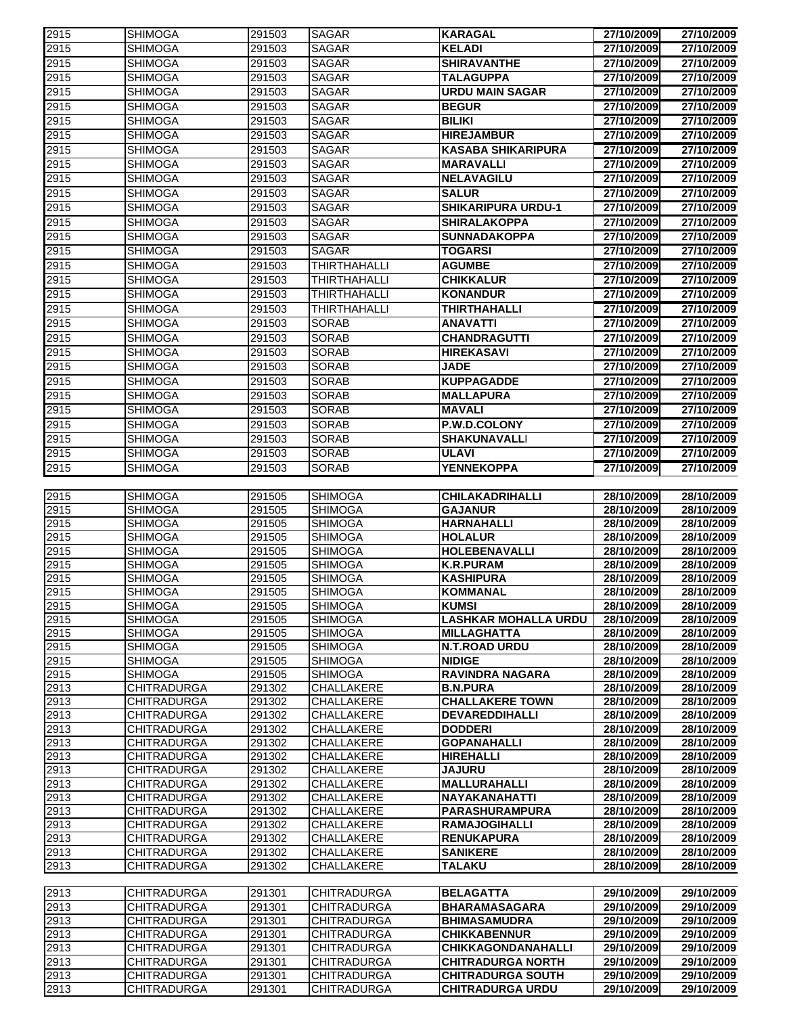| 2915         | <b>SHIMOGA</b>     | 291503 | <b>SAGAR</b>        | <b>KARAGAL</b>                                | 27/10/2009 | 27/10/2009 |
|--------------|--------------------|--------|---------------------|-----------------------------------------------|------------|------------|
| 2915         | <b>SHIMOGA</b>     | 291503 | <b>SAGAR</b>        | <b>KELADI</b>                                 | 27/10/2009 | 27/10/2009 |
| 2915         | <b>SHIMOGA</b>     | 291503 | <b>SAGAR</b>        | <b>SHIRAVANTHE</b>                            | 27/10/2009 | 27/10/2009 |
| 2915         | <b>SHIMOGA</b>     | 291503 | <b>SAGAR</b>        | <b>TALAGUPPA</b>                              | 27/10/2009 | 27/10/2009 |
| 2915         | <b>SHIMOGA</b>     | 291503 | <b>SAGAR</b>        | <b>URDU MAIN SAGAR</b>                        | 27/10/2009 | 27/10/2009 |
| 2915         | <b>SHIMOGA</b>     | 291503 | <b>SAGAR</b>        | <b>BEGUR</b>                                  | 27/10/2009 | 27/10/2009 |
|              |                    |        | <b>SAGAR</b>        | <b>BILIKI</b>                                 | 27/10/2009 | 27/10/2009 |
| 2915         | <b>SHIMOGA</b>     | 291503 |                     |                                               |            |            |
| 2915         | <b>SHIMOGA</b>     | 291503 | <b>SAGAR</b>        | <b>HIREJAMBUR</b>                             | 27/10/2009 | 27/10/2009 |
| 2915         | <b>SHIMOGA</b>     | 291503 | <b>SAGAR</b>        | <b>KASABA SHIKARIPURA</b>                     | 27/10/2009 | 27/10/2009 |
| 2915         | <b>SHIMOGA</b>     | 291503 | <b>SAGAR</b>        | <b>MARAVALLI</b>                              | 27/10/2009 | 27/10/2009 |
| 2915         | <b>SHIMOGA</b>     | 291503 | <b>SAGAR</b>        | <b>NELAVAGILU</b>                             | 27/10/2009 | 27/10/2009 |
| 2915         | <b>SHIMOGA</b>     | 291503 | <b>SAGAR</b>        | <b>SALUR</b>                                  | 27/10/2009 | 27/10/2009 |
| 2915         | <b>SHIMOGA</b>     | 291503 | <b>SAGAR</b>        | <b>SHIKARIPURA URDU-1</b>                     | 27/10/2009 | 27/10/2009 |
| 2915         | <b>SHIMOGA</b>     | 291503 | <b>SAGAR</b>        | <b>SHIRALAKOPPA</b>                           | 27/10/2009 | 27/10/2009 |
| 2915         | <b>SHIMOGA</b>     | 291503 | SAGAR               | <b>SUNNADAKOPPA</b>                           | 27/10/2009 | 27/10/2009 |
| 2915         | <b>SHIMOGA</b>     | 291503 | <b>SAGAR</b>        | <b>TOGARSI</b>                                | 27/10/2009 | 27/10/2009 |
| 2915         | <b>SHIMOGA</b>     | 291503 | <b>THIRTHAHALLI</b> | <b>AGUMBE</b>                                 | 27/10/2009 | 27/10/2009 |
| 2915         |                    |        |                     |                                               |            |            |
|              | <b>SHIMOGA</b>     | 291503 | <b>THIRTHAHALLI</b> | <b>CHIKKALUR</b>                              | 27/10/2009 | 27/10/2009 |
| 2915         | <b>SHIMOGA</b>     | 291503 | THIRTHAHALLI        | <b>KONANDUR</b>                               | 27/10/2009 | 27/10/2009 |
| 2915         | <b>SHIMOGA</b>     | 291503 | <b>THIRTHAHALLI</b> | <b>THIRTHAHALLI</b>                           | 27/10/2009 | 27/10/2009 |
| 2915         | <b>SHIMOGA</b>     | 291503 | <b>SORAB</b>        | <b>ANAVATTI</b>                               | 27/10/2009 | 27/10/2009 |
| 2915         | <b>SHIMOGA</b>     | 291503 | <b>SORAB</b>        | <b>CHANDRAGUTTI</b>                           | 27/10/2009 | 27/10/2009 |
| 2915         | <b>SHIMOGA</b>     | 291503 | <b>SORAB</b>        | <b>HIREKASAVI</b>                             | 27/10/2009 | 27/10/2009 |
| 2915         | <b>SHIMOGA</b>     | 291503 | <b>SORAB</b>        | <b>JADE</b>                                   | 27/10/2009 | 27/10/2009 |
| 2915         | <b>SHIMOGA</b>     | 291503 | <b>SORAB</b>        | <b>KUPPAGADDE</b>                             | 27/10/2009 | 27/10/2009 |
| 2915         | <b>SHIMOGA</b>     | 291503 | <b>SORAB</b>        | <b>MALLAPURA</b>                              | 27/10/2009 | 27/10/2009 |
| 2915         | <b>SHIMOGA</b>     | 291503 | <b>SORAB</b>        | <b>MAVALI</b>                                 | 27/10/2009 | 27/10/2009 |
| 2915         | <b>SHIMOGA</b>     | 291503 | <b>SORAB</b>        | P.W.D.COLONY                                  | 27/10/2009 | 27/10/2009 |
|              |                    |        |                     |                                               |            |            |
| 2915         | <b>SHIMOGA</b>     | 291503 | <b>SORAB</b>        | <b>SHAKUNAVALLI</b>                           | 27/10/2009 | 27/10/2009 |
| 2915         | <b>SHIMOGA</b>     | 291503 | <b>SORAB</b>        | <b>ULAVI</b>                                  | 27/10/2009 | 27/10/2009 |
| 2915         | <b>SHIMOGA</b>     | 291503 | <b>SORAB</b>        | <b>YENNEKOPPA</b>                             | 27/10/2009 | 27/10/2009 |
|              |                    |        |                     |                                               |            |            |
| 2915         | <b>SHIMOGA</b>     | 291505 | <b>SHIMOGA</b>      | <b>CHILAKADRIHALLI</b>                        | 28/10/2009 | 28/10/2009 |
| 2915         | <b>SHIMOGA</b>     | 291505 | <b>SHIMOGA</b>      | <b>GAJANUR</b>                                | 28/10/2009 | 28/10/2009 |
| 2915         | <b>SHIMOGA</b>     | 291505 | <b>SHIMOGA</b>      | <b>HARNAHALLI</b>                             | 28/10/2009 | 28/10/2009 |
| 2915         | <b>SHIMOGA</b>     | 291505 | <b>SHIMOGA</b>      | <b>HOLALUR</b>                                | 28/10/2009 | 28/10/2009 |
| 2915         | <b>SHIMOGA</b>     | 291505 | <b>SHIMOGA</b>      | HOLEBENAVALLI                                 | 28/10/2009 | 28/10/2009 |
| 2915         | <b>SHIMOGA</b>     | 291505 | <b>SHIMOGA</b>      | <b>K.R.PURAM</b>                              | 28/10/2009 | 28/10/2009 |
| 2915         | <b>SHIMOGA</b>     | 291505 | <b>SHIMOGA</b>      | <b>KASHIPURA</b>                              | 28/10/2009 | 28/10/2009 |
| 2915         | <b>SHIMOGA</b>     | 291505 | <b>SHIMOGA</b>      | <b>KOMMANAL</b>                               | 28/10/2009 | 28/10/2009 |
| 2915         | SHIMOGA            | 291505 | SHIMOGA             | <b>KUMSI</b>                                  | 28/10/2009 | 28/10/2009 |
| 2915         | <b>SHIMOGA</b>     | 291505 | SHIMOGA             | <b>LASHKAR MOHALLA URDU</b>                   | 28/10/2009 | 28/10/2009 |
| 2915         | <b>SHIMOGA</b>     | 291505 | <b>SHIMOGA</b>      | <b>MILLAGHATTA</b>                            | 28/10/2009 | 28/10/2009 |
| 2915         | <b>SHIMOGA</b>     | 291505 | <b>SHIMOGA</b>      | <b>N.T.ROAD URDU</b>                          | 28/10/2009 | 28/10/2009 |
| 2915         | <b>SHIMOGA</b>     | 291505 | <b>SHIMOGA</b>      | <b>NIDIGE</b>                                 | 28/10/2009 | 28/10/2009 |
| 2915         | <b>SHIMOGA</b>     | 291505 | <b>SHIMOGA</b>      | <b>RAVINDRA NAGARA</b>                        | 28/10/2009 | 28/10/2009 |
| 2913         | <b>CHITRADURGA</b> | 291302 | CHALLAKERE          | <b>B.N.PURA</b>                               | 28/10/2009 | 28/10/2009 |
| 2913         | <b>CHITRADURGA</b> | 291302 | CHALLAKERE          | <b>CHALLAKERE TOWN</b>                        | 28/10/2009 | 28/10/2009 |
| 2913         | <b>CHITRADURGA</b> | 291302 | <b>CHALLAKERE</b>   | <b>DEVAREDDIHALLI</b>                         | 28/10/2009 | 28/10/2009 |
| 2913         | <b>CHITRADURGA</b> | 291302 | <b>CHALLAKERE</b>   | <b>DODDERI</b>                                | 28/10/2009 | 28/10/2009 |
| 2913         | <b>CHITRADURGA</b> | 291302 | CHALLAKERE          | <b>GOPANAHALLI</b>                            | 28/10/2009 | 28/10/2009 |
| 2913         | <b>CHITRADURGA</b> | 291302 | CHALLAKERE          | <b>HIREHALLI</b>                              | 28/10/2009 | 28/10/2009 |
| 2913         | <b>CHITRADURGA</b> | 291302 | CHALLAKERE          | <b>JAJURU</b>                                 | 28/10/2009 | 28/10/2009 |
| 2913         | <b>CHITRADURGA</b> | 291302 | CHALLAKERE          | <b>MALLURAHALLI</b>                           | 28/10/2009 | 28/10/2009 |
|              |                    |        |                     |                                               |            |            |
| 2913<br>2913 | <b>CHITRADURGA</b> | 291302 | CHALLAKERE          | <b>NAYAKANAHATTI</b><br><b>PARASHURAMPURA</b> | 28/10/2009 | 28/10/2009 |
|              | <b>CHITRADURGA</b> | 291302 | CHALLAKERE          |                                               | 28/10/2009 | 28/10/2009 |
| 2913         | <b>CHITRADURGA</b> | 291302 | <b>CHALLAKERE</b>   | <b>RAMAJOGIHALLI</b>                          | 28/10/2009 | 28/10/2009 |
| 2913         | <b>CHITRADURGA</b> | 291302 | CHALLAKERE          | <b>RENUKAPURA</b>                             | 28/10/2009 | 28/10/2009 |
| 2913         | <b>CHITRADURGA</b> | 291302 | CHALLAKERE          | <b>SANIKERE</b>                               | 28/10/2009 | 28/10/2009 |
| 2913         | <b>CHITRADURGA</b> | 291302 | CHALLAKERE          | TALAKU                                        | 28/10/2009 | 28/10/2009 |
|              |                    |        |                     |                                               |            |            |
| 2913         | <b>CHITRADURGA</b> | 291301 | <b>CHITRADURGA</b>  | <b>BELAGATTA</b>                              | 29/10/2009 | 29/10/2009 |
| 2913         | <b>CHITRADURGA</b> | 291301 | <b>CHITRADURGA</b>  | <b>BHARAMASAGARA</b>                          | 29/10/2009 | 29/10/2009 |
| 2913         | <b>CHITRADURGA</b> | 291301 | <b>CHITRADURGA</b>  | <b>BHIMASAMUDRA</b>                           | 29/10/2009 | 29/10/2009 |
| 2913         | <b>CHITRADURGA</b> | 291301 | <b>CHITRADURGA</b>  | <b>CHIKKABENNUR</b>                           | 29/10/2009 | 29/10/2009 |
| 2913         | <b>CHITRADURGA</b> | 291301 | <b>CHITRADURGA</b>  | <b>CHIKKAGONDANAHALLI</b>                     | 29/10/2009 | 29/10/2009 |
| 2913         | <b>CHITRADURGA</b> | 291301 | <b>CHITRADURGA</b>  | <b>CHITRADURGA NORTH</b>                      | 29/10/2009 | 29/10/2009 |
| 2913         | <b>CHITRADURGA</b> | 291301 | <b>CHITRADURGA</b>  | <b>CHITRADURGA SOUTH</b>                      | 29/10/2009 | 29/10/2009 |
| 2913         | <b>CHITRADURGA</b> | 291301 | <b>CHITRADURGA</b>  | <b>CHITRADURGA URDU</b>                       | 29/10/2009 | 29/10/2009 |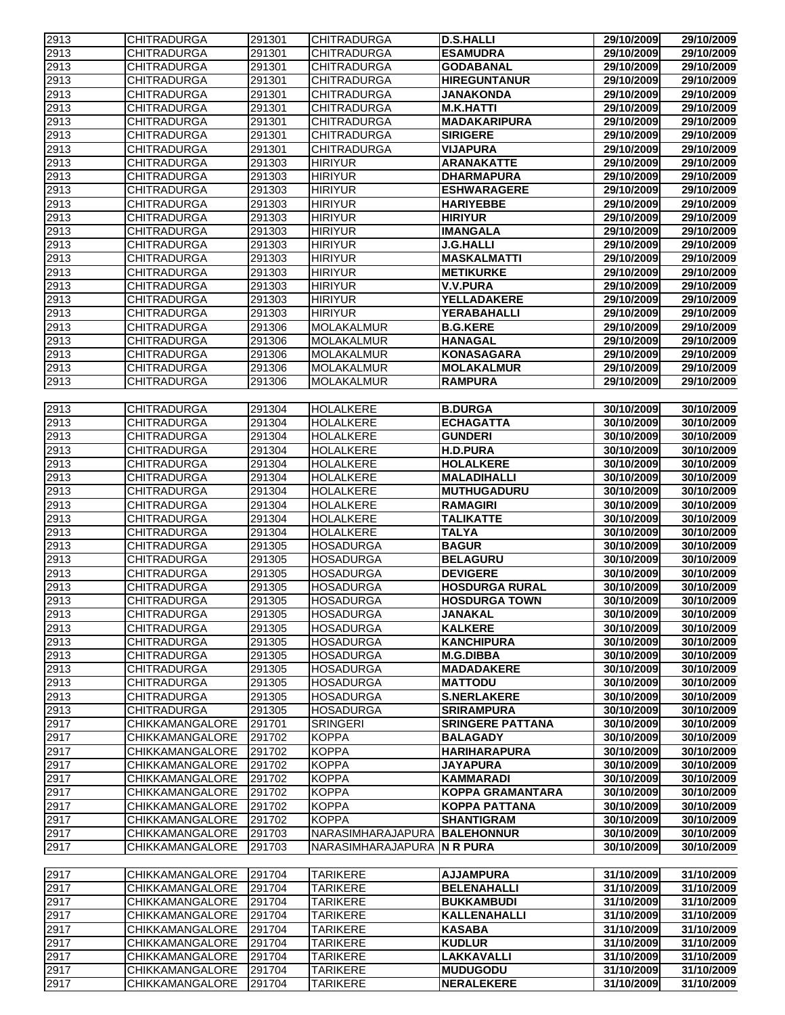| 2913         | <b>CHITRADURGA</b>                       | 291301           | <b>CHITRADURGA</b>                   | <b>D.S.HALLI</b>                         | 29/10/2009               | 29/10/2009               |
|--------------|------------------------------------------|------------------|--------------------------------------|------------------------------------------|--------------------------|--------------------------|
| 2913         | <b>CHITRADURGA</b>                       | 291301           | <b>CHITRADURGA</b>                   | <b>ESAMUDRA</b>                          | 29/10/2009               | 29/10/2009               |
| 2913         | <b>CHITRADURGA</b>                       | 291301           | <b>CHITRADURGA</b>                   | <b>GODABANAL</b>                         | 29/10/2009               | 29/10/2009               |
| 2913         | <b>CHITRADURGA</b>                       | 291301           | <b>CHITRADURGA</b>                   | <b>HIREGUNTANUR</b>                      | 29/10/2009               | 29/10/2009               |
| 2913         | <b>CHITRADURGA</b>                       | 291301           | <b>CHITRADURGA</b>                   | <b>JANAKONDA</b>                         | 29/10/2009               | 29/10/2009               |
| 2913         | <b>CHITRADURGA</b>                       | 291301           | <b>CHITRADURGA</b>                   | <b>M.K.HATTI</b>                         | 29/10/2009               | 29/10/2009               |
| 2913         | <b>CHITRADURGA</b>                       | 291301           | <b>CHITRADURGA</b>                   | <b>MADAKARIPURA</b>                      | 29/10/2009               | 29/10/2009               |
| 2913         | <b>CHITRADURGA</b>                       | 291301           | <b>CHITRADURGA</b>                   | <b>SIRIGERE</b>                          | 29/10/2009               | 29/10/2009               |
| 2913         | <b>CHITRADURGA</b>                       | 291301           | <b>CHITRADURGA</b>                   | <b>VIJAPURA</b>                          | 29/10/2009               | 29/10/2009               |
| 2913         | <b>CHITRADURGA</b>                       | 291303           | <b>HIRIYUR</b>                       | <b>ARANAKATTE</b>                        | 29/10/2009               | 29/10/2009               |
| 2913         | <b>CHITRADURGA</b>                       | 291303           | <b>HIRIYUR</b>                       | <b>DHARMAPURA</b>                        | 29/10/2009               | 29/10/2009               |
| 2913         | <b>CHITRADURGA</b>                       | 291303           | <b>HIRIYUR</b>                       | <b>ESHWARAGERE</b>                       | 29/10/2009               | 29/10/2009               |
| 2913         | <b>CHITRADURGA</b>                       | 291303           | <b>HIRIYUR</b>                       | <b>HARIYEBBE</b>                         | 29/10/2009               | 29/10/2009               |
| 2913         | <b>CHITRADURGA</b>                       | 291303           | <b>HIRIYUR</b>                       | <b>HIRIYUR</b>                           | 29/10/2009               | 29/10/2009               |
| 2913         | <b>CHITRADURGA</b>                       | 291303           | <b>HIRIYUR</b>                       | <b>IMANGALA</b>                          | 29/10/2009               | 29/10/2009               |
| 2913         | <b>CHITRADURGA</b>                       | 291303           | <b>HIRIYUR</b>                       | <b>J.G.HALLI</b>                         | 29/10/2009               | 29/10/2009               |
| 2913         | <b>CHITRADURGA</b>                       | 291303           | <b>HIRIYUR</b>                       | <b>MASKALMATTI</b>                       | 29/10/2009               | 29/10/2009               |
| 2913         | <b>CHITRADURGA</b>                       | 291303           | <b>HIRIYUR</b>                       | <b>METIKURKE</b>                         | 29/10/2009               | 29/10/2009               |
| 2913         | <b>CHITRADURGA</b>                       | 291303           | <b>HIRIYUR</b>                       | <b>V.V.PURA</b>                          | 29/10/2009               | 29/10/2009               |
| 2913         | <b>CHITRADURGA</b>                       | 291303           | <b>HIRIYUR</b>                       | YELLADAKERE                              | 29/10/2009               | 29/10/2009               |
| 2913         | <b>CHITRADURGA</b>                       | 291303           | <b>HIRIYUR</b>                       | <b>YERABAHALLI</b>                       | 29/10/2009               | 29/10/2009               |
| 2913         | <b>CHITRADURGA</b>                       | 291306           | <b>MOLAKALMUR</b>                    | <b>B.G.KERE</b>                          | 29/10/2009               | 29/10/2009               |
| 2913         | <b>CHITRADURGA</b>                       | 291306           | <b>MOLAKALMUR</b>                    | <b>HANAGAL</b>                           | 29/10/2009               | 29/10/2009               |
| 2913         | <b>CHITRADURGA</b>                       | 291306           | <b>MOLAKALMUR</b>                    | <b>KONASAGARA</b>                        | 29/10/2009               | 29/10/2009               |
| 2913         | <b>CHITRADURGA</b>                       | 291306           | <b>MOLAKALMUR</b>                    | <b>MOLAKALMUR</b>                        | 29/10/2009               | 29/10/2009               |
| 2913         | <b>CHITRADURGA</b>                       | 291306           | MOLAKALMUR                           | <b>RAMPURA</b>                           | 29/10/2009               | 29/10/2009               |
|              |                                          |                  |                                      |                                          |                          |                          |
| 2913<br>2913 | <b>CHITRADURGA</b><br><b>CHITRADURGA</b> | 291304<br>291304 | <b>HOLALKERE</b><br><b>HOLALKERE</b> | <b>B.DURGA</b><br><b>ECHAGATTA</b>       | 30/10/2009               | 30/10/2009<br>30/10/2009 |
|              | <b>CHITRADURGA</b>                       |                  | <b>HOLALKERE</b>                     | <b>GUNDERI</b>                           | 30/10/2009               |                          |
| 2913         |                                          | 291304           |                                      |                                          | 30/10/2009               | 30/10/2009               |
| 2913         | <b>CHITRADURGA</b>                       | 291304           | <b>HOLALKERE</b>                     | <b>H.D.PURA</b>                          | 30/10/2009               | 30/10/2009               |
| 2913         | <b>CHITRADURGA</b><br><b>CHITRADURGA</b> | 291304           | HOLALKERE                            | <b>HOLALKERE</b>                         | 30/10/2009               | 30/10/2009               |
| 2913<br>2913 | <b>CHITRADURGA</b>                       | 291304<br>291304 | <b>HOLALKERE</b>                     | <b>MALADIHALLI</b><br><b>MUTHUGADURU</b> | 30/10/2009               | 30/10/2009<br>30/10/2009 |
|              | <b>CHITRADURGA</b>                       | 291304           | <b>HOLALKERE</b><br><b>HOLALKERE</b> | <b>RAMAGIRI</b>                          | 30/10/2009               |                          |
| 2913<br>2913 | <b>CHITRADURGA</b>                       | 291304           | <b>HOLALKERE</b>                     | <b>TALIKATTE</b>                         | 30/10/2009<br>30/10/2009 | 30/10/2009<br>30/10/2009 |
| 2913         | <b>CHITRADURGA</b>                       | 291304           | <b>HOLALKERE</b>                     | <b>TALYA</b>                             | 30/10/2009               | 30/10/2009               |
| 2913         | <b>CHITRADURGA</b>                       | 291305           | <b>HOSADURGA</b>                     | <b>BAGUR</b>                             | 30/10/2009               | 30/10/2009               |
| 2913         | <b>CHITRADURGA</b>                       | 291305           | <b>HOSADURGA</b>                     | <b>BELAGURU</b>                          | 30/10/2009               | 30/10/2009               |
| 2913         | CHITRADURGA                              | 291305           | HOSADURGA                            | <b>DEVIGERE</b>                          | 30/10/2009               | 30/10/2009               |
| 2913         | <b>CHITRADURGA</b>                       | 291305           | <b>HOSADURGA</b>                     | <b>HOSDURGA RURAL</b>                    | 30/10/2009               | 30/10/2009               |
| 2913         | <b>CHITRADURGA</b>                       | 291305           | <b>HOSADURGA</b>                     | <b>HOSDURGA TOWN</b>                     | 30/10/2009               | 30/10/2009               |
| 2913         | <b>CHITRADURGA</b>                       | 291305           | <b>HOSADURGA</b>                     | <b>JANAKAL</b>                           | 30/10/2009               | 30/10/2009               |
| 2913         | <b>CHITRADURGA</b>                       | 291305           | <b>HOSADURGA</b>                     | <b>KALKERE</b>                           | 30/10/2009               | 30/10/2009               |
| 2913         | <b>CHITRADURGA</b>                       | 291305           | <b>HOSADURGA</b>                     | <b>KANCHIPURA</b>                        | 30/10/2009               | 30/10/2009               |
| 2913         | <b>CHITRADURGA</b>                       | 291305           | <b>HOSADURGA</b>                     | <b>M.G.DIBBA</b>                         | 30/10/2009               | 30/10/2009               |
| 2913         | <b>CHITRADURGA</b>                       | 291305           | <b>HOSADURGA</b>                     | <b>MADADAKERE</b>                        | 30/10/2009               | 30/10/2009               |
| 2913         | <b>CHITRADURGA</b>                       | 291305           | <b>HOSADURGA</b>                     | <b>MATTODU</b>                           | 30/10/2009               | 30/10/2009               |
| 2913         | <b>CHITRADURGA</b>                       | 291305           | <b>HOSADURGA</b>                     | <b>S.NERLAKERE</b>                       | 30/10/2009               | 30/10/2009               |
| 2913         | <b>CHITRADURGA</b>                       | 291305           | <b>HOSADURGA</b>                     | <b>SRIRAMPURA</b>                        | 30/10/2009               | 30/10/2009               |
| 2917         | CHIKKAMANGALORE                          | 291701           | <b>SRINGERI</b>                      | <b>SRINGERE PATTANA</b>                  | 30/10/2009               | 30/10/2009               |
| 2917         | <b>CHIKKAMANGALORE</b>                   | 291702           | <b>KOPPA</b>                         | <b>BALAGADY</b>                          | 30/10/2009               | 30/10/2009               |
| 2917         | <b>CHIKKAMANGALORE</b>                   | 291702           | <b>KOPPA</b>                         | <b>HARIHARAPURA</b>                      | 30/10/2009               | 30/10/2009               |
| 2917         | CHIKKAMANGALORE                          | 291702           | <b>KOPPA</b>                         | <b>JAYAPURA</b>                          | 30/10/2009               | 30/10/2009               |
| 2917         | CHIKKAMANGALORE                          | 291702           | <b>KOPPA</b>                         | <b>KAMMARADI</b>                         | 30/10/2009               | 30/10/2009               |
| 2917         | <b>CHIKKAMANGALORE</b>                   | 291702           | <b>KOPPA</b>                         | <b>KOPPA GRAMANTARA</b>                  | 30/10/2009               | 30/10/2009               |
| 2917         | CHIKKAMANGALORE                          | 291702           | <b>KOPPA</b>                         | <b>KOPPA PATTANA</b>                     | 30/10/2009               | 30/10/2009               |
| 2917         | CHIKKAMANGALORE                          | 291702           | <b>KOPPA</b>                         | <b>SHANTIGRAM</b>                        | 30/10/2009               | 30/10/2009               |
| 2917         | CHIKKAMANGALORE                          | 291703           | NARASIMHARAJAPURA BALEHONNUR         |                                          | 30/10/2009               | 30/10/2009               |
| 2917         | CHIKKAMANGALORE                          | 291703           | NARASIMHARAJAPURA N R PURA           |                                          | 30/10/2009               | 30/10/2009               |
|              |                                          |                  |                                      |                                          |                          |                          |
| 2917         | <b>CHIKKAMANGALORE</b>                   | 291704           | <b>TARIKERE</b>                      | <b>AJJAMPURA</b>                         | 31/10/2009               | 31/10/2009               |
| 2917         | <b>CHIKKAMANGALORE</b>                   | 291704           | <b>TARIKERE</b>                      | <b>BELENAHALLI</b>                       | 31/10/2009               | 31/10/2009               |
| 2917         | CHIKKAMANGALORE                          | 291704           | <b>TARIKERE</b>                      | <b>BUKKAMBUDI</b>                        | 31/10/2009               | 31/10/2009               |
| 2917         | <b>CHIKKAMANGALORE</b>                   | 291704           | <b>TARIKERE</b>                      | KALLENAHALLI                             | 31/10/2009               | 31/10/2009               |
| 2917         | <b>CHIKKAMANGALORE</b>                   | 291704           | <b>TARIKERE</b>                      | <b>KASABA</b>                            | 31/10/2009               | 31/10/2009               |
| 2917         | CHIKKAMANGALORE                          | 291704           | <b>TARIKERE</b>                      | <b>KUDLUR</b>                            | 31/10/2009               | 31/10/2009               |
| 2917         | CHIKKAMANGALORE                          | 291704           | <b>TARIKERE</b>                      | <b>LAKKAVALLI</b>                        | 31/10/2009               | 31/10/2009               |
| 2917         | CHIKKAMANGALORE                          | 291704           | <b>TARIKERE</b>                      | <b>MUDUGODU</b>                          | 31/10/2009               | 31/10/2009               |
| 2917         | CHIKKAMANGALORE                          | 291704           | <b>TARIKERE</b>                      | <b>NERALEKERE</b>                        | 31/10/2009               | 31/10/2009               |
|              |                                          |                  |                                      |                                          |                          |                          |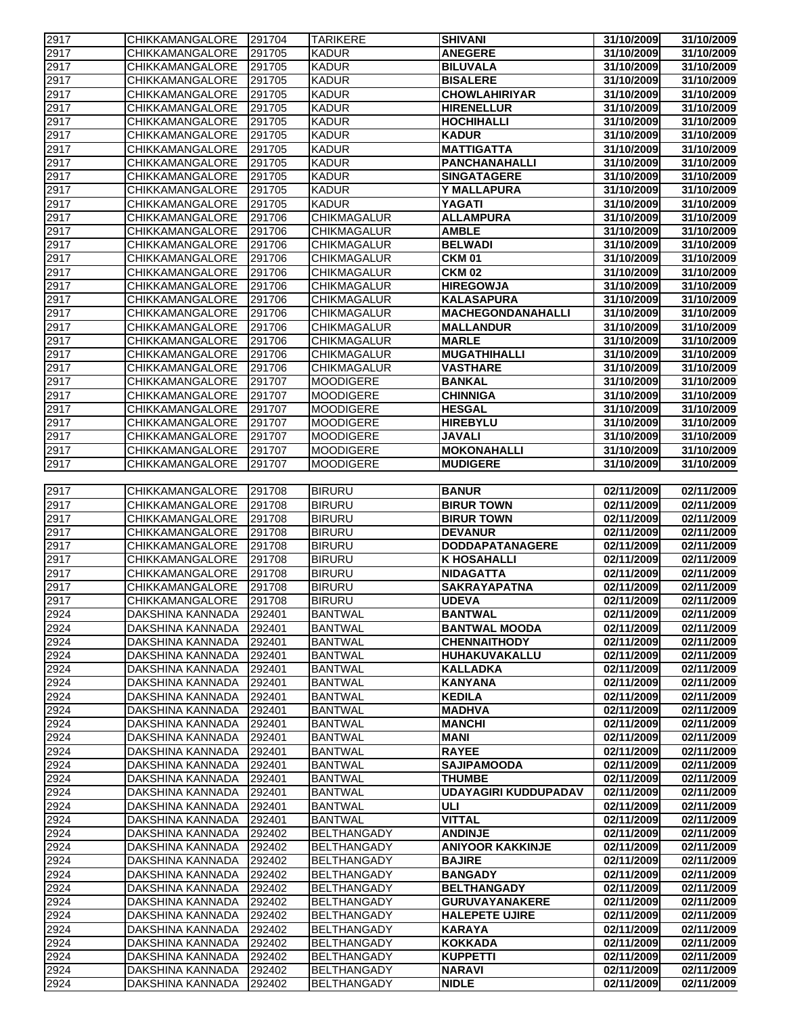| 2917 | <b>CHIKKAMANGALORE</b> | 291704 | <b>TARIKERE</b>    | <b>SHIVANI</b>              | 31/10/2009 | 31/10/2009 |
|------|------------------------|--------|--------------------|-----------------------------|------------|------------|
| 2917 | <b>CHIKKAMANGALORE</b> | 291705 | <b>KADUR</b>       | <b>ANEGERE</b>              | 31/10/2009 | 31/10/2009 |
| 2917 | <b>CHIKKAMANGALORE</b> | 291705 | <b>KADUR</b>       | <b>BILUVALA</b>             | 31/10/2009 | 31/10/2009 |
| 2917 | <b>CHIKKAMANGALORE</b> | 291705 | <b>KADUR</b>       | <b>BISALERE</b>             | 31/10/2009 | 31/10/2009 |
| 2917 | CHIKKAMANGALORE        | 291705 | <b>KADUR</b>       | <b>CHOWLAHIRIYAR</b>        | 31/10/2009 | 31/10/2009 |
| 2917 | CHIKKAMANGALORE        | 291705 | <b>KADUR</b>       | <b>HIRENELLUR</b>           | 31/10/2009 | 31/10/2009 |
| 2917 | CHIKKAMANGALORE        | 291705 | <b>KADUR</b>       | <b>HOCHIHALLI</b>           | 31/10/2009 | 31/10/2009 |
| 2917 | CHIKKAMANGALORE        | 291705 | <b>KADUR</b>       | <b>KADUR</b>                | 31/10/2009 | 31/10/2009 |
|      |                        |        | <b>KADUR</b>       | <b>MATTIGATTA</b>           |            |            |
| 2917 | CHIKKAMANGALORE        | 291705 |                    |                             | 31/10/2009 | 31/10/2009 |
| 2917 | CHIKKAMANGALORE        | 291705 | <b>KADUR</b>       | PANCHANAHALLI               | 31/10/2009 | 31/10/2009 |
| 2917 | CHIKKAMANGALORE        | 291705 | <b>KADUR</b>       | <b>SINGATAGERE</b>          | 31/10/2009 | 31/10/2009 |
| 2917 | <b>CHIKKAMANGALORE</b> | 291705 | <b>KADUR</b>       | Y MALLAPURA                 | 31/10/2009 | 31/10/2009 |
| 2917 | CHIKKAMANGALORE        | 291705 | <b>KADUR</b>       | YAGATI                      | 31/10/2009 | 31/10/2009 |
| 2917 | <b>CHIKKAMANGALORE</b> | 291706 | <b>CHIKMAGALUR</b> | <b>ALLAMPURA</b>            | 31/10/2009 | 31/10/2009 |
| 2917 | CHIKKAMANGALORE        | 291706 | CHIKMAGALUR        | <b>AMBLE</b>                | 31/10/2009 | 31/10/2009 |
| 2917 | CHIKKAMANGALORE        | 291706 | <b>CHIKMAGALUR</b> | <b>BELWADI</b>              | 31/10/2009 | 31/10/2009 |
| 2917 | <b>CHIKKAMANGALORE</b> | 291706 | <b>CHIKMAGALUR</b> | <b>CKM 01</b>               | 31/10/2009 | 31/10/2009 |
|      |                        |        |                    |                             |            |            |
| 2917 | <b>CHIKKAMANGALORE</b> | 291706 | <b>CHIKMAGALUR</b> | <b>CKM 02</b>               | 31/10/2009 | 31/10/2009 |
| 2917 | CHIKKAMANGALORE        | 291706 | <b>CHIKMAGALUR</b> | <b>HIREGOWJA</b>            | 31/10/2009 | 31/10/2009 |
| 2917 | <b>CHIKKAMANGALORE</b> | 291706 | <b>CHIKMAGALUR</b> | <b>KALASAPURA</b>           | 31/10/2009 | 31/10/2009 |
| 2917 | <b>CHIKKAMANGALORE</b> | 291706 | <b>CHIKMAGALUR</b> | <b>MACHEGONDANAHALLI</b>    | 31/10/2009 | 31/10/2009 |
| 2917 | <b>CHIKKAMANGALORE</b> | 291706 | <b>CHIKMAGALUR</b> | <b>MALLANDUR</b>            | 31/10/2009 | 31/10/2009 |
| 2917 | <b>CHIKKAMANGALORE</b> | 291706 | <b>CHIKMAGALUR</b> | <b>MARLE</b>                | 31/10/2009 | 31/10/2009 |
| 2917 | CHIKKAMANGALORE        | 291706 | <b>CHIKMAGALUR</b> | <b>MUGATHIHALLI</b>         | 31/10/2009 | 31/10/2009 |
| 2917 | CHIKKAMANGALORE        | 291706 | <b>CHIKMAGALUR</b> | <b>VASTHARE</b>             | 31/10/2009 | 31/10/2009 |
| 2917 | CHIKKAMANGALORE        | 291707 | <b>MOODIGERE</b>   | <b>BANKAL</b>               | 31/10/2009 | 31/10/2009 |
| 2917 | <b>CHIKKAMANGALORE</b> | 291707 | <b>MOODIGERE</b>   | <b>CHINNIGA</b>             | 31/10/2009 | 31/10/2009 |
|      |                        |        |                    |                             |            |            |
| 2917 | CHIKKAMANGALORE        | 291707 | <b>MOODIGERE</b>   | <b>HESGAL</b>               | 31/10/2009 | 31/10/2009 |
| 2917 | CHIKKAMANGALORE        | 291707 | <b>MOODIGERE</b>   | <b>HIREBYLU</b>             | 31/10/2009 | 31/10/2009 |
| 2917 | <b>CHIKKAMANGALORE</b> | 291707 | <b>MOODIGERE</b>   | <b>JAVALI</b>               | 31/10/2009 | 31/10/2009 |
| 2917 | CHIKKAMANGALORE        | 291707 | <b>MOODIGERE</b>   | <b>MOKONAHALLI</b>          | 31/10/2009 | 31/10/2009 |
| 2917 | CHIKKAMANGALORE        | 291707 | <b>MOODIGERE</b>   | <b>MUDIGERE</b>             | 31/10/2009 | 31/10/2009 |
|      |                        |        |                    |                             |            |            |
| 2917 | CHIKKAMANGALORE        | 291708 | <b>BIRURU</b>      | <b>BANUR</b>                | 02/11/2009 | 02/11/2009 |
| 2917 | CHIKKAMANGALORE        | 291708 | <b>BIRURU</b>      | <b>BIRUR TOWN</b>           | 02/11/2009 | 02/11/2009 |
| 2917 | CHIKKAMANGALORE        | 291708 | <b>BIRURU</b>      | <b>BIRUR TOWN</b>           | 02/11/2009 | 02/11/2009 |
|      |                        |        |                    |                             |            |            |
| 2917 | CHIKKAMANGALORE        | 291708 | <b>BIRURU</b>      | <b>DEVANUR</b>              | 02/11/2009 | 02/11/2009 |
| 2917 | CHIKKAMANGALORE        | 291708 | <b>BIRURU</b>      | <b>DODDAPATANAGERE</b>      | 02/11/2009 | 02/11/2009 |
| 2917 | <b>CHIKKAMANGALORE</b> | 291708 | <b>BIRURU</b>      | <b>K HOSAHALLI</b>          | 02/11/2009 | 02/11/2009 |
| 2917 | CHIKKAMANGALORE        | 291708 | <b>BIRURU</b>      | <b>NIDAGATTA</b>            | 02/11/2009 | 02/11/2009 |
| 2917 | <b>CHIKKAMANGALORE</b> | 291708 | <b>BIRURU</b>      | <b>SAKRAYAPATNA</b>         | 02/11/2009 | 02/11/2009 |
| 2917 | <b>CHIKKAMANGALORE</b> | 291708 | <b>BIRURU</b>      | <b>UDEVA</b>                | 02/11/2009 | 02/11/2009 |
| 2924 | DAKSHINA KANNADA       | 292401 | <b>BANTWAL</b>     | <b>BANTWAL</b>              | 02/11/2009 | 02/11/2009 |
| 2924 | DAKSHINA KANNADA       | 292401 | <b>BANTWAL</b>     | <b>BANTWAL MOODA</b>        | 02/11/2009 | 02/11/2009 |
| 2924 | DAKSHINA KANNADA       | 292401 | <b>BANTWAL</b>     | <b>CHENNAITHODY</b>         | 02/11/2009 | 02/11/2009 |
| 2924 | DAKSHINA KANNADA       | 292401 | <b>BANTWAL</b>     | HUHAKUVAKALLU               | 02/11/2009 | 02/11/2009 |
|      |                        |        |                    | <b>KALLADKA</b>             | 02/11/2009 |            |
| 2924 | DAKSHINA KANNADA       | 292401 | <b>BANTWAL</b>     |                             |            | 02/11/2009 |
| 2924 | DAKSHINA KANNADA       | 292401 | <b>BANTWAL</b>     | <b>KANYANA</b>              | 02/11/2009 | 02/11/2009 |
| 2924 | DAKSHINA KANNADA       | 292401 | <b>BANTWAL</b>     | <b>KEDILA</b>               | 02/11/2009 | 02/11/2009 |
| 2924 | DAKSHINA KANNADA       | 292401 | <b>BANTWAL</b>     | <b>MADHVA</b>               | 02/11/2009 | 02/11/2009 |
| 2924 | DAKSHINA KANNADA       | 292401 | <b>BANTWAL</b>     | <b>MANCHI</b>               | 02/11/2009 | 02/11/2009 |
| 2924 | DAKSHINA KANNADA       | 292401 | <b>BANTWAL</b>     | <b>MANI</b>                 | 02/11/2009 | 02/11/2009 |
| 2924 | DAKSHINA KANNADA       | 292401 | <b>BANTWAL</b>     | <b>RAYEE</b>                | 02/11/2009 | 02/11/2009 |
| 2924 | DAKSHINA KANNADA       | 292401 | <b>BANTWAL</b>     | <b>SAJIPAMOODA</b>          | 02/11/2009 | 02/11/2009 |
| 2924 | DAKSHINA KANNADA       | 292401 | <b>BANTWAL</b>     | <b>THUMBE</b>               | 02/11/2009 | 02/11/2009 |
| 2924 | DAKSHINA KANNADA       | 292401 | <b>BANTWAL</b>     | <b>UDAYAGIRI KUDDUPADAV</b> | 02/11/2009 | 02/11/2009 |
|      |                        |        |                    | ULI                         |            |            |
| 2924 | DAKSHINA KANNADA       | 292401 | <b>BANTWAL</b>     |                             | 02/11/2009 | 02/11/2009 |
| 2924 | DAKSHINA KANNADA       | 292401 | <b>BANTWAL</b>     | <b>VITTAL</b>               | 02/11/2009 | 02/11/2009 |
| 2924 | DAKSHINA KANNADA       | 292402 | <b>BELTHANGADY</b> | <b>ANDINJE</b>              | 02/11/2009 | 02/11/2009 |
| 2924 | DAKSHINA KANNADA       | 292402 | <b>BELTHANGADY</b> | <b>ANIYOOR KAKKINJE</b>     | 02/11/2009 | 02/11/2009 |
| 2924 | DAKSHINA KANNADA       | 292402 | <b>BELTHANGADY</b> | <b>BAJIRE</b>               | 02/11/2009 | 02/11/2009 |
| 2924 | DAKSHINA KANNADA       | 292402 | <b>BELTHANGADY</b> | <b>BANGADY</b>              | 02/11/2009 | 02/11/2009 |
| 2924 | DAKSHINA KANNADA       | 292402 | <b>BELTHANGADY</b> | <b>BELTHANGADY</b>          | 02/11/2009 | 02/11/2009 |
| 2924 | DAKSHINA KANNADA       | 292402 | <b>BELTHANGADY</b> | <b>GURUVAYANAKERE</b>       | 02/11/2009 | 02/11/2009 |
| 2924 | DAKSHINA KANNADA       | 292402 | <b>BELTHANGADY</b> | <b>HALEPETE UJIRE</b>       | 02/11/2009 | 02/11/2009 |
| 2924 | DAKSHINA KANNADA       | 292402 | <b>BELTHANGADY</b> | <b>KARAYA</b>               | 02/11/2009 | 02/11/2009 |
|      | DAKSHINA KANNADA       | 292402 | <b>BELTHANGADY</b> | <b>KOKKADA</b>              | 02/11/2009 | 02/11/2009 |
| 2924 |                        |        |                    |                             |            |            |
| 2924 | DAKSHINA KANNADA       | 292402 | <b>BELTHANGADY</b> | <b>KUPPETTI</b>             | 02/11/2009 | 02/11/2009 |
| 2924 | DAKSHINA KANNADA       | 292402 | <b>BELTHANGADY</b> | <b>NARAVI</b>               | 02/11/2009 | 02/11/2009 |
| 2924 | DAKSHINA KANNADA       | 292402 | <b>BELTHANGADY</b> | <b>NIDLE</b>                | 02/11/2009 | 02/11/2009 |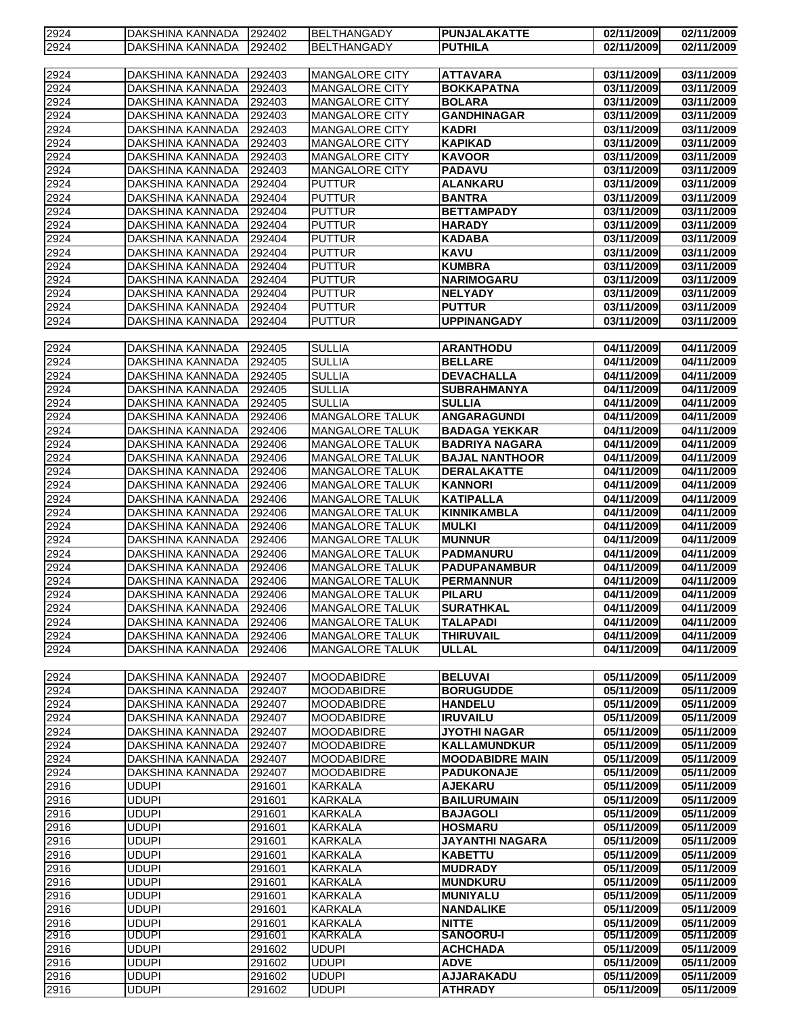| 2924 | DAKSHINA KANNADA | 292402 | <b>BELTHANGADY</b>     | <b>PUNJALAKATTE</b>    | 02/11/2009 | 02/11/2009 |
|------|------------------|--------|------------------------|------------------------|------------|------------|
| 2924 | DAKSHINA KANNADA | 292402 | <b>BELTHANGADY</b>     | <b>PUTHILA</b>         | 02/11/2009 | 02/11/2009 |
|      |                  |        |                        |                        |            |            |
|      |                  |        |                        |                        |            |            |
| 2924 | DAKSHINA KANNADA | 292403 | MANGALORE CITY         | <b>ATTAVARA</b>        | 03/11/2009 | 03/11/2009 |
| 2924 | DAKSHINA KANNADA | 292403 | MANGALORE CITY         | <b>BOKKAPATNA</b>      | 03/11/2009 | 03/11/2009 |
| 2924 | DAKSHINA KANNADA | 292403 | <b>MANGALORE CITY</b>  | <b>BOLARA</b>          | 03/11/2009 | 03/11/2009 |
| 2924 | DAKSHINA KANNADA | 292403 | MANGALORE CITY         | <b>GANDHINAGAR</b>     | 03/11/2009 | 03/11/2009 |
| 2924 | DAKSHINA KANNADA | 292403 | MANGALORE CITY         | <b>KADRI</b>           | 03/11/2009 | 03/11/2009 |
| 2924 | DAKSHINA KANNADA | 292403 | MANGALORE CITY         | <b>KAPIKAD</b>         | 03/11/2009 | 03/11/2009 |
| 2924 | DAKSHINA KANNADA | 292403 | MANGALORE CITY         | <b>KAVOOR</b>          | 03/11/2009 | 03/11/2009 |
| 2924 | DAKSHINA KANNADA | 292403 | <b>MANGALORE CITY</b>  | <b>PADAVU</b>          | 03/11/2009 | 03/11/2009 |
| 2924 | DAKSHINA KANNADA | 292404 | <b>PUTTUR</b>          | <b>ALANKARU</b>        | 03/11/2009 | 03/11/2009 |
| 2924 | DAKSHINA KANNADA | 292404 | <b>PUTTUR</b>          | <b>BANTRA</b>          | 03/11/2009 | 03/11/2009 |
|      |                  |        |                        |                        |            |            |
| 2924 | DAKSHINA KANNADA | 292404 | <b>PUTTUR</b>          | <b>BETTAMPADY</b>      | 03/11/2009 | 03/11/2009 |
| 2924 | DAKSHINA KANNADA | 292404 | <b>PUTTUR</b>          | <b>HARADY</b>          | 03/11/2009 | 03/11/2009 |
| 2924 | DAKSHINA KANNADA | 292404 | <b>PUTTUR</b>          | <b>KADABA</b>          | 03/11/2009 | 03/11/2009 |
| 2924 | DAKSHINA KANNADA | 292404 | <b>PUTTUR</b>          | <b>KAVU</b>            | 03/11/2009 | 03/11/2009 |
| 2924 | DAKSHINA KANNADA | 292404 | <b>PUTTUR</b>          | <b>KUMBRA</b>          | 03/11/2009 | 03/11/2009 |
| 2924 | DAKSHINA KANNADA | 292404 | <b>PUTTUR</b>          | <b>NARIMOGARU</b>      | 03/11/2009 | 03/11/2009 |
| 2924 | DAKSHINA KANNADA | 292404 | <b>PUTTUR</b>          | <b>NELYADY</b>         | 03/11/2009 | 03/11/2009 |
| 2924 | DAKSHINA KANNADA | 292404 | <b>PUTTUR</b>          | <b>PUTTUR</b>          | 03/11/2009 | 03/11/2009 |
| 2924 | DAKSHINA KANNADA | 292404 | <b>PUTTUR</b>          | <b>UPPINANGADY</b>     | 03/11/2009 | 03/11/2009 |
|      |                  |        |                        |                        |            |            |
|      |                  |        |                        |                        |            |            |
| 2924 | DAKSHINA KANNADA | 292405 | <b>SULLIA</b>          | <b>ARANTHODU</b>       | 04/11/2009 | 04/11/2009 |
| 2924 | DAKSHINA KANNADA | 292405 | <b>SULLIA</b>          | <b>BELLARE</b>         | 04/11/2009 | 04/11/2009 |
| 2924 | DAKSHINA KANNADA | 292405 | <b>SULLIA</b>          | <b>DEVACHALLA</b>      | 04/11/2009 | 04/11/2009 |
| 2924 | DAKSHINA KANNADA | 292405 | <b>SULLIA</b>          | <b>SUBRAHMANYA</b>     | 04/11/2009 | 04/11/2009 |
| 2924 | DAKSHINA KANNADA | 292405 | <b>SULLIA</b>          | <b>SULLIA</b>          | 04/11/2009 | 04/11/2009 |
| 2924 | DAKSHINA KANNADA | 292406 | <b>MANGALORE TALUK</b> | <b>ANGARAGUNDI</b>     | 04/11/2009 | 04/11/2009 |
| 2924 | DAKSHINA KANNADA | 292406 | MANGALORE TALUK        | <b>BADAGA YEKKAR</b>   | 04/11/2009 | 04/11/2009 |
| 2924 | DAKSHINA KANNADA | 292406 | MANGALORE TALUK        | <b>BADRIYA NAGARA</b>  | 04/11/2009 | 04/11/2009 |
| 2924 | DAKSHINA KANNADA | 292406 | <b>MANGALORE TALUK</b> | <b>BAJAL NANTHOOR</b>  |            | 04/11/2009 |
|      |                  |        |                        |                        | 04/11/2009 |            |
| 2924 | DAKSHINA KANNADA | 292406 | MANGALORE TALUK        | <b>DERALAKATTE</b>     | 04/11/2009 | 04/11/2009 |
| 2924 | DAKSHINA KANNADA | 292406 | MANGALORE TALUK        | <b>KANNORI</b>         | 04/11/2009 | 04/11/2009 |
| 2924 | DAKSHINA KANNADA | 292406 | MANGALORE TALUK        | <b>KATIPALLA</b>       | 04/11/2009 | 04/11/2009 |
| 2924 | DAKSHINA KANNADA | 292406 | <b>MANGALORE TALUK</b> | <b>KINNIKAMBLA</b>     | 04/11/2009 | 04/11/2009 |
| 2924 | DAKSHINA KANNADA | 292406 | MANGALORE TALUK        | <b>MULKI</b>           | 04/11/2009 | 04/11/2009 |
| 2924 | DAKSHINA KANNADA | 292406 | <b>MANGALORE TALUK</b> | <b>MUNNUR</b>          | 04/11/2009 | 04/11/2009 |
| 2924 | DAKSHINA KANNADA | 292406 | <b>MANGALORE TALUK</b> | <b>PADMANURU</b>       | 04/11/2009 | 04/11/2009 |
| 2924 | DAKSHINA KANNADA | 292406 | <b>MANGALORE TALUK</b> | <b>PADUPANAMBUR</b>    | 04/11/2009 | 04/11/2009 |
| 2924 | DAKSHINA KANNADA | 292406 | <b>MANGALORE TALUK</b> | <b>PERMANNUR</b>       | 04/11/2009 | 04/11/2009 |
| 2924 | DAKSHINA KANNADA | 292406 | <b>MANGALORE TALUK</b> | <b>PILARU</b>          | 04/11/2009 | 04/11/2009 |
|      |                  |        |                        |                        |            |            |
| 2924 | DAKSHINA KANNADA | 292406 | <b>MANGALORE TALUK</b> | <b>SURATHKAL</b>       | 04/11/2009 | 04/11/2009 |
| 2924 | DAKSHINA KANNADA | 292406 | MANGALORE TALUK        | <b>TALAPADI</b>        | 04/11/2009 | 04/11/2009 |
| 2924 | DAKSHINA KANNADA | 292406 | <b>MANGALORE TALUK</b> | <b>THIRUVAIL</b>       | 04/11/2009 | 04/11/2009 |
| 2924 | DAKSHINA KANNADA | 292406 | <b>MANGALORE TALUK</b> | <b>ULLAL</b>           | 04/11/2009 | 04/11/2009 |
|      |                  |        |                        |                        |            |            |
| 2924 | DAKSHINA KANNADA | 292407 | <b>MOODABIDRE</b>      | <b>BELUVAI</b>         | 05/11/2009 | 05/11/2009 |
| 2924 | DAKSHINA KANNADA | 292407 | <b>MOODABIDRE</b>      | <b>BORUGUDDE</b>       | 05/11/2009 | 05/11/2009 |
| 2924 | DAKSHINA KANNADA | 292407 | <b>MOODABIDRE</b>      | <b>HANDELU</b>         | 05/11/2009 | 05/11/2009 |
| 2924 | DAKSHINA KANNADA | 292407 | <b>MOODABIDRE</b>      | <b>IRUVAILU</b>        | 05/11/2009 | 05/11/2009 |
|      | DAKSHINA KANNADA | 292407 | <b>MOODABIDRE</b>      | <b>JYOTHI NAGAR</b>    | 05/11/2009 | 05/11/2009 |
| 2924 |                  |        |                        |                        |            |            |
| 2924 | DAKSHINA KANNADA | 292407 | <b>MOODABIDRE</b>      | <b>KALLAMUNDKUR</b>    | 05/11/2009 | 05/11/2009 |
| 2924 | DAKSHINA KANNADA | 292407 | <b>MOODABIDRE</b>      | <b>MOODABIDRE MAIN</b> | 05/11/2009 | 05/11/2009 |
| 2924 | DAKSHINA KANNADA | 292407 | <b>MOODABIDRE</b>      | <b>PADUKONAJE</b>      | 05/11/2009 | 05/11/2009 |
| 2916 | <b>UDUPI</b>     | 291601 | KARKALA                | <b>AJEKARU</b>         | 05/11/2009 | 05/11/2009 |
| 2916 | <b>UDUPI</b>     | 291601 | KARKALA                | <b>BAILURUMAIN</b>     | 05/11/2009 | 05/11/2009 |
| 2916 | <b>UDUPI</b>     | 291601 | KARKALA                | <b>BAJAGOLI</b>        | 05/11/2009 | 05/11/2009 |
| 2916 | <b>UDUPI</b>     | 291601 | KARKALA                | <b>HOSMARU</b>         | 05/11/2009 | 05/11/2009 |
| 2916 | <b>UDUPI</b>     | 291601 | KARKALA                | JAYANTHI NAGARA        | 05/11/2009 | 05/11/2009 |
| 2916 | <b>UDUPI</b>     | 291601 | KARKALA                | <b>KABETTU</b>         | 05/11/2009 | 05/11/2009 |
|      | <b>UDUPI</b>     | 291601 |                        |                        | 05/11/2009 | 05/11/2009 |
| 2916 |                  |        | KARKALA                | <b>MUDRADY</b>         |            |            |
| 2916 | <b>UDUPI</b>     | 291601 | <b>KARKALA</b>         | <b>MUNDKURU</b>        | 05/11/2009 | 05/11/2009 |
| 2916 | <b>UDUPI</b>     | 291601 | KARKALA                | <b>MUNIYALU</b>        | 05/11/2009 | 05/11/2009 |
| 2916 | <b>UDUPI</b>     | 291601 | KARKALA                | <b>NANDALIKE</b>       | 05/11/2009 | 05/11/2009 |
| 2916 | <b>UDUPI</b>     | 291601 | <b>KARKALA</b>         | <b>NITTE</b>           | 05/11/2009 | 05/11/2009 |
| 2916 | <b>UDUPI</b>     | 291601 | KARKALA                | <b>SANOORU-I</b>       | 05/11/2009 | 05/11/2009 |
| 2916 | <b>UDUPI</b>     | 291602 | <b>UDUPI</b>           | <b>ACHCHADA</b>        | 05/11/2009 | 05/11/2009 |
| 2916 | <b>UDUPI</b>     | 291602 | <b>UDUPI</b>           | <b>ADVE</b>            | 05/11/2009 | 05/11/2009 |
| 2916 | <b>UDUPI</b>     | 291602 | <b>UDUPI</b>           | AJJARAKADU             | 05/11/2009 | 05/11/2009 |
| 2916 | <b>UDUPI</b>     | 291602 | <b>UDUPI</b>           | <b>ATHRADY</b>         | 05/11/2009 | 05/11/2009 |
|      |                  |        |                        |                        |            |            |